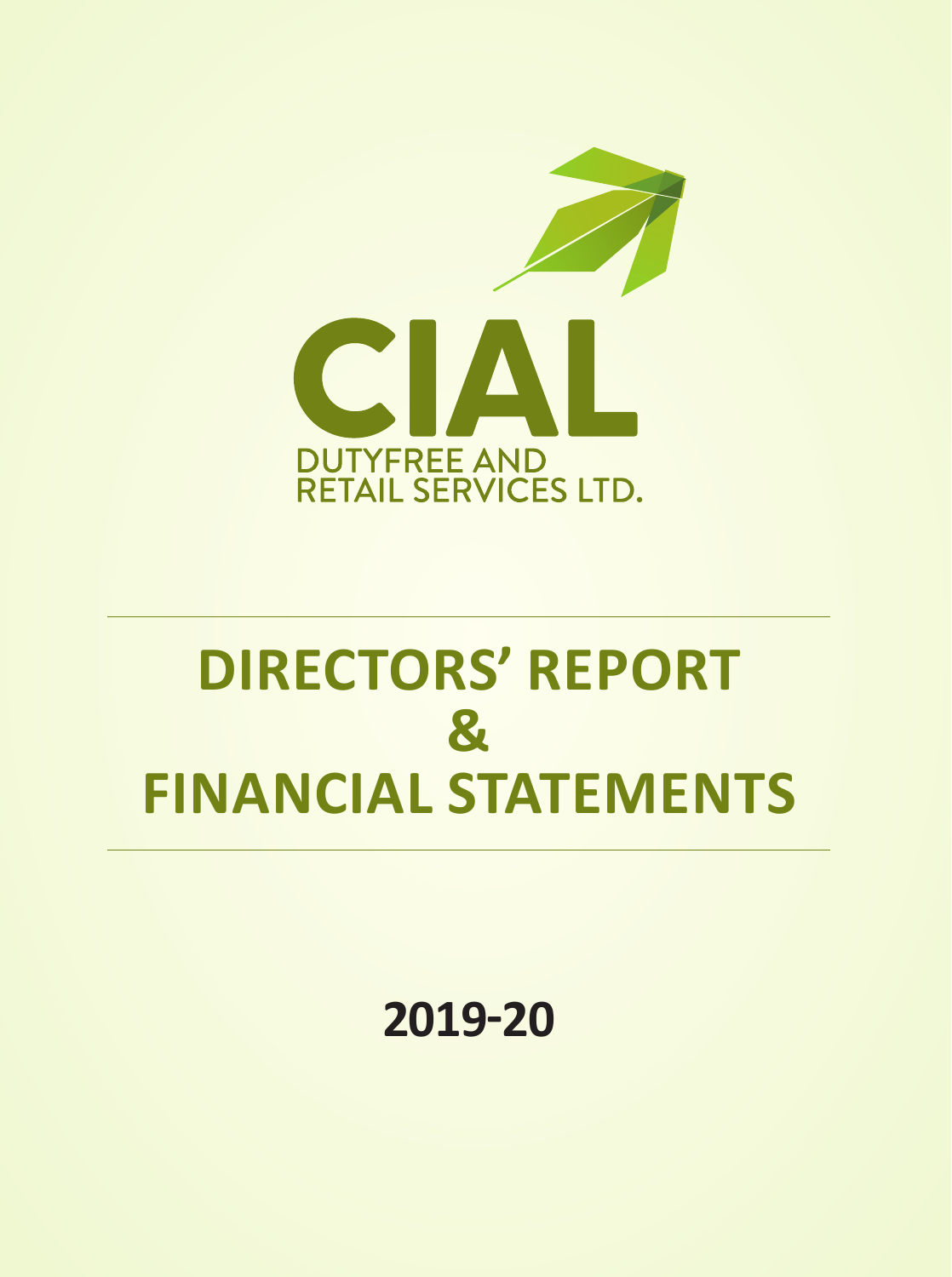

# **DIRECTORS' REPORT & FINANCIAL STATEMENTS**

**2019-20**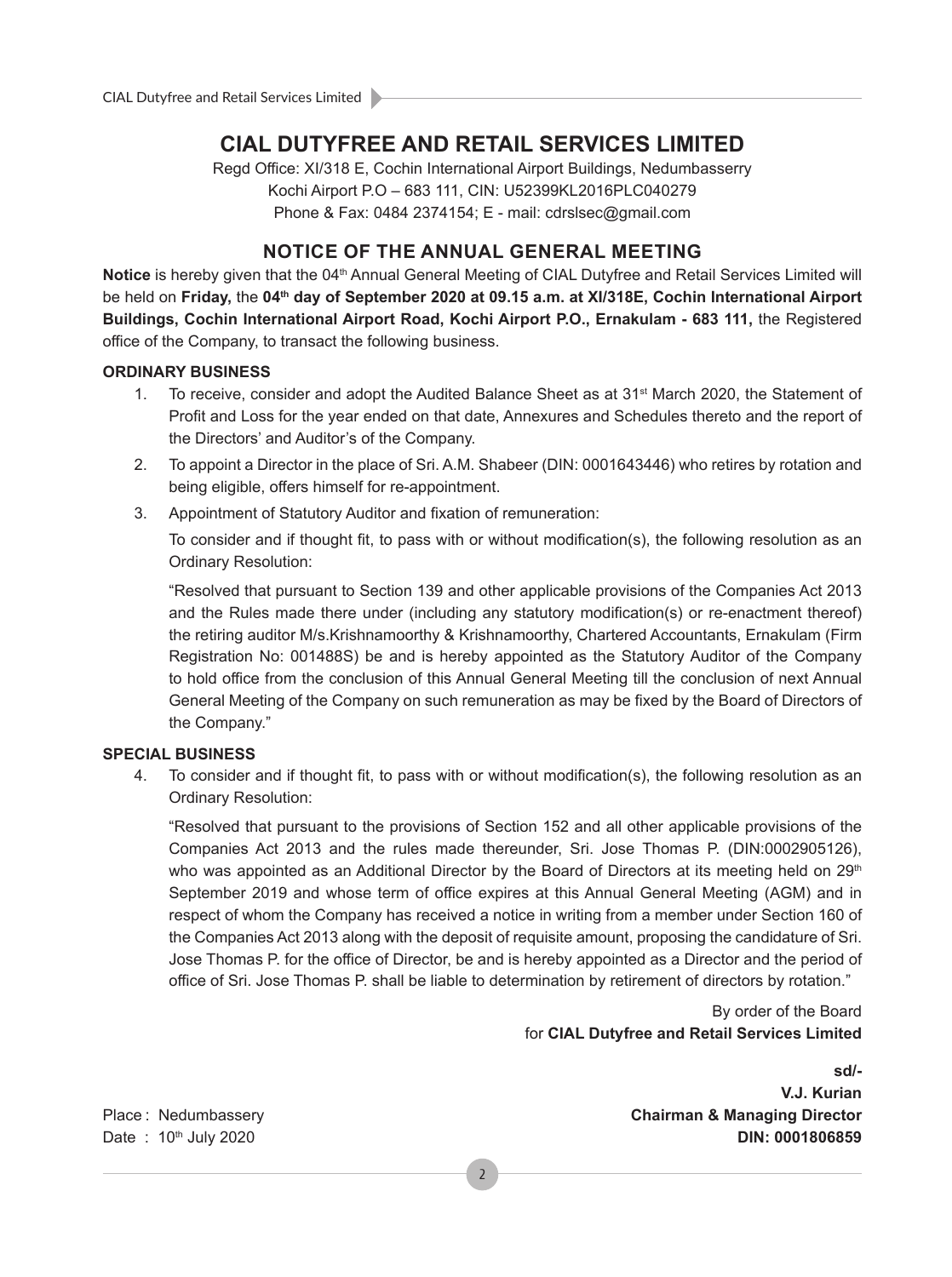## **CIAL DUTYFREE AND RETAIL SERVICES LIMITED**

Regd Office: XI/318 E, Cochin International Airport Buildings, Nedumbasserry Kochi Airport P.O – 683 111, CIN: U52399KL2016PLC040279 Phone & Fax: 0484 2374154; E - mail: cdrslsec@gmail.com

### **NOTICE OF THE ANNUAL GENERAL MEETING**

**Notice** is hereby given that the 04<sup>th</sup> Annual General Meeting of CIAL Dutyfree and Retail Services Limited will be held on **Friday,** the **04th day of September 2020 at 09.15 a.m. at XI/318E, Cochin International Airport Buildings, Cochin International Airport Road, Kochi Airport P.O., Ernakulam - 683 111,** the Registered office of the Company, to transact the following business.

### **ORDINARY BUSINESS**

- 1. To receive, consider and adopt the Audited Balance Sheet as at 31<sup>st</sup> March 2020, the Statement of Profit and Loss for the year ended on that date, Annexures and Schedules thereto and the report of the Directors' and Auditor's of the Company.
- 2. To appoint a Director in the place of Sri. A.M. Shabeer (DIN: 0001643446) who retires by rotation and being eligible, offers himself for re-appointment.
- 3. Appointment of Statutory Auditor and fixation of remuneration:

To consider and if thought fit, to pass with or without modification(s), the following resolution as an Ordinary Resolution:

"Resolved that pursuant to Section 139 and other applicable provisions of the Companies Act 2013 and the Rules made there under (including any statutory modification(s) or re-enactment thereof) the retiring auditor M/s.Krishnamoorthy & Krishnamoorthy, Chartered Accountants, Ernakulam (Firm Registration No: 001488S) be and is hereby appointed as the Statutory Auditor of the Company to hold office from the conclusion of this Annual General Meeting till the conclusion of next Annual General Meeting of the Company on such remuneration as may be fixed by the Board of Directors of the Company."

### **SPECIAL BUSINESS**

4. To consider and if thought fit, to pass with or without modification(s), the following resolution as an Ordinary Resolution:

"Resolved that pursuant to the provisions of Section 152 and all other applicable provisions of the Companies Act 2013 and the rules made thereunder, Sri. Jose Thomas P. (DIN:0002905126), who was appointed as an Additional Director by the Board of Directors at its meeting held on 29<sup>th</sup> September 2019 and whose term of office expires at this Annual General Meeting (AGM) and in respect of whom the Company has received a notice in writing from a member under Section 160 of the Companies Act 2013 along with the deposit of requisite amount, proposing the candidature of Sri. Jose Thomas P. for the office of Director, be and is hereby appointed as a Director and the period of office of Sri. Jose Thomas P. shall be liable to determination by retirement of directors by rotation."

> By order of the Board for **CIAL Dutyfree and Retail Services Limited**

> > **sd/- V.J. Kurian Chairman & Managing Director DIN: 0001806859**

Place : Nedumbassery Date: 10th July 2020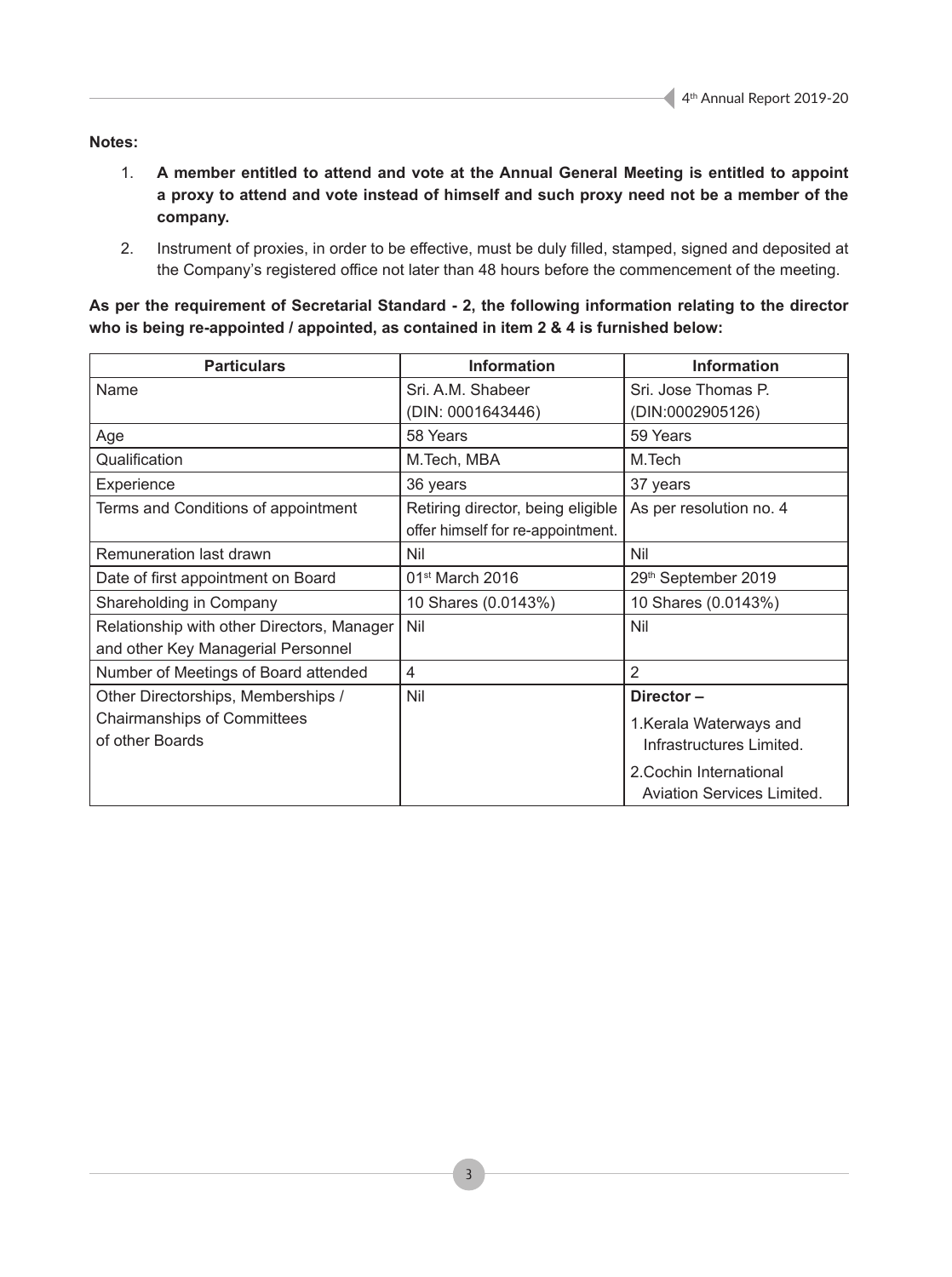### **Notes:**

- 1. **A member entitled to attend and vote at the Annual General Meeting is entitled to appoint a proxy to attend and vote instead of himself and such proxy need not be a member of the company.**
- 2. Instrument of proxies, in order to be effective, must be duly filled, stamped, signed and deposited at the Company's registered office not later than 48 hours before the commencement of the meeting.

**As per the requirement of Secretarial Standard - 2, the following information relating to the director who is being re-appointed / appointed, as contained in item 2 & 4 is furnished below:**

| <b>Particulars</b>                         | <b>Information</b>                | <b>Information</b>                                           |
|--------------------------------------------|-----------------------------------|--------------------------------------------------------------|
| Name                                       | Sri, A.M. Shabeer                 | Sri. Jose Thomas P.                                          |
|                                            | (DIN: 0001643446)                 | (DIN:0002905126)                                             |
| Age                                        | 58 Years                          | 59 Years                                                     |
| Qualification                              | M.Tech, MBA                       | M.Tech                                                       |
| Experience                                 | 36 years                          | 37 years                                                     |
| Terms and Conditions of appointment        | Retiring director, being eligible | As per resolution no. 4                                      |
|                                            | offer himself for re-appointment. |                                                              |
| Remuneration last drawn                    | Nil                               | Nil                                                          |
| Date of first appointment on Board         | 01 <sup>st</sup> March 2016       | 29th September 2019                                          |
| Shareholding in Company                    | 10 Shares (0.0143%)               | 10 Shares (0.0143%)                                          |
| Relationship with other Directors, Manager | Nil                               | Nil                                                          |
| and other Key Managerial Personnel         |                                   |                                                              |
| Number of Meetings of Board attended       | $\overline{4}$                    | $\overline{2}$                                               |
| Other Directorships, Memberships /         | Nil                               | Director-                                                    |
| <b>Chairmanships of Committees</b>         |                                   | 1. Kerala Waterways and                                      |
| of other Boards                            |                                   | Infrastructures Limited.                                     |
|                                            |                                   | 2. Cochin International<br><b>Aviation Services Limited.</b> |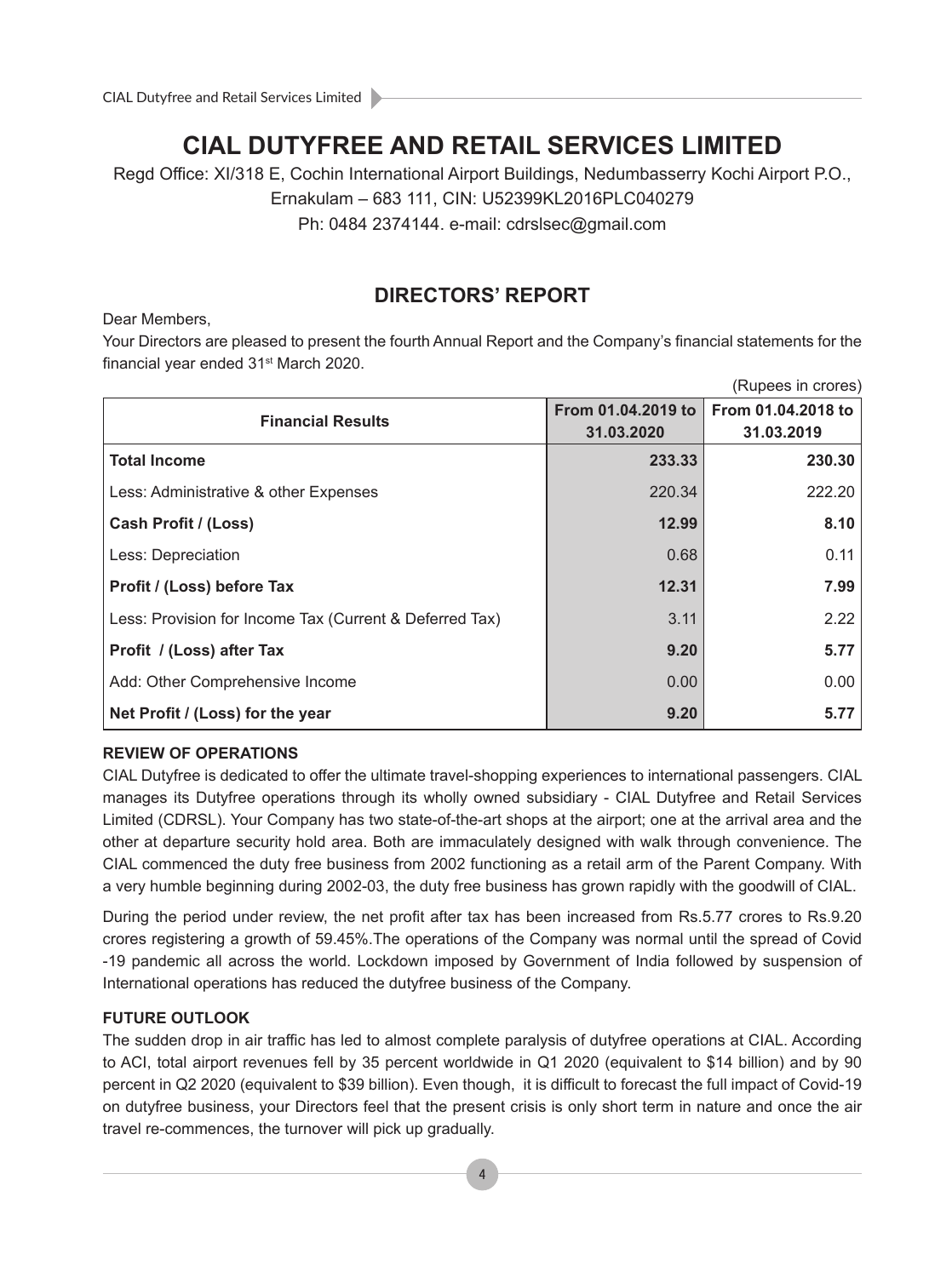## **CIAL DUTYFREE AND RETAIL SERVICES LIMITED**

Regd Office: XI/318 E, Cochin International Airport Buildings, Nedumbasserry Kochi Airport P.O.,

Ernakulam – 683 111, CIN: U52399KL2016PLC040279

Ph: 0484 2374144. e-mail: cdrslsec@gmail.com

## **DIRECTORS' REPORT**

Dear Members,

Your Directors are pleased to present the fourth Annual Report and the Company's financial statements for the financial year ended 31<sup>st</sup> March 2020.

| (Rupees in crores)                                      |                                  |                                  |  |
|---------------------------------------------------------|----------------------------------|----------------------------------|--|
| <b>Financial Results</b>                                | From 01.04.2019 to<br>31.03.2020 | From 01.04.2018 to<br>31.03.2019 |  |
| <b>Total Income</b>                                     | 233.33                           | 230.30                           |  |
| Less: Administrative & other Expenses                   | 220.34                           | 222.20                           |  |
| <b>Cash Profit / (Loss)</b>                             | 12.99                            | 8.10                             |  |
| Less: Depreciation                                      | 0.68                             | 0.11                             |  |
| Profit / (Loss) before Tax                              | 12.31                            | 7.99                             |  |
| Less: Provision for Income Tax (Current & Deferred Tax) | 3.11                             | 2.22                             |  |
| Profit / (Loss) after Tax                               | 9.20                             | 5.77                             |  |
| Add: Other Comprehensive Income                         | 0.00                             | 0.00                             |  |
| Net Profit / (Loss) for the year                        | 9.20                             | 5.77                             |  |

### **REVIEW OF OPERATIONS**

CIAL Dutyfree is dedicated to offer the ultimate travel-shopping experiences to international passengers. CIAL manages its Dutyfree operations through its wholly owned subsidiary - CIAL Dutyfree and Retail Services Limited (CDRSL). Your Company has two state-of-the-art shops at the airport; one at the arrival area and the other at departure security hold area. Both are immaculately designed with walk through convenience. The CIAL commenced the duty free business from 2002 functioning as a retail arm of the Parent Company. With a very humble beginning during 2002-03, the duty free business has grown rapidly with the goodwill of CIAL.

During the period under review, the net profit after tax has been increased from Rs.5.77 crores to Rs.9.20 crores registering a growth of 59.45%.The operations of the Company was normal until the spread of Covid -19 pandemic all across the world. Lockdown imposed by Government of India followed by suspension of International operations has reduced the dutyfree business of the Company.

### **FUTURE OUTLOOK**

The sudden drop in air traffic has led to almost complete paralysis of dutyfree operations at CIAL. According to ACI, total airport revenues fell by 35 percent worldwide in Q1 2020 (equivalent to \$14 billion) and by 90 percent in Q2 2020 (equivalent to \$39 billion). Even though, it is difficult to forecast the full impact of Covid-19 on dutyfree business, your Directors feel that the present crisis is only short term in nature and once the air travel re-commences, the turnover will pick up gradually.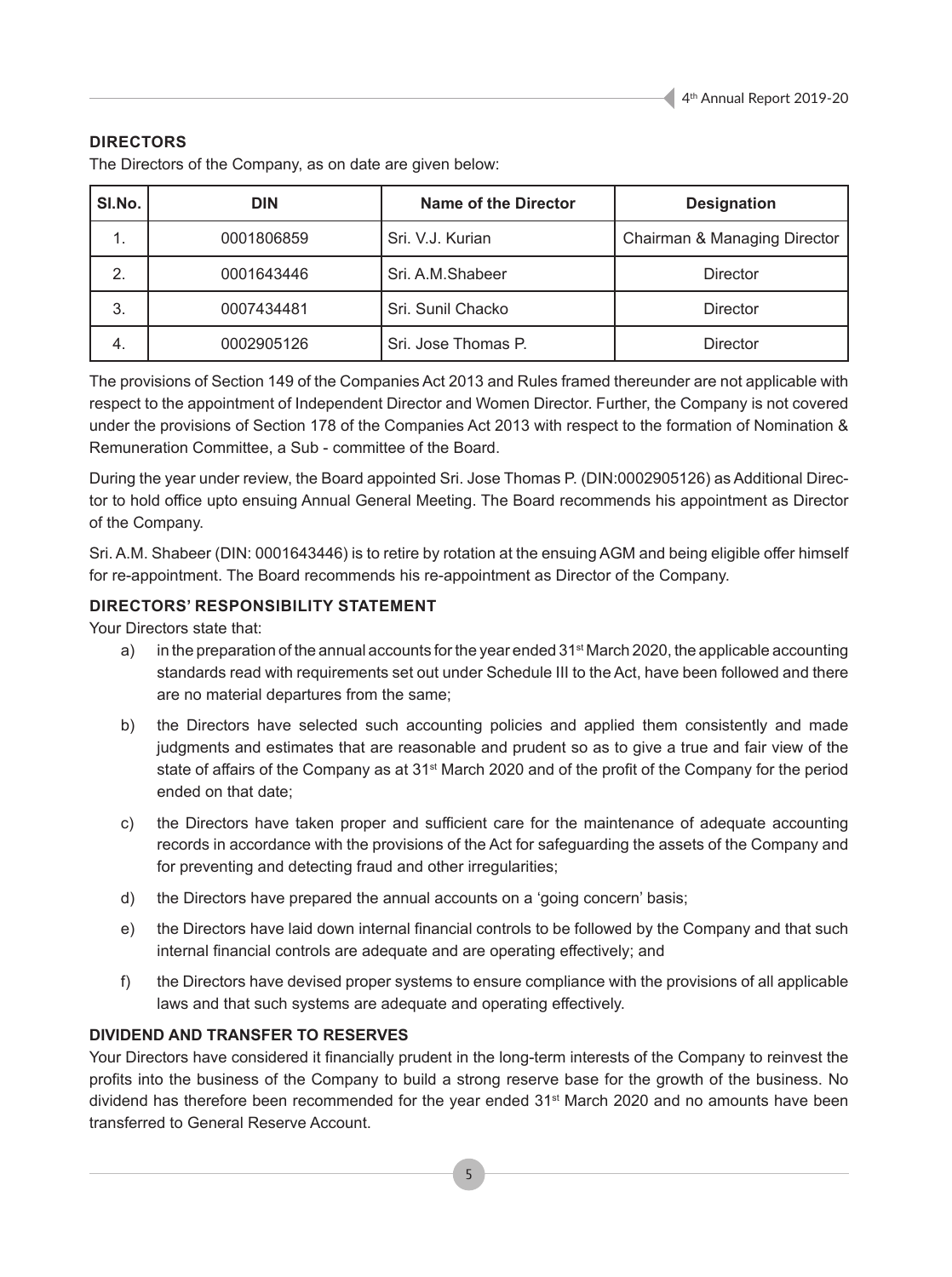### **DIRECTORS**

The Directors of the Company, as on date are given below:

| SI.No. | <b>DIN</b> | Name of the Director | <b>Designation</b>           |
|--------|------------|----------------------|------------------------------|
| 1.     | 0001806859 | Sri. V.J. Kurian     | Chairman & Managing Director |
| 2.     | 0001643446 | Sri. A.M.Shabeer     | <b>Director</b>              |
| 3.     | 0007434481 | Sri. Sunil Chacko    | Director                     |
| 4.     | 0002905126 | Sri. Jose Thomas P.  | Director                     |

The provisions of Section 149 of the Companies Act 2013 and Rules framed thereunder are not applicable with respect to the appointment of Independent Director and Women Director. Further, the Company is not covered under the provisions of Section 178 of the Companies Act 2013 with respect to the formation of Nomination & Remuneration Committee, a Sub - committee of the Board.

During the year under review, the Board appointed Sri. Jose Thomas P. (DIN:0002905126) as Additional Director to hold office upto ensuing Annual General Meeting. The Board recommends his appointment as Director of the Company.

Sri. A.M. Shabeer (DIN: 0001643446) is to retire by rotation at the ensuing AGM and being eligible offer himself for re-appointment. The Board recommends his re-appointment as Director of the Company.

### **DIRECTORS' RESPONSIBILITY STATEMENT**

Your Directors state that:

- a) in the preparation of the annual accounts for the year ended  $31<sup>st</sup>$  March 2020, the applicable accounting standards read with requirements set out under Schedule III to the Act, have been followed and there are no material departures from the same;
- b) the Directors have selected such accounting policies and applied them consistently and made judgments and estimates that are reasonable and prudent so as to give a true and fair view of the state of affairs of the Company as at 31<sup>st</sup> March 2020 and of the profit of the Company for the period ended on that date;
- c) the Directors have taken proper and sufficient care for the maintenance of adequate accounting records in accordance with the provisions of the Act for safeguarding the assets of the Company and for preventing and detecting fraud and other irregularities;
- d) the Directors have prepared the annual accounts on a 'going concern' basis;
- e) the Directors have laid down internal financial controls to be followed by the Company and that such internal financial controls are adequate and are operating effectively; and
- f) the Directors have devised proper systems to ensure compliance with the provisions of all applicable laws and that such systems are adequate and operating effectively.

### **DIVIDEND AND TRANSFER TO RESERVES**

Your Directors have considered it financially prudent in the long-term interests of the Company to reinvest the profits into the business of the Company to build a strong reserve base for the growth of the business. No dividend has therefore been recommended for the year ended 31st March 2020 and no amounts have been transferred to General Reserve Account.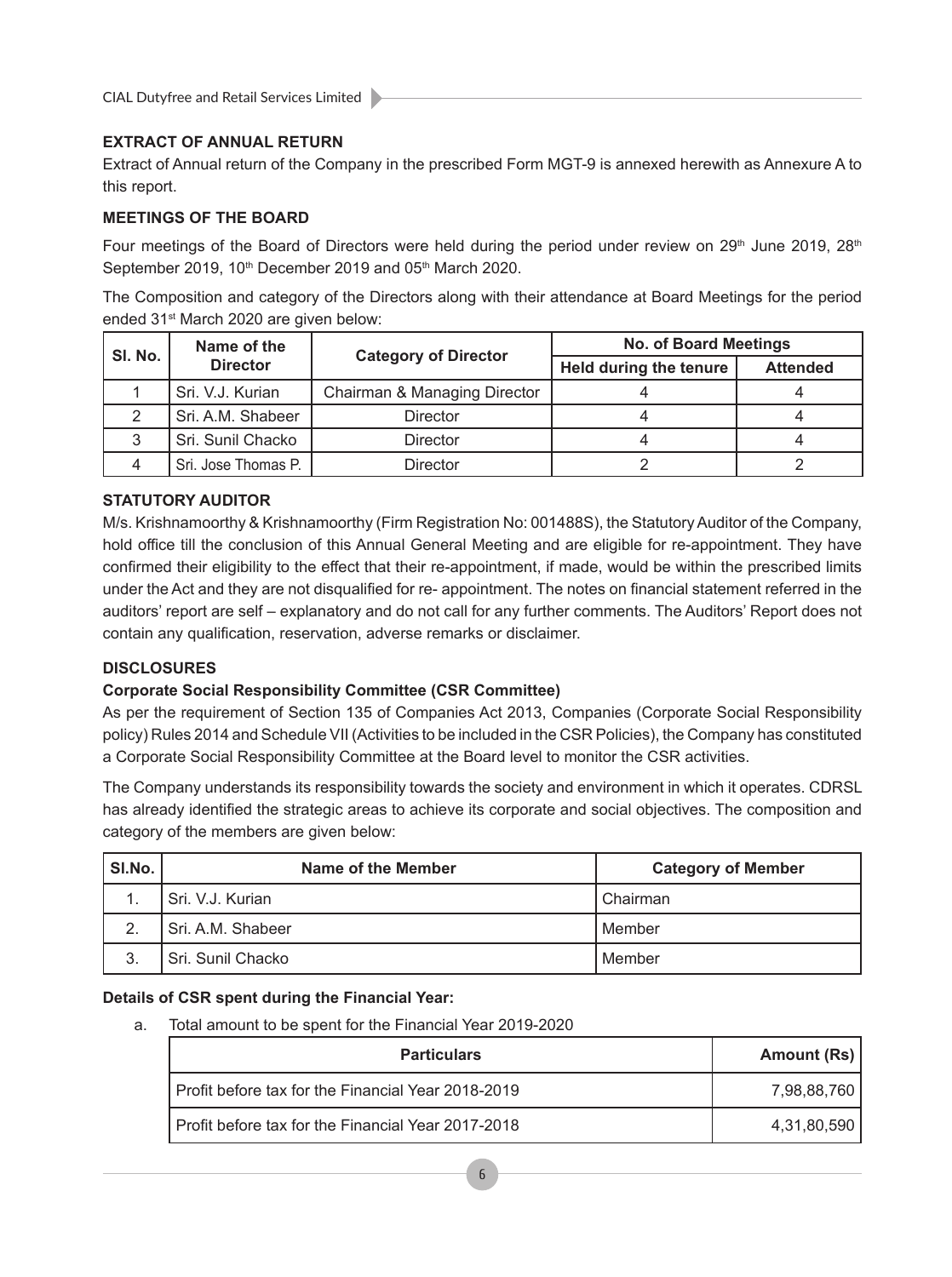CIAL Dutyfree and Retail Services Limited

### **EXTRACT OF ANNUAL RETURN**

Extract of Annual return of the Company in the prescribed Form MGT-9 is annexed herewith as Annexure A to this report.

### **MEETINGS OF THE BOARD**

Four meetings of the Board of Directors were held during the period under review on 29<sup>th</sup> June 2019, 28<sup>th</sup> September 2019, 10<sup>th</sup> December 2019 and 05<sup>th</sup> March 2020.

The Composition and category of the Directors along with their attendance at Board Meetings for the period ended 31st March 2020 are given below:

| SI. No. | Name of the                                    |                              | <b>No. of Board Meetings</b>  |                 |
|---------|------------------------------------------------|------------------------------|-------------------------------|-----------------|
|         | <b>Category of Director</b><br><b>Director</b> |                              | <b>Held during the tenure</b> | <b>Attended</b> |
|         | Sri. V.J. Kurian                               | Chairman & Managing Director |                               |                 |
|         | Sri. A.M. Shabeer                              | <b>Director</b>              |                               |                 |
| 3       | Sri. Sunil Chacko                              | <b>Director</b>              |                               |                 |
|         | Sri. Jose Thomas P.                            | <b>Director</b>              |                               |                 |

### **STATUTORY AUDITOR**

M/s. Krishnamoorthy & Krishnamoorthy (Firm Registration No: 001488S), the Statutory Auditor of the Company, hold office till the conclusion of this Annual General Meeting and are eligible for re-appointment. They have confirmed their eligibility to the effect that their re-appointment, if made, would be within the prescribed limits under the Act and they are not disqualified for re- appointment. The notes on financial statement referred in the auditors' report are self – explanatory and do not call for any further comments. The Auditors' Report does not contain any qualification, reservation, adverse remarks or disclaimer.

### **DISCLOSURES**

### **Corporate Social Responsibility Committee (CSR Committee)**

As per the requirement of Section 135 of Companies Act 2013, Companies (Corporate Social Responsibility policy) Rules 2014 and Schedule VII (Activities to be included in the CSR Policies), the Company has constituted a Corporate Social Responsibility Committee at the Board level to monitor the CSR activities.

The Company understands its responsibility towards the society and environment in which it operates. CDRSL has already identified the strategic areas to achieve its corporate and social objectives. The composition and category of the members are given below:

| SI.No.        | Name of the Member | <b>Category of Member</b> |
|---------------|--------------------|---------------------------|
|               | Sri, V.J. Kurian   | Chairman                  |
| $\mathcal{D}$ | Sri. A.M. Shabeer  | Member                    |
| 3.            | Sri, Sunil Chacko  | Member                    |

### **Details of CSR spent during the Financial Year:**

a. Total amount to be spent for the Financial Year 2019-2020

| <b>Particulars</b>                                   | Amount (Rs)   |
|------------------------------------------------------|---------------|
| l Profit before tax for the Financial Year 2018-2019 | 7,98,88,760   |
| l Profit before tax for the Financial Year 2017-2018 | 4.31.80.590 l |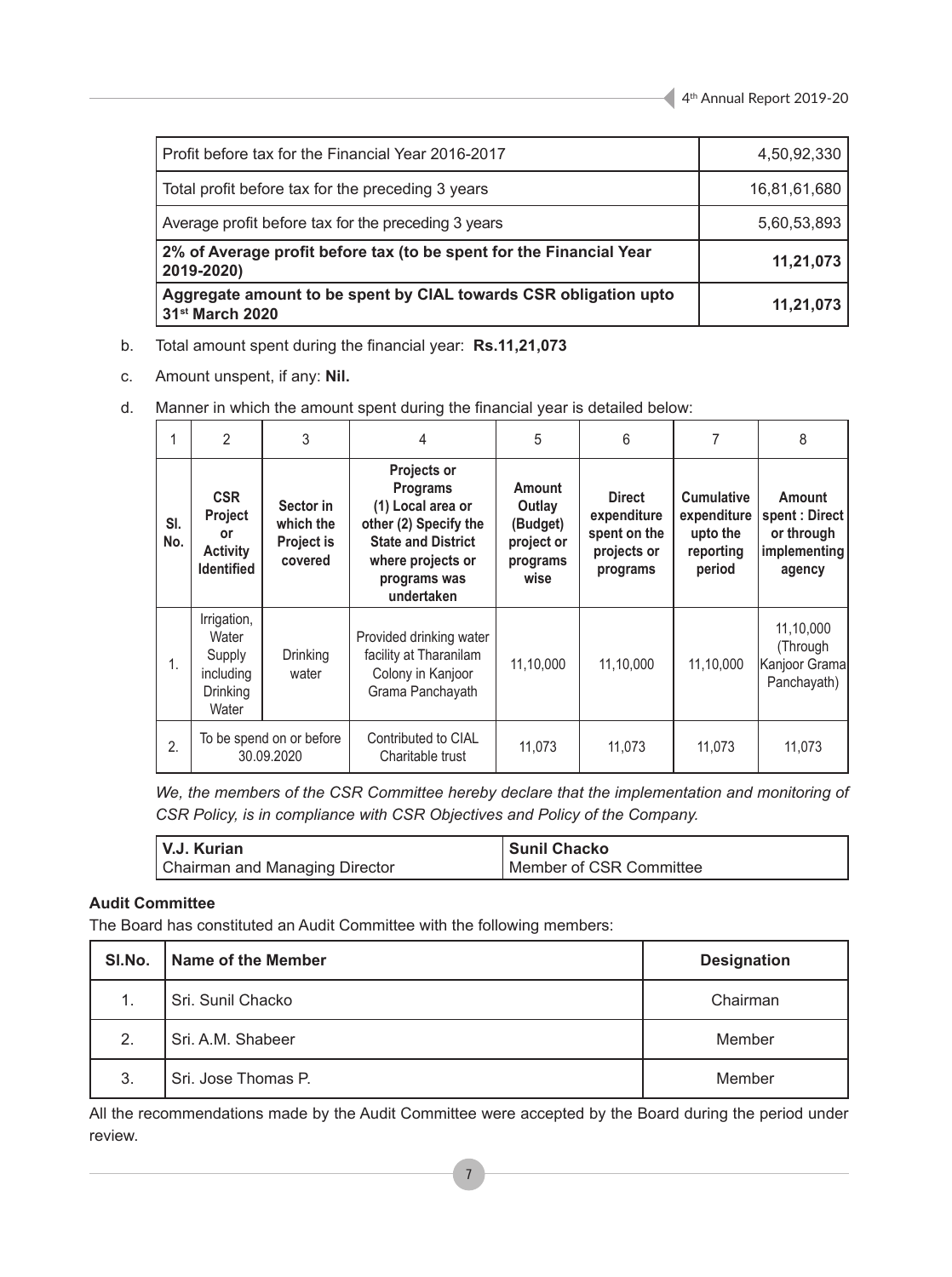| Profit before tax for the Financial Year 2016-2017                                              | 4,50,92,330  |
|-------------------------------------------------------------------------------------------------|--------------|
| Total profit before tax for the preceding 3 years                                               | 16,81,61,680 |
| Average profit before tax for the preceding 3 years                                             | 5,60,53,893  |
| 2% of Average profit before tax (to be spent for the Financial Year<br>2019-2020)               | 11,21,073    |
| Aggregate amount to be spent by CIAL towards CSR obligation upto<br>31 <sup>st</sup> March 2020 | 11,21,073    |

- b. Total amount spent during the financial year: **Rs.11,21,073**
- c. Amount unspent, if any: **Nil.**
- d. Manner in which the amount spent during the financial year is detailed below:

|            | $\mathfrak{p}$                                                      | 3                                                      | 4                                                                                                                                                            | 5                                                                     | 6                                                                       |                                                                     | 8                                                                |
|------------|---------------------------------------------------------------------|--------------------------------------------------------|--------------------------------------------------------------------------------------------------------------------------------------------------------------|-----------------------------------------------------------------------|-------------------------------------------------------------------------|---------------------------------------------------------------------|------------------------------------------------------------------|
| SI.<br>No. | <b>CSR</b><br>Project<br>0r<br><b>Activity</b><br><b>Identified</b> | Sector in<br>which the<br><b>Project is</b><br>covered | Projects or<br><b>Programs</b><br>(1) Local area or<br>other (2) Specify the<br><b>State and District</b><br>where projects or<br>programs was<br>undertaken | <b>Amount</b><br>Outlay<br>(Budget)<br>project or<br>programs<br>wise | <b>Direct</b><br>expenditure<br>spent on the<br>projects or<br>programs | <b>Cumulative</b><br>expenditure<br>upto the<br>reporting<br>period | Amount<br>spent : Direct<br>or through<br>implementing<br>agency |
| 1.         | Irrigation,<br>Water<br>Supply<br>including<br>Drinking<br>Water    | Drinking<br>water                                      | Provided drinking water<br>facility at Tharanilam<br>Colony in Kanjoor<br>Grama Panchayath                                                                   | 11,10,000                                                             | 11,10,000                                                               | 11,10,000                                                           | 11,10,000<br>(Through<br>Kanjoor Grama<br>Panchayath)            |
| 2.         |                                                                     | To be spend on or before<br>30.09.2020                 | Contributed to CIAL<br>Charitable trust                                                                                                                      | 11,073                                                                | 11,073                                                                  | 11,073                                                              | 11,073                                                           |

*We, the members of the CSR Committee hereby declare that the implementation and monitoring of CSR Policy, is in compliance with CSR Objectives and Policy of the Company.*

| V.J. Kurian                    | Sunil Chacko            |
|--------------------------------|-------------------------|
| Chairman and Managing Director | Member of CSR Committee |

### **Audit Committee**

The Board has constituted an Audit Committee with the following members:

| SI.No. | Name of the Member  | <b>Designation</b> |
|--------|---------------------|--------------------|
| 1.     | Sri. Sunil Chacko   | Chairman           |
| 2.     | Sri. A.M. Shabeer   | Member             |
| 3.     | Sri. Jose Thomas P. | Member             |

All the recommendations made by the Audit Committee were accepted by the Board during the period under review.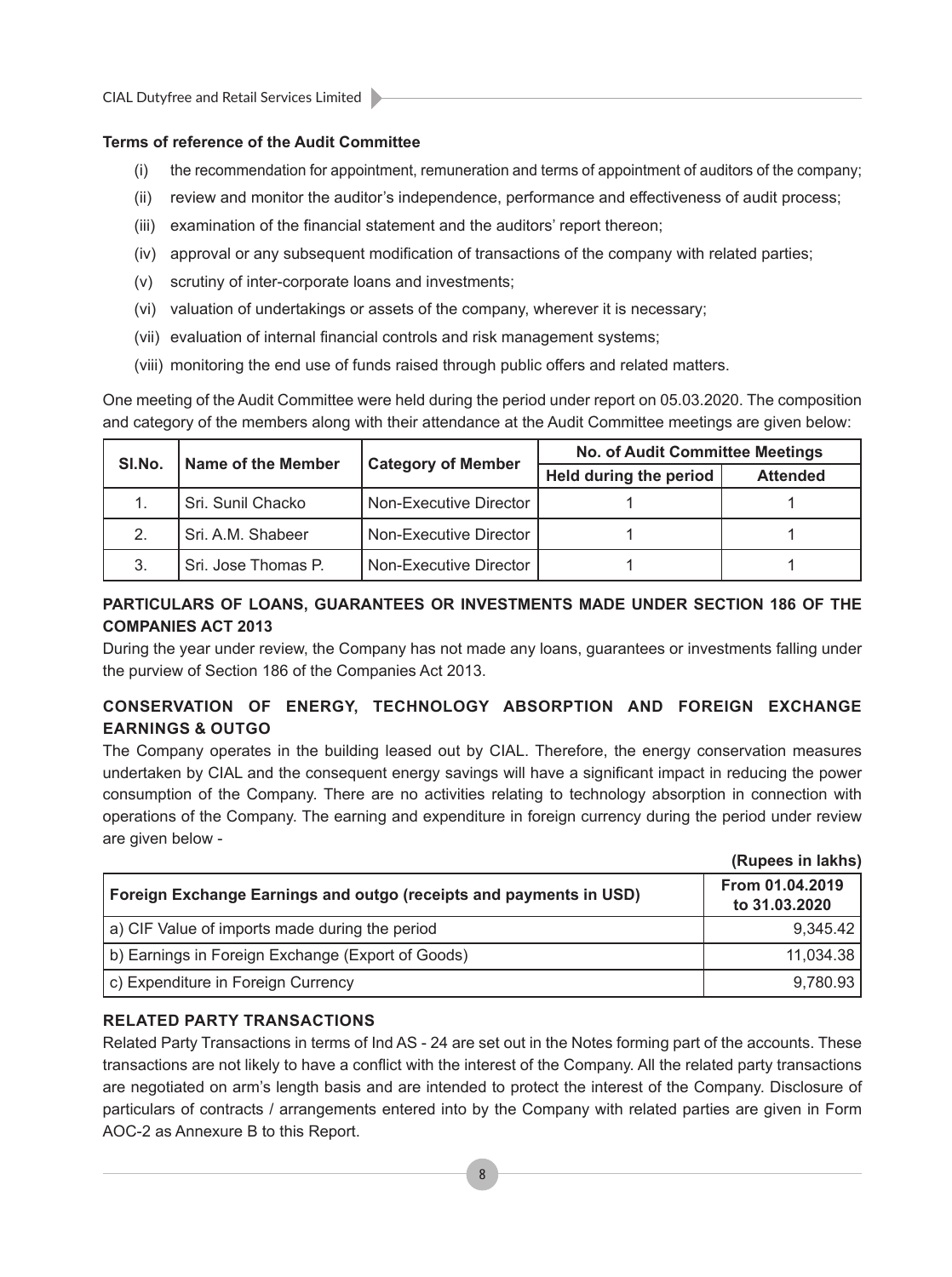### **Terms of reference of the Audit Committee**

- (i) the recommendation for appointment, remuneration and terms of appointment of auditors of the company;
- (ii) review and monitor the auditor's independence, performance and effectiveness of audit process;
- (iii) examination of the financial statement and the auditors' report thereon;
- (iv) approval or any subsequent modification of transactions of the company with related parties;
- (v) scrutiny of inter-corporate loans and investments;
- (vi) valuation of undertakings or assets of the company, wherever it is necessary;
- (vii) evaluation of internal financial controls and risk management systems;
- (viii) monitoring the end use of funds raised through public offers and related matters.

One meeting of the Audit Committee were held during the period under report on 05.03.2020. The composition and category of the members along with their attendance at the Audit Committee meetings are given below:

| SI.No. | Name of the Member  |                           | <b>No. of Audit Committee Meetings</b> |                 |
|--------|---------------------|---------------------------|----------------------------------------|-----------------|
|        |                     | <b>Category of Member</b> | Held during the period                 | <b>Attended</b> |
|        | Sri. Sunil Chacko   | Non-Executive Director    |                                        |                 |
| 2      | Sri. A.M. Shabeer   | Non-Executive Director    |                                        |                 |
| 3.     | Sri. Jose Thomas P. | Non-Executive Director    |                                        |                 |

### **PARTICULARS OF LOANS, GUARANTEES OR INVESTMENTS MADE UNDER SECTION 186 OF THE COMPANIES ACT 2013**

During the year under review, the Company has not made any loans, guarantees or investments falling under the purview of Section 186 of the Companies Act 2013.

### **CONSERVATION OF ENERGY, TECHNOLOGY ABSORPTION AND FOREIGN EXCHANGE EARNINGS & OUTGO**

The Company operates in the building leased out by CIAL. Therefore, the energy conservation measures undertaken by CIAL and the consequent energy savings will have a significant impact in reducing the power consumption of the Company. There are no activities relating to technology absorption in connection with operations of the Company. The earning and expenditure in foreign currency during the period under review are given below -

**(Rupees in lakhs)**

|                                                                    | (Rupees in lakhs)                |
|--------------------------------------------------------------------|----------------------------------|
| Foreign Exchange Earnings and outgo (receipts and payments in USD) | From 01.04.2019<br>to 31.03.2020 |
| a) CIF Value of imports made during the period                     | 9.345.42                         |
| b) Earnings in Foreign Exchange (Export of Goods)                  | 11,034.38                        |
| c) Expenditure in Foreign Currency                                 | 9,780.93                         |

### **RELATED PARTY TRANSACTIONS**

Related Party Transactions in terms of Ind AS - 24 are set out in the Notes forming part of the accounts. These transactions are not likely to have a conflict with the interest of the Company. All the related party transactions are negotiated on arm's length basis and are intended to protect the interest of the Company. Disclosure of particulars of contracts / arrangements entered into by the Company with related parties are given in Form AOC-2 as Annexure B to this Report.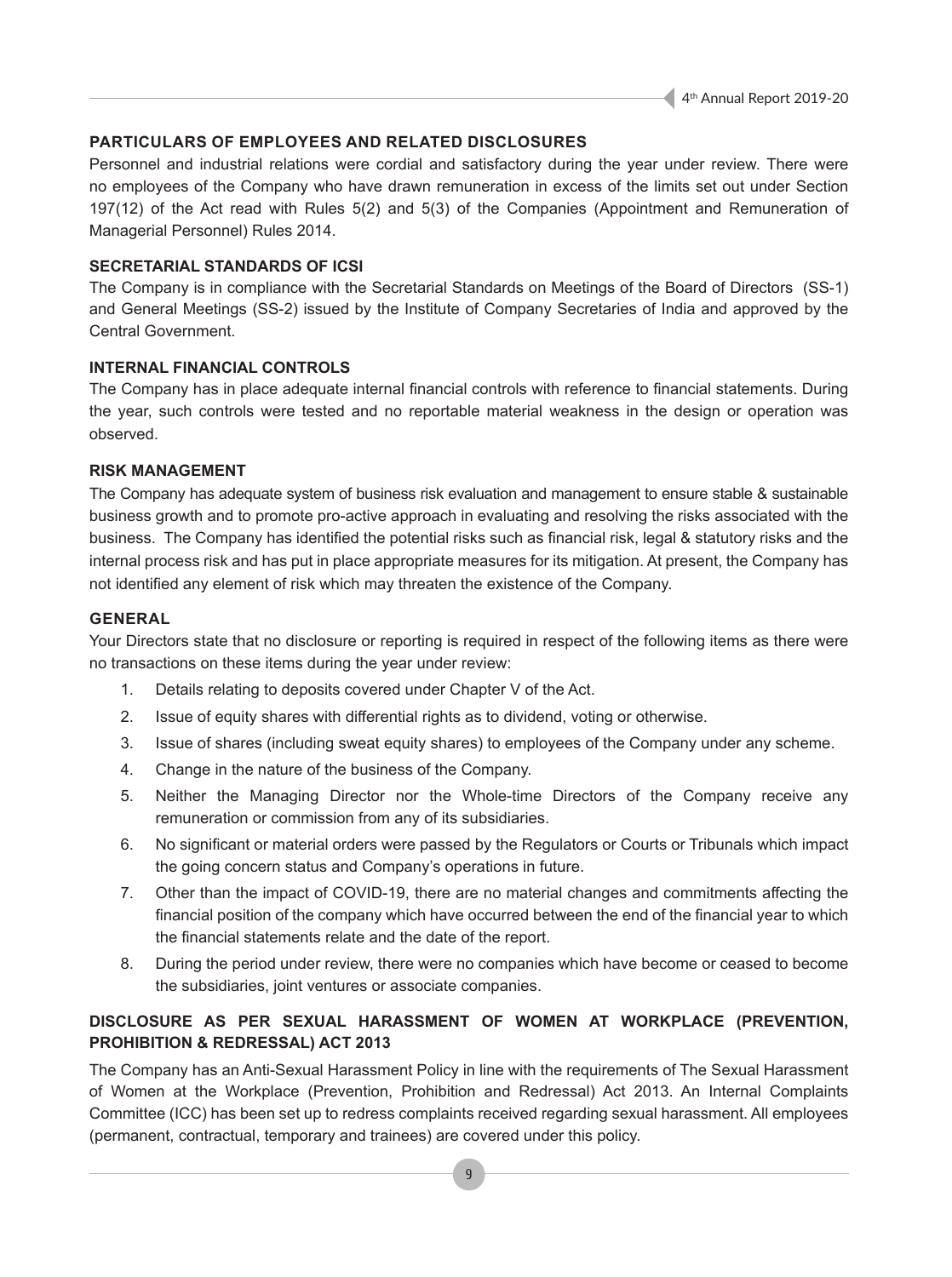### **PARTICULARS OF EMPLOYEES AND RELATED DISCLOSURES**

Personnel and industrial relations were cordial and satisfactory during the year under review. There were no employees of the Company who have drawn remuneration in excess of the limits set out under Section 197(12) of the Act read with Rules 5(2) and 5(3) of the Companies (Appointment and Remuneration of Managerial Personnel) Rules 2014.

### **SECRETARIAL STANDARDS OF ICSI**

The Company is in compliance with the Secretarial Standards on Meetings of the Board of Directors (SS-1) and General Meetings (SS-2) issued by the Institute of Company Secretaries of India and approved by the Central Government.

### **INTERNAL FINANCIAL CONTROLS**

The Company has in place adequate internal financial controls with reference to financial statements. During the year, such controls were tested and no reportable material weakness in the design or operation was observed.

### **RISK MANAGEMENT**

The Company has adequate system of business risk evaluation and management to ensure stable & sustainable business growth and to promote pro-active approach in evaluating and resolving the risks associated with the business. The Company has identified the potential risks such as financial risk, legal & statutory risks and the internal process risk and has put in place appropriate measures for its mitigation. At present, the Company has not identified any element of risk which may threaten the existence of the Company.

### **GENERAL**

Your Directors state that no disclosure or reporting is required in respect of the following items as there were no transactions on these items during the year under review:

- 1. Details relating to deposits covered under Chapter V of the Act.
- 2. Issue of equity shares with differential rights as to dividend, voting or otherwise.
- 3. Issue of shares (including sweat equity shares) to employees of the Company under any scheme.
- 4. Change in the nature of the business of the Company.
- 5. Neither the Managing Director nor the Whole-time Directors of the Company receive any remuneration or commission from any of its subsidiaries.
- 6. No significant or material orders were passed by the Regulators or Courts or Tribunals which impact the going concern status and Company's operations in future.
- 7. Other than the impact of COVID-19, there are no material changes and commitments affecting the financial position of the company which have occurred between the end of the financial year to which the financial statements relate and the date of the report.
- 8. During the period under review, there were no companies which have become or ceased to become the subsidiaries, joint ventures or associate companies.

### **DISCLOSURE AS PER SEXUAL HARASSMENT OF WOMEN AT WORKPLACE (PREVENTION, PROHIBITION & REDRESSAL) ACT 2013**

The Company has an Anti-Sexual Harassment Policy in line with the requirements of The Sexual Harassment of Women at the Workplace (Prevention, Prohibition and Redressal) Act 2013. An Internal Complaints Committee (ICC) has been set up to redress complaints received regarding sexual harassment. All employees (permanent, contractual, temporary and trainees) are covered under this policy.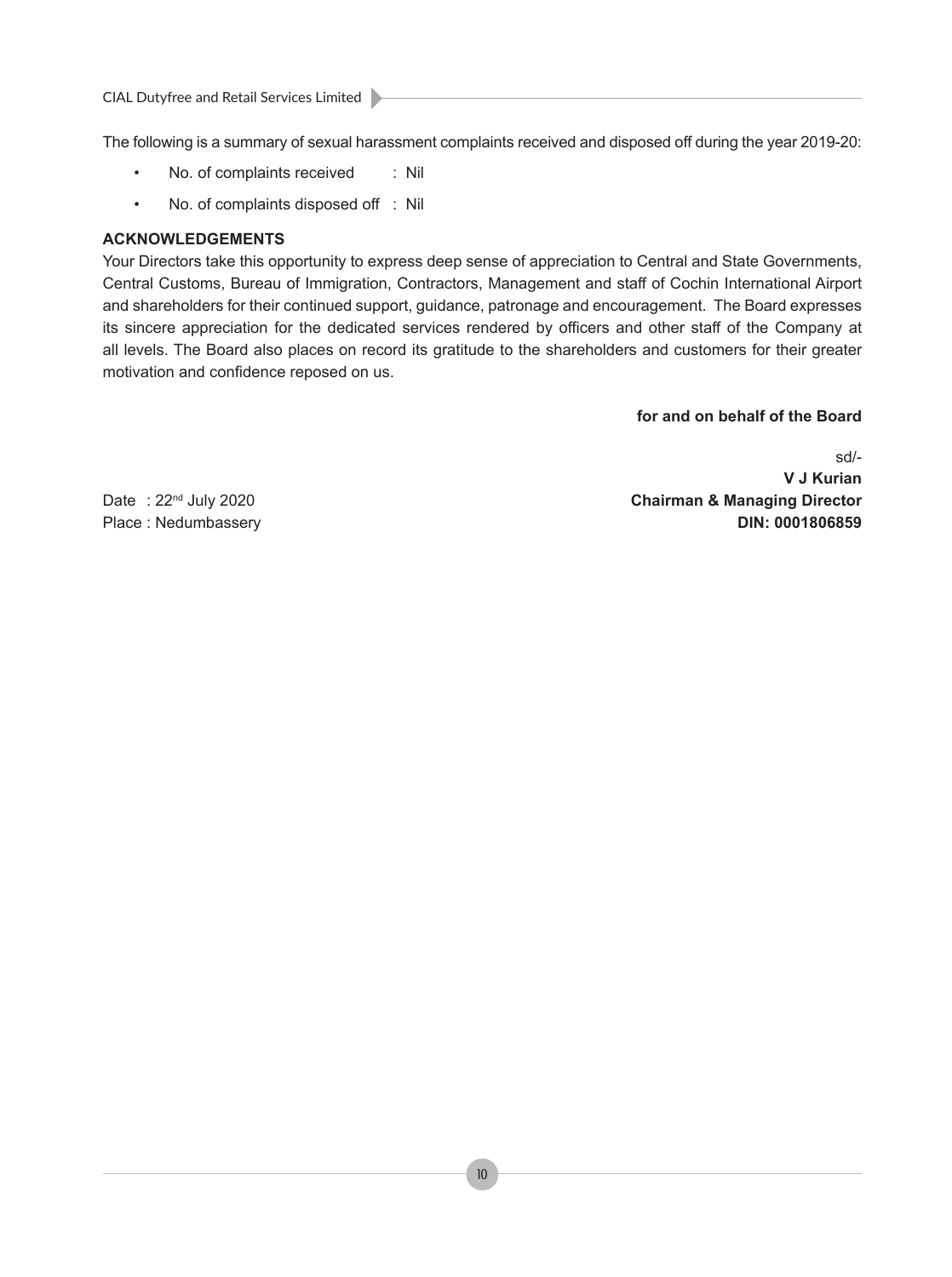CIAL Dutyfree and Retail Services Limited

The following is a summary of sexual harassment complaints received and disposed off during the year 2019-20:

- No. of complaints received : Nil
- No. of complaints disposed off : Nil

### **ACKNOWLEDGEMENTS**

Your Directors take this opportunity to express deep sense of appreciation to Central and State Governments, Central Customs, Bureau of Immigration, Contractors, Management and staff of Cochin International Airport and shareholders for their continued support, guidance, patronage and encouragement. The Board expresses its sincere appreciation for the dedicated services rendered by officers and other staff of the Company at all levels. The Board also places on record its gratitude to the shareholders and customers for their greater motivation and confidence reposed on us.

### **for and on behalf of the Board**

Date: 22<sup>nd</sup> July 2020 Place : Nedumbassery

sd/- **V J Kurian Chairman & Managing Director DIN: 0001806859**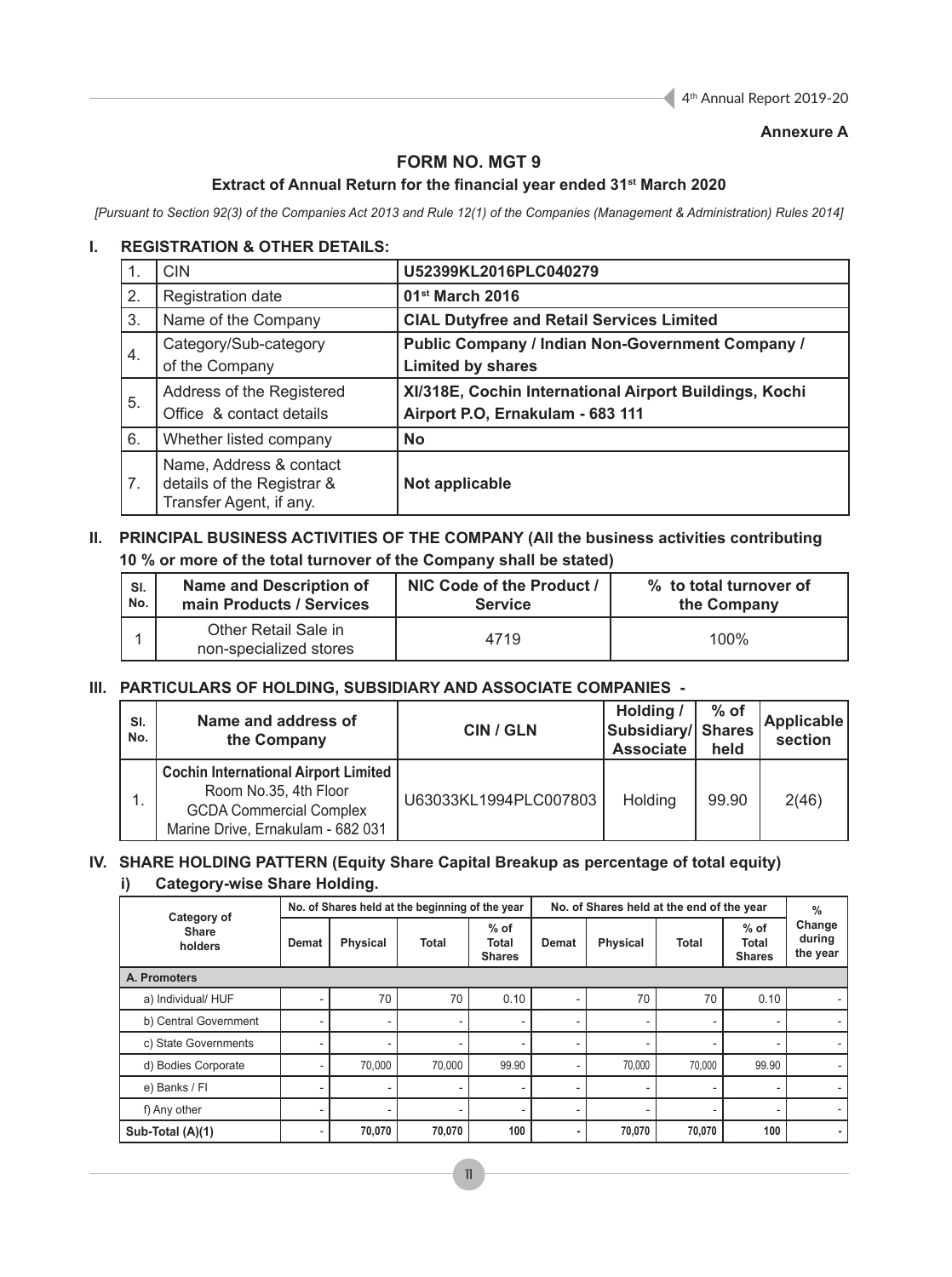### **Annexure A**

### **FORM NO. MGT 9**

### **Extract of Annual Return for the financial year ended 31st March 2020**

*[Pursuant to Section 92(3) of the Companies Act 2013 and Rule 12(1) of the Companies (Management & Administration) Rules 2014]*

### **I. REGISTRATION & OTHER DETAILS:**

| 1. | <b>CIN</b>                                                                       | U52399KL2016PLC040279                                  |
|----|----------------------------------------------------------------------------------|--------------------------------------------------------|
| 2. | Registration date                                                                | 01 <sup>st</sup> March 2016                            |
| 3. | Name of the Company                                                              | <b>CIAL Dutyfree and Retail Services Limited</b>       |
| 4. | Category/Sub-category                                                            | Public Company / Indian Non-Government Company /       |
|    | of the Company                                                                   | <b>Limited by shares</b>                               |
| 5. | Address of the Registered                                                        | XI/318E, Cochin International Airport Buildings, Kochi |
|    | Office & contact details                                                         | Airport P.O, Ernakulam - 683 111                       |
| 6. | Whether listed company                                                           | <b>No</b>                                              |
| 7. | Name, Address & contact<br>details of the Registrar &<br>Transfer Agent, if any. | Not applicable                                         |

### **II. PRINCIPAL BUSINESS ACTIVITIES OF THE COMPANY (All the business activities contributing 10 % or more of the total turnover of the Company shall be stated)**

| SI. | <b>Name and Description of</b>                 | NIC Code of the Product / | % to total turnover of |
|-----|------------------------------------------------|---------------------------|------------------------|
| No. | main Products / Services                       | <b>Service</b>            | the Company            |
|     | Other Retail Sale in<br>non-specialized stores | 4719                      | 100%                   |

### **III. PARTICULARS OF HOLDING, SUBSIDIARY AND ASSOCIATE COMPANIES -**

| SI.<br>No. | Name and address of<br>the Company                                                                                                          | <b>CIN / GLN</b>      | Holding /<br>Subsidiary/ Shares<br><b>Associate</b> | $%$ of<br>held | Applicable<br>section |
|------------|---------------------------------------------------------------------------------------------------------------------------------------------|-----------------------|-----------------------------------------------------|----------------|-----------------------|
|            | <b>Cochin International Airport Limited</b><br>Room No.35, 4th Floor<br><b>GCDA Commercial Complex</b><br>Marine Drive, Ernakulam - 682 031 | U63033KL1994PLC007803 | Holding                                             | 99.90          | 2(46)                 |

### **IV. SHARE HOLDING PATTERN (Equity Share Capital Breakup as percentage of total equity) i) Category-wise Share Holding.**

|                                        |       |                 | No. of Shares held at the beginning of the year |                                  | No. of Shares held at the end of the year |                 |              |                                         | $\frac{0}{0}$                |  |
|----------------------------------------|-------|-----------------|-------------------------------------------------|----------------------------------|-------------------------------------------|-----------------|--------------|-----------------------------------------|------------------------------|--|
| Category of<br><b>Share</b><br>holders | Demat | <b>Physical</b> | <b>Total</b>                                    | $%$ of<br>Total<br><b>Shares</b> | <b>Demat</b>                              | <b>Physical</b> | <b>Total</b> | $%$ of<br><b>Total</b><br><b>Shares</b> | Change<br>during<br>the year |  |
| A. Promoters                           |       |                 |                                                 |                                  |                                           |                 |              |                                         |                              |  |
| a) Individual/ HUF                     |       | 70              | 70                                              | 0.10                             |                                           | 70              | 70           | 0.10                                    |                              |  |
| b) Central Government                  | ۰     |                 |                                                 |                                  |                                           |                 |              |                                         |                              |  |
| c) State Governments                   |       |                 |                                                 |                                  |                                           |                 |              |                                         |                              |  |
| d) Bodies Corporate                    |       | 70,000          | 70.000                                          | 99.90                            |                                           | 70,000          | 70,000       | 99.90                                   |                              |  |
| e) Banks / Fl                          |       |                 |                                                 |                                  | -                                         |                 |              |                                         |                              |  |
| f) Any other                           |       |                 |                                                 |                                  |                                           |                 |              |                                         |                              |  |
| Sub-Total (A)(1)                       |       | 70,070          | 70,070                                          | 100                              |                                           | 70,070          | 70,070       | 100                                     |                              |  |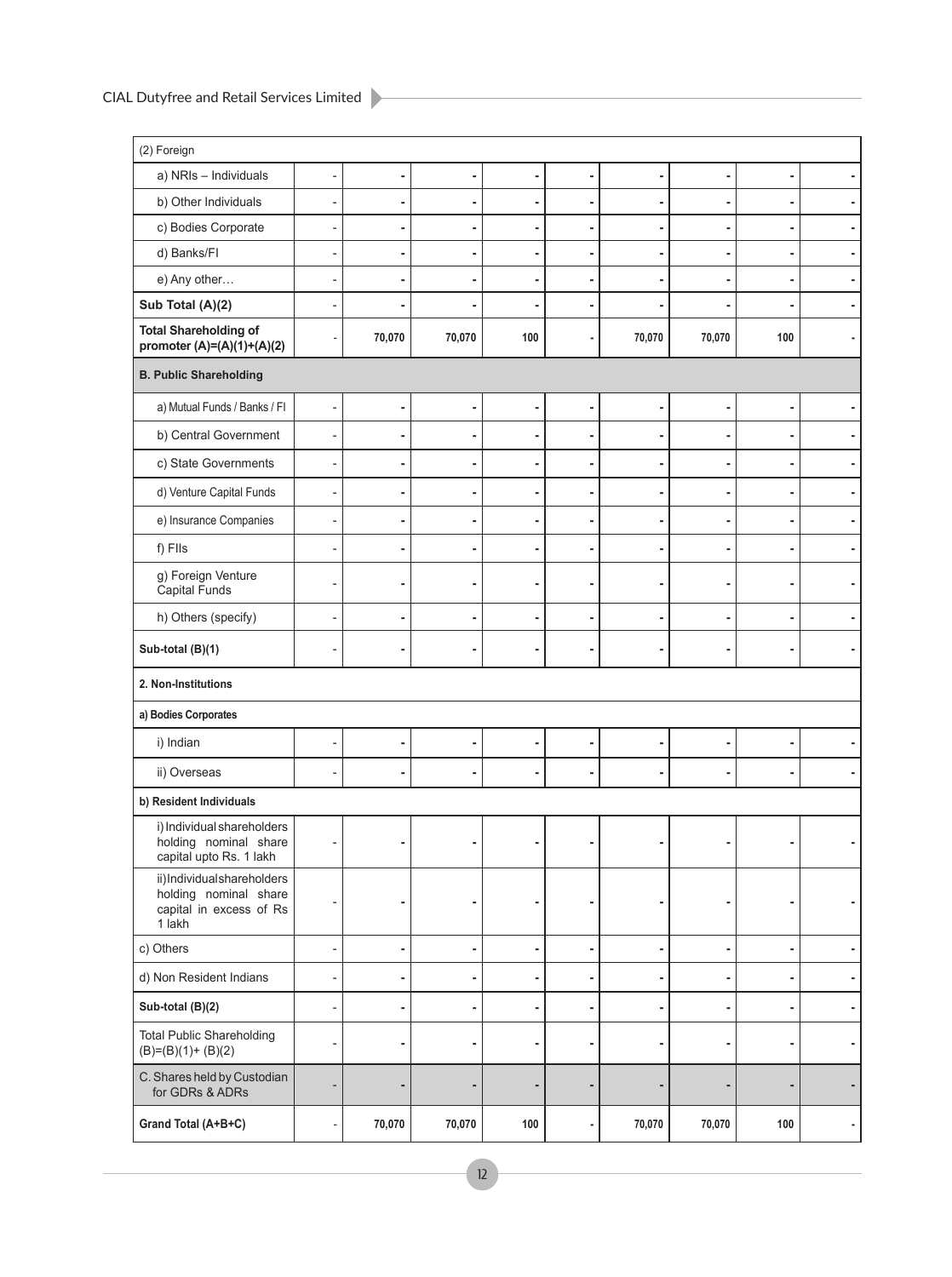### CIAL Dutyfree and Retail Services Limited

| (2) Foreign                                                                             |                |        |        |     |    |                |        |     |   |
|-----------------------------------------------------------------------------------------|----------------|--------|--------|-----|----|----------------|--------|-----|---|
| a) NRIs - Individuals                                                                   | Ĭ.             | ٠      |        |     | ٠  | ä,             |        |     |   |
| b) Other Individuals                                                                    | ÷              | ä,     |        |     | ä, | ٠              |        |     |   |
| c) Bodies Corporate                                                                     | ÷              | ٠      |        |     | ۰  | ٠              |        |     |   |
| d) Banks/FI                                                                             | ٠              | ٠      | ۰      | ٠   | ٠  | ٠              |        |     |   |
| e) Any other                                                                            |                |        |        |     |    | ٠              |        |     |   |
| Sub Total (A)(2)                                                                        |                |        |        |     | ä, | ٠              |        |     |   |
| <b>Total Shareholding of</b><br>promoter $(A)=(A)(1)+(A)(2)$                            |                | 70,070 | 70,070 | 100 |    | 70,070         | 70,070 | 100 |   |
| <b>B. Public Shareholding</b>                                                           |                |        |        |     |    |                |        |     |   |
| a) Mutual Funds / Banks / Fl                                                            | ÷              | ٠      | ۰      | ٠   | ٠  | ٠              |        |     |   |
| b) Central Government                                                                   | ä,             | ٠      | ۰      | ٠   | ۰  | $\blacksquare$ |        |     |   |
| c) State Governments                                                                    | ÷              | ٠      |        |     |    | ٠              |        |     |   |
| d) Venture Capital Funds                                                                | ÷              | ٠      |        |     | ٠  | ٠              |        |     |   |
| e) Insurance Companies                                                                  | ÷              | ۰      |        |     |    | ٠              |        |     |   |
| f) Flls                                                                                 |                | ۰      |        |     | ä, | ٠              |        |     |   |
| g) Foreign Venture<br>Capital Funds                                                     |                | ۰      |        |     |    | ٠              |        |     |   |
| h) Others (specify)                                                                     |                | ä,     |        |     | ä, | ٠              |        |     |   |
| Sub-total (B)(1)                                                                        |                | ä,     |        |     | ä, | ٠              |        |     |   |
| 2. Non-Institutions                                                                     |                |        |        |     |    |                |        |     |   |
| a) Bodies Corporates                                                                    |                |        |        |     |    |                |        |     |   |
| i) Indian                                                                               | ÷              | ٠      |        |     | ٠  | ٠              |        |     |   |
| ii) Overseas                                                                            |                | ٠      |        |     | ÷  | ٠              |        |     |   |
| b) Resident Individuals                                                                 |                |        |        |     |    |                |        |     |   |
| i) Individual shareholders<br>holding nominal share<br>capital upto Rs. 1 lakh          |                | ۰      | ۰      |     | ۰  |                |        |     |   |
| ii)Individualshareholders<br>holding nominal share<br>capital in excess of Rs<br>1 lakh |                | ٠      |        |     |    | ٠              |        |     |   |
| c) Others                                                                               | $\overline{a}$ | ٠      | ٠      |     | ٠  | ٠              |        |     |   |
| d) Non Resident Indians                                                                 | $\overline{a}$ | ۰      | ۰      | ٠   | ٠  | ٠              |        |     | ٠ |
| Sub-total (B)(2)                                                                        | $\overline{a}$ | ٠      |        |     | ٠  | ٠              |        |     |   |
| <b>Total Public Shareholding</b><br>$(B)=(B)(1)+(B)(2)$                                 | ÷              | ٠      |        |     | ä, | ٠              |        |     |   |
| C. Shares held by Custodian<br>for GDRs & ADRs                                          |                |        |        |     |    |                |        |     |   |
| Grand Total (A+B+C)                                                                     | ÷,             | 70,070 | 70,070 | 100 | ۰  | 70,070         | 70,070 | 100 |   |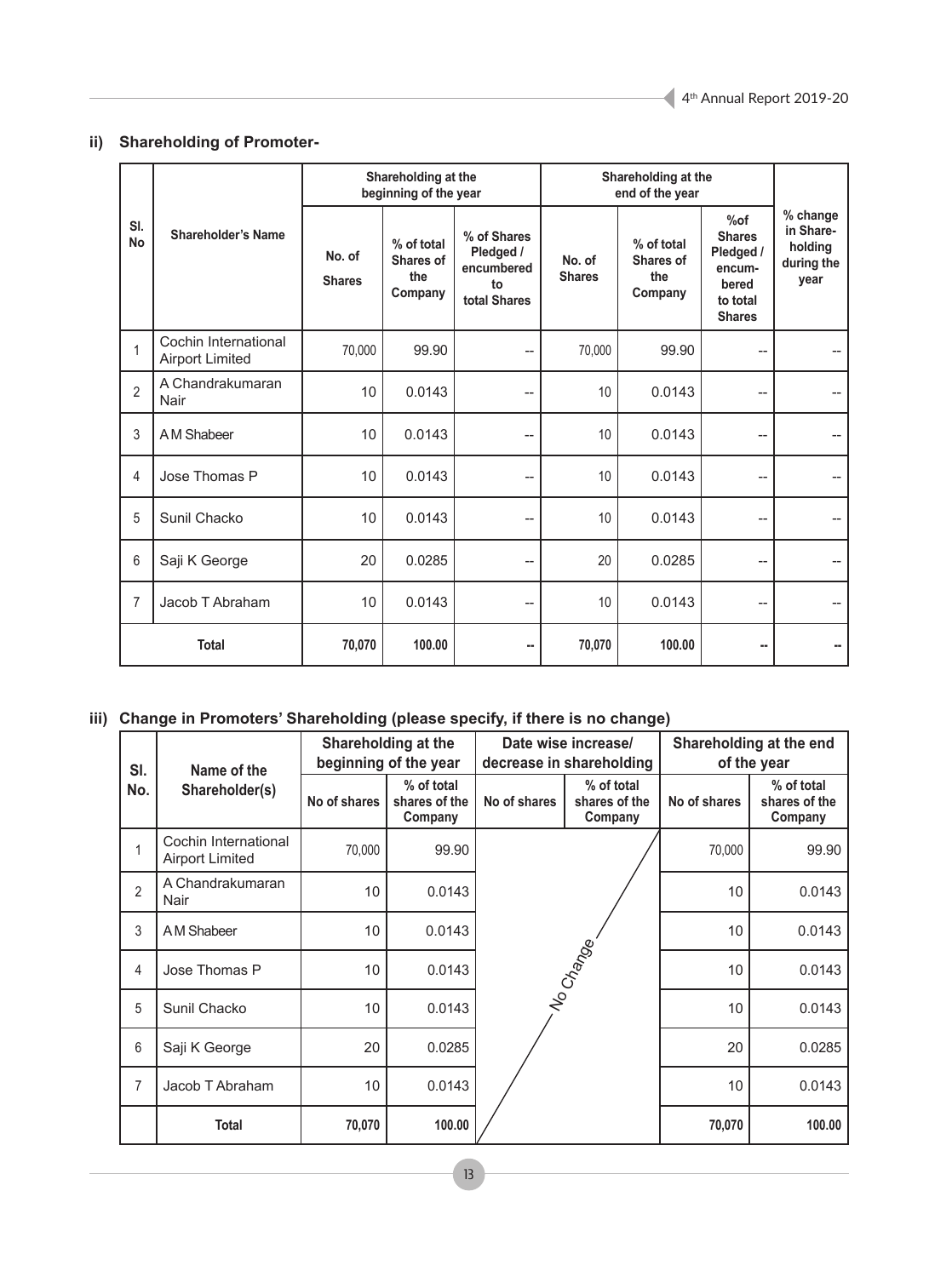### **ii) Shareholding of Promoter-**

|                  |                                                |                         | Shareholding at the<br>beginning of the year |                                                              | Shareholding at the<br>end of the year |                                           |                                                                                   |                                                        |
|------------------|------------------------------------------------|-------------------------|----------------------------------------------|--------------------------------------------------------------|----------------------------------------|-------------------------------------------|-----------------------------------------------------------------------------------|--------------------------------------------------------|
| SI.<br><b>No</b> | <b>Shareholder's Name</b>                      | No. of<br><b>Shares</b> | % of total<br>Shares of<br>the<br>Company    | % of Shares<br>Pledged /<br>encumbered<br>to<br>total Shares | No. of<br><b>Shares</b>                | % of total<br>Shares of<br>the<br>Company | %of<br><b>Shares</b><br>Pledged /<br>encum-<br>bered<br>to total<br><b>Shares</b> | % change<br>in Share-<br>holding<br>during the<br>year |
| $\mathbf{1}$     | Cochin International<br><b>Airport Limited</b> | 70,000                  | 99.90                                        | --                                                           | 70,000                                 | 99.90                                     | --                                                                                |                                                        |
| $\overline{2}$   | A Chandrakumaran<br>Nair                       | 10                      | 0.0143                                       | --                                                           | 10                                     | 0.0143                                    |                                                                                   |                                                        |
| 3                | A M Shabeer                                    | 10                      | 0.0143                                       | --                                                           | 10                                     | 0.0143                                    | --                                                                                |                                                        |
| 4                | Jose Thomas P                                  | 10                      | 0.0143                                       | --                                                           | 10                                     | 0.0143                                    | --                                                                                |                                                        |
| 5                | Sunil Chacko                                   | 10                      | 0.0143                                       | --                                                           | 10                                     | 0.0143                                    | --                                                                                |                                                        |
| 6                | Saji K George                                  | 20                      | 0.0285                                       | --                                                           | 20                                     | 0.0285                                    | --                                                                                |                                                        |
| $\overline{7}$   | Jacob T Abraham                                | 10                      | 0.0143                                       | --                                                           | 10                                     | 0.0143                                    | --                                                                                | --                                                     |
|                  | <b>Total</b>                                   | 70,070                  | 100.00                                       | --                                                           | 70,070                                 | 100.00                                    |                                                                                   |                                                        |

### **iii) Change in Promoters' Shareholding (please specify, if there is no change)**

| SI.            | Name of the<br>Shareholder(s)                  | Shareholding at the<br>beginning of the year |                                        | Date wise increase/<br>decrease in shareholding |                                        | Shareholding at the end<br>of the year |                                        |
|----------------|------------------------------------------------|----------------------------------------------|----------------------------------------|-------------------------------------------------|----------------------------------------|----------------------------------------|----------------------------------------|
| No.            |                                                | No of shares                                 | % of total<br>shares of the<br>Company | No of shares                                    | % of total<br>shares of the<br>Company | No of shares                           | % of total<br>shares of the<br>Company |
| $\mathbf{1}$   | Cochin International<br><b>Airport Limited</b> | 70,000                                       | 99.90                                  |                                                 |                                        | 70,000                                 | 99.90                                  |
| $\overline{2}$ | A Chandrakumaran<br>Nair                       | 10                                           | 0.0143                                 |                                                 |                                        | 10                                     | 0.0143                                 |
| 3              | A M Shabeer                                    | 10                                           | 0.0143                                 |                                                 |                                        | 10                                     | 0.0143                                 |
| 4              | Jose Thomas P                                  | 10                                           | 0.0143                                 |                                                 | No Change                              | 10                                     | 0.0143                                 |
| 5              | Sunil Chacko                                   | 10                                           | 0.0143                                 |                                                 |                                        | 10                                     | 0.0143                                 |
| 6              | Saji K George                                  | 20                                           | 0.0285                                 |                                                 |                                        | 20                                     | 0.0285                                 |
| 7              | Jacob T Abraham                                | 10                                           | 0.0143                                 |                                                 |                                        | 10                                     | 0.0143                                 |
|                | <b>Total</b>                                   | 70,070                                       | 100.00                                 |                                                 |                                        | 70,070                                 | 100.00                                 |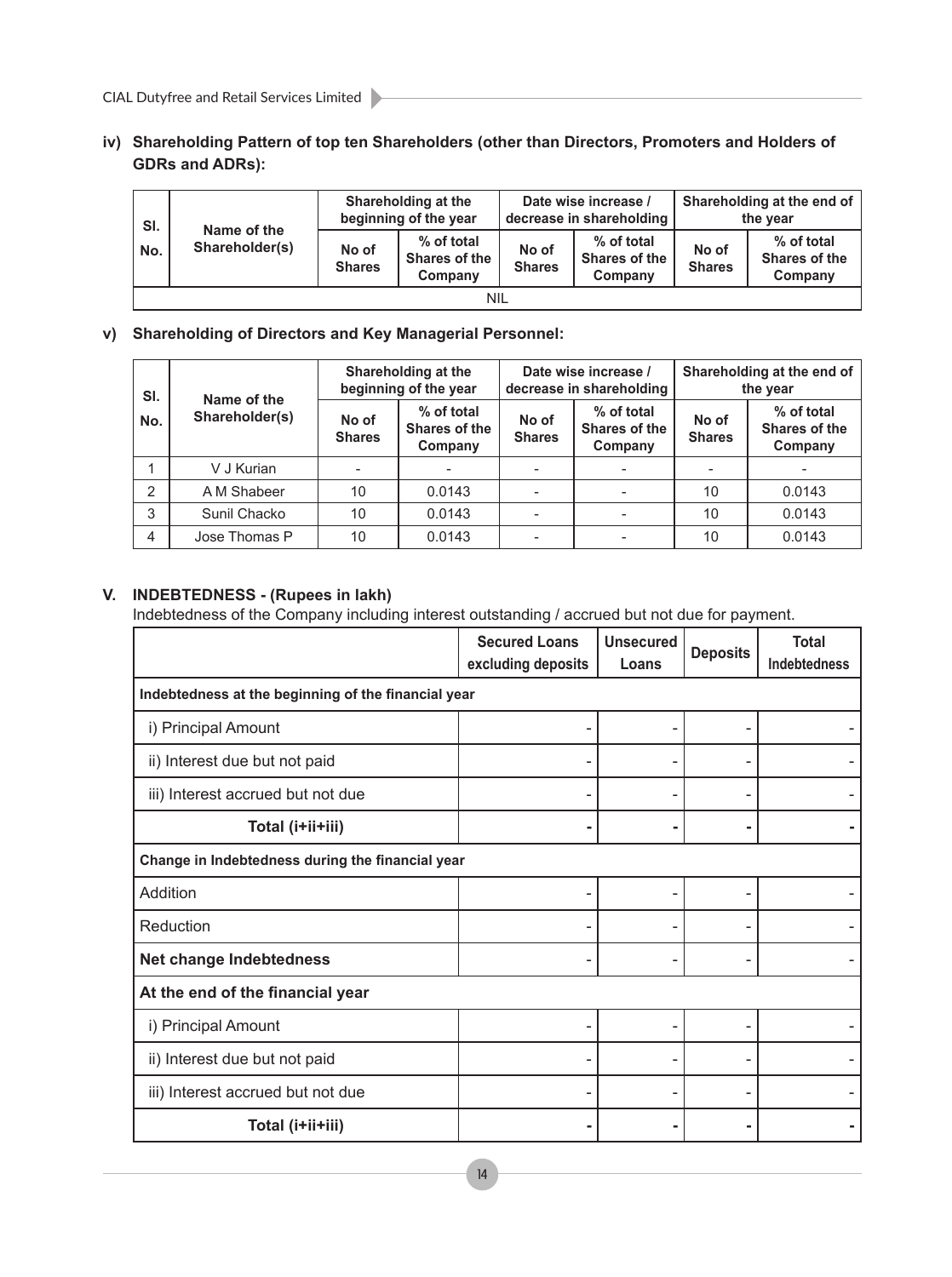### **iv) Shareholding Pattern of top ten Shareholders (other than Directors, Promoters and Holders of GDRs and ADRs):**

| SI.<br>No. | Name of the<br>Shareholder(s) | Shareholding at the<br>beginning of the year |                                        | Date wise increase /<br>decrease in shareholding |                                        | Shareholding at the end of<br>the year |                                        |  |
|------------|-------------------------------|----------------------------------------------|----------------------------------------|--------------------------------------------------|----------------------------------------|----------------------------------------|----------------------------------------|--|
|            |                               | No of<br><b>Shares</b>                       | % of total<br>Shares of the<br>Company | No of<br><b>Shares</b>                           | % of total<br>Shares of the<br>Company | No of<br><b>Shares</b>                 | % of total<br>Shares of the<br>Company |  |
|            | <b>NIL</b>                    |                                              |                                        |                                                  |                                        |                                        |                                        |  |

### **v) Shareholding of Directors and Key Managerial Personnel:**

| SI.<br>No.     | Name of the    | Shareholding at the<br>beginning of the year |                                        |                        | Date wise increase /<br>decrease in shareholding | Shareholding at the end of<br>the year |                                        |
|----------------|----------------|----------------------------------------------|----------------------------------------|------------------------|--------------------------------------------------|----------------------------------------|----------------------------------------|
|                | Shareholder(s) | No of<br><b>Shares</b>                       | % of total<br>Shares of the<br>Company | No of<br><b>Shares</b> | % of total<br>Shares of the<br>Company           | No of<br><b>Shares</b>                 | % of total<br>Shares of the<br>Company |
|                | V J Kurian     |                                              |                                        |                        |                                                  |                                        |                                        |
| $\mathcal{P}$  | A M Shabeer    | 10                                           | 0.0143                                 |                        |                                                  | 10                                     | 0.0143                                 |
| 3              | Sunil Chacko   | 10                                           | 0.0143                                 |                        |                                                  | 10                                     | 0.0143                                 |
| $\overline{4}$ | Jose Thomas P  | 10                                           | 0.0143                                 |                        |                                                  | 10                                     | 0.0143                                 |

### **V. INDEBTEDNESS - (Rupees in lakh)**

Indebtedness of the Company including interest outstanding / accrued but not due for payment.

|                                                     | <b>Secured Loans</b><br>excluding deposits | <b>Unsecured</b><br>Loans | <b>Deposits</b> | <b>Total</b><br><b>Indebtedness</b> |
|-----------------------------------------------------|--------------------------------------------|---------------------------|-----------------|-------------------------------------|
| Indebtedness at the beginning of the financial year |                                            |                           |                 |                                     |
| i) Principal Amount                                 |                                            |                           |                 |                                     |
| ii) Interest due but not paid                       |                                            |                           |                 |                                     |
| iii) Interest accrued but not due                   |                                            |                           |                 |                                     |
| Total (i+ii+iii)                                    |                                            |                           |                 |                                     |
| Change in Indebtedness during the financial year    |                                            |                           |                 |                                     |
| Addition                                            |                                            |                           |                 |                                     |
| Reduction                                           |                                            |                           |                 |                                     |
| Net change Indebtedness                             |                                            |                           |                 |                                     |
| At the end of the financial year                    |                                            |                           |                 |                                     |
| i) Principal Amount                                 |                                            |                           |                 |                                     |
| ii) Interest due but not paid                       |                                            |                           |                 |                                     |
| iii) Interest accrued but not due                   |                                            |                           |                 |                                     |
| Total (i+ii+iii)                                    |                                            |                           |                 |                                     |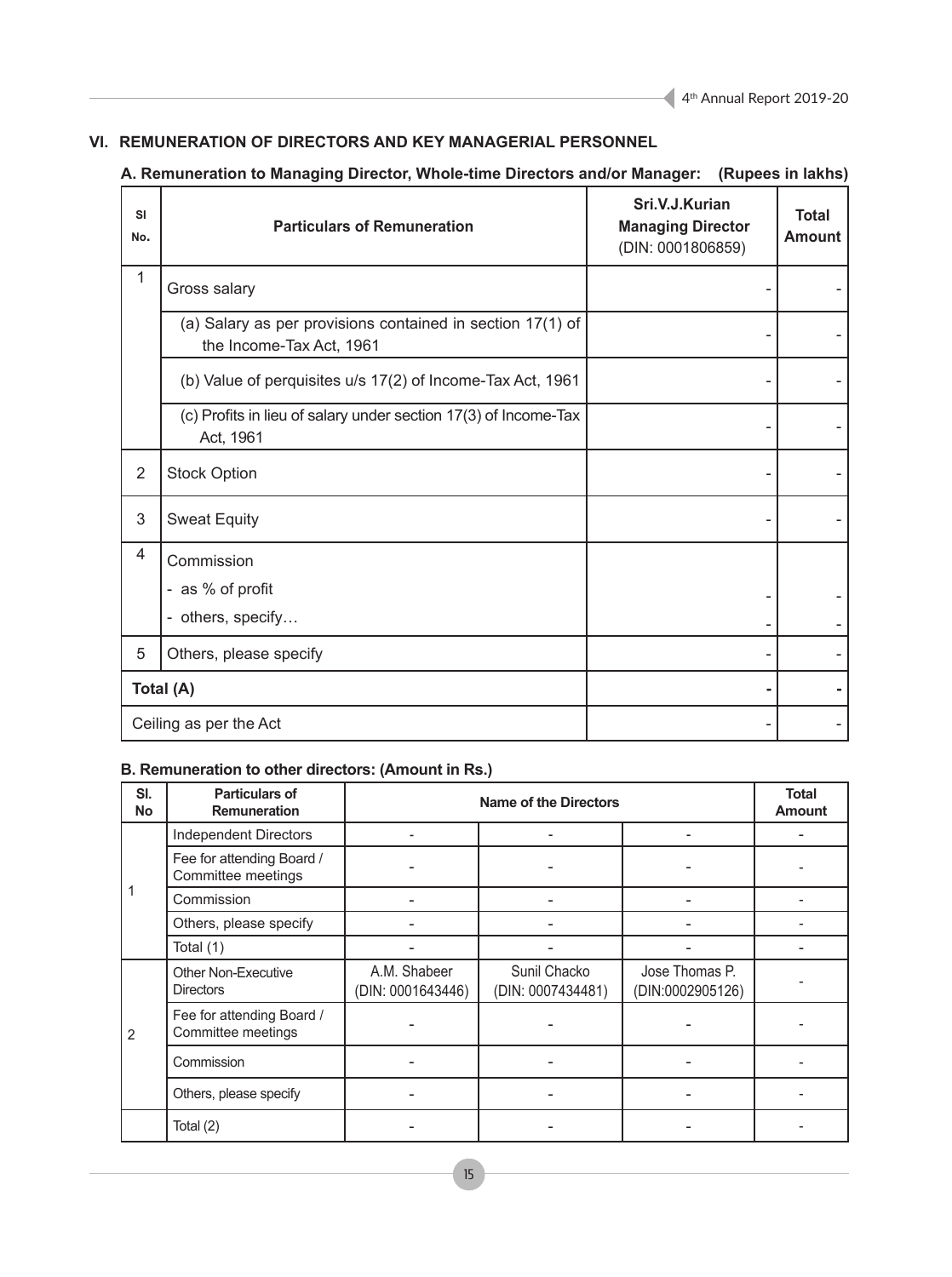### **VI. REMUNERATION OF DIRECTORS AND KEY MANAGERIAL PERSONNEL**

### **A. Remuneration to Managing Director, Whole-time Directors and/or Manager: (Rupees in lakhs)**

| <b>SI</b><br>No. | <b>Particulars of Remuneration</b>                                                     | Sri.V.J.Kurian<br><b>Managing Director</b><br>(DIN: 0001806859) | <b>Total</b><br><b>Amount</b> |
|------------------|----------------------------------------------------------------------------------------|-----------------------------------------------------------------|-------------------------------|
| 1                | Gross salary                                                                           |                                                                 |                               |
|                  | (a) Salary as per provisions contained in section 17(1) of<br>the Income-Tax Act, 1961 |                                                                 |                               |
|                  | (b) Value of perquisites u/s 17(2) of Income-Tax Act, 1961                             |                                                                 |                               |
|                  | (c) Profits in lieu of salary under section 17(3) of Income-Tax<br>Act, 1961           |                                                                 |                               |
| $\overline{2}$   | <b>Stock Option</b>                                                                    |                                                                 |                               |
| 3                | <b>Sweat Equity</b>                                                                    |                                                                 |                               |
| 4                | Commission                                                                             |                                                                 |                               |
|                  | - as % of profit                                                                       |                                                                 |                               |
|                  | - others, specify                                                                      |                                                                 |                               |
| 5                | Others, please specify                                                                 |                                                                 |                               |
|                  | Total (A)                                                                              |                                                                 |                               |
|                  | Ceiling as per the Act                                                                 |                                                                 |                               |

### **B. Remuneration to other directors: (Amount in Rs.)**

| SI.<br><b>No</b> | <b>Particulars of</b><br><b>Remuneration</b>    |                                   | <b>Name of the Directors</b>      |                                    |  |  |  |  |  |
|------------------|-------------------------------------------------|-----------------------------------|-----------------------------------|------------------------------------|--|--|--|--|--|
|                  | <b>Independent Directors</b>                    |                                   |                                   |                                    |  |  |  |  |  |
|                  | Fee for attending Board /<br>Committee meetings |                                   |                                   |                                    |  |  |  |  |  |
|                  | Commission                                      |                                   |                                   |                                    |  |  |  |  |  |
|                  | Others, please specify                          |                                   |                                   |                                    |  |  |  |  |  |
|                  | Total (1)                                       |                                   |                                   |                                    |  |  |  |  |  |
|                  | <b>Other Non-Executive</b><br><b>Directors</b>  | A.M. Shabeer<br>(DIN: 0001643446) | Sunil Chacko<br>(DIN: 0007434481) | Jose Thomas P.<br>(DIN:0002905126) |  |  |  |  |  |
| $\overline{2}$   | Fee for attending Board /<br>Committee meetings |                                   |                                   |                                    |  |  |  |  |  |
|                  | Commission                                      |                                   |                                   |                                    |  |  |  |  |  |
|                  | Others, please specify                          |                                   |                                   |                                    |  |  |  |  |  |
|                  | Total (2)                                       |                                   |                                   |                                    |  |  |  |  |  |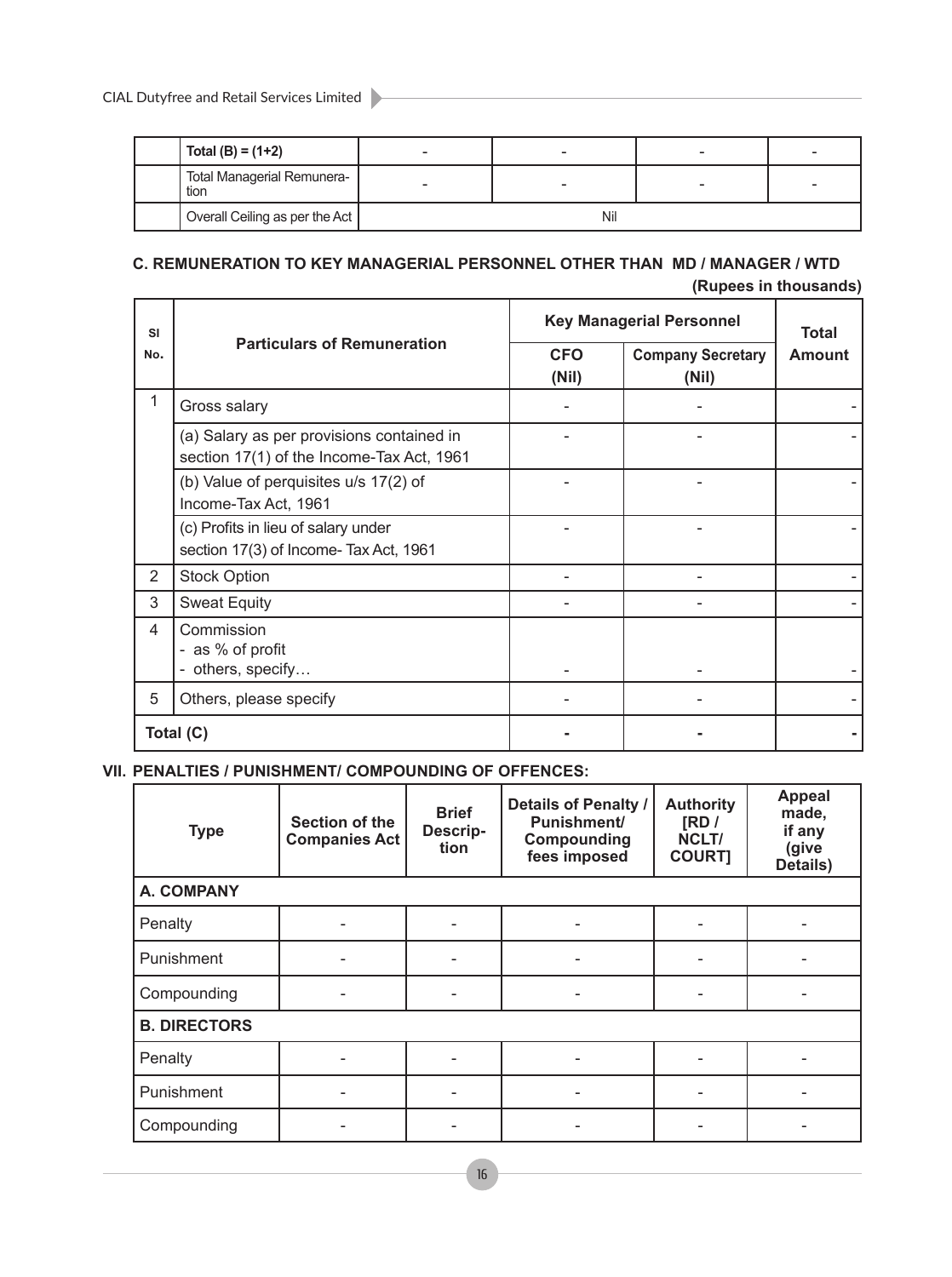| $Total (B) = (1+2)$                |     | - |  |
|------------------------------------|-----|---|--|
| Total Managerial Remunera-<br>tion |     | - |  |
| Overall Ceiling as per the Act     | Nil |   |  |

### **C. REMUNERATION TO KEY MANAGERIAL PERSONNEL OTHER THAN MD / MANAGER / WTD**

**(Rupees in thousands)**

| <b>SI</b>      |                                                                                        | <b>Key Managerial Personnel</b> | <b>Total</b>                      |               |  |
|----------------|----------------------------------------------------------------------------------------|---------------------------------|-----------------------------------|---------------|--|
| No.            | <b>Particulars of Remuneration</b>                                                     | <b>CFO</b><br>(Nil)             | <b>Company Secretary</b><br>(Nil) | <b>Amount</b> |  |
| 1              | Gross salary                                                                           |                                 |                                   |               |  |
|                | (a) Salary as per provisions contained in<br>section 17(1) of the Income-Tax Act, 1961 |                                 |                                   |               |  |
|                | (b) Value of perquisites u/s 17(2) of<br>Income-Tax Act, 1961                          |                                 |                                   |               |  |
|                | (c) Profits in lieu of salary under<br>section 17(3) of Income-Tax Act, 1961           |                                 |                                   |               |  |
| $\overline{2}$ | <b>Stock Option</b>                                                                    |                                 |                                   |               |  |
| 3              | <b>Sweat Equity</b>                                                                    |                                 |                                   |               |  |
| 4              | Commission<br>- as % of profit<br>- others, specify                                    |                                 |                                   |               |  |
| 5              | Others, please specify                                                                 |                                 |                                   |               |  |
|                | Total (C)                                                                              |                                 |                                   |               |  |

### **VII. PENALTIES / PUNISHMENT/ COMPOUNDING OF OFFENCES:**

| <b>Type</b>         | Section of the<br><b>Companies Act</b> | <b>Brief</b><br>Descrip-<br>tion | <b>Details of Penalty /</b><br>Punishment/<br>Compounding<br>fees imposed | <b>Authority</b><br>[RD/<br>NCLT/<br><b>COURT]</b> | <b>Appeal</b><br>made,<br>if any<br>(give<br>Details) |  |
|---------------------|----------------------------------------|----------------------------------|---------------------------------------------------------------------------|----------------------------------------------------|-------------------------------------------------------|--|
| A. COMPANY          |                                        |                                  |                                                                           |                                                    |                                                       |  |
| Penalty             |                                        |                                  |                                                                           |                                                    |                                                       |  |
| Punishment          |                                        |                                  |                                                                           |                                                    |                                                       |  |
| Compounding         | ۰                                      |                                  | ٠                                                                         |                                                    |                                                       |  |
| <b>B. DIRECTORS</b> |                                        |                                  |                                                                           |                                                    |                                                       |  |
| Penalty             |                                        |                                  |                                                                           |                                                    |                                                       |  |
| Punishment          |                                        |                                  |                                                                           |                                                    |                                                       |  |
| Compounding         |                                        |                                  |                                                                           |                                                    |                                                       |  |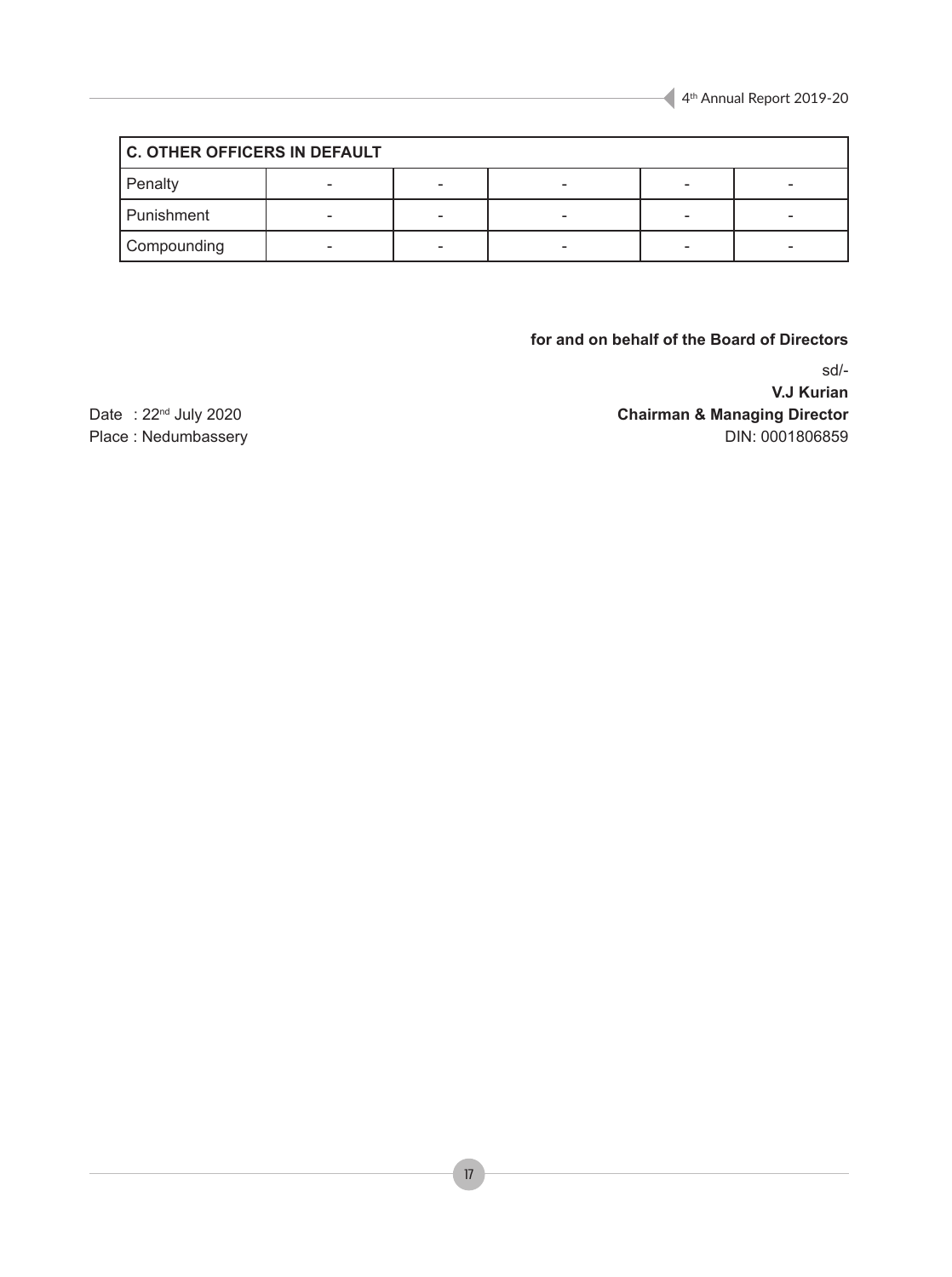| <b>C. OTHER OFFICERS IN DEFAULT</b> |  |  |  |  |  |  |  |
|-------------------------------------|--|--|--|--|--|--|--|
| Penalty                             |  |  |  |  |  |  |  |
| Punishment                          |  |  |  |  |  |  |  |
| Compounding                         |  |  |  |  |  |  |  |

**for and on behalf of the Board of Directors**

Date : 22<sup>nd</sup> July 2020 Place : Nedumbassery

sd/- **V.J Kurian Chairman & Managing Director** DIN: 0001806859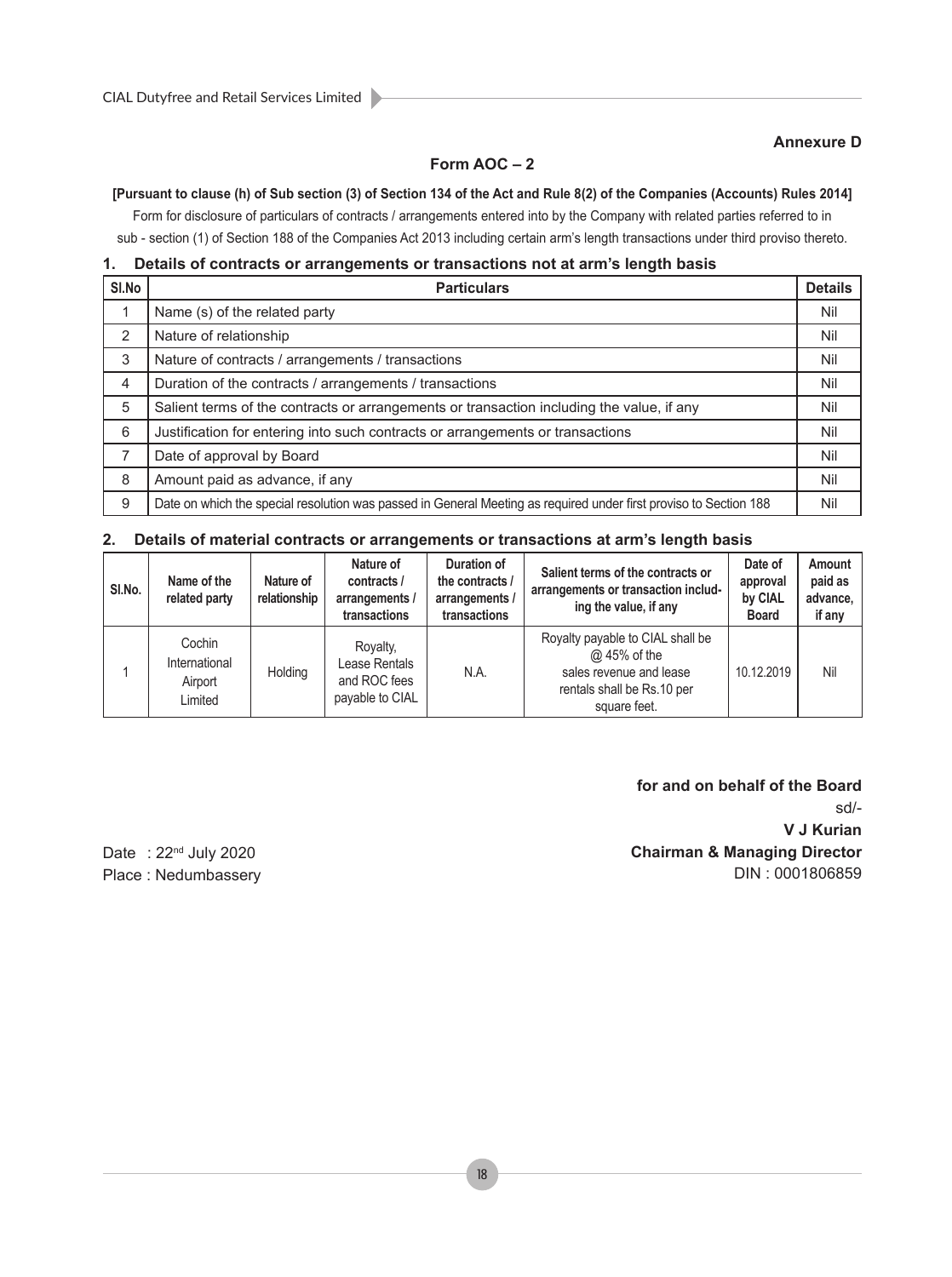### **Annexure D**

### **Form AOC – 2**

### **[Pursuant to clause (h) of Sub section (3) of Section 134 of the Act and Rule 8(2) of the Companies (Accounts) Rules 2014]**

Form for disclosure of particulars of contracts / arrangements entered into by the Company with related parties referred to in sub - section (1) of Section 188 of the Companies Act 2013 including certain arm's length transactions under third proviso thereto.

### **1. Details of contracts or arrangements or transactions not at arm's length basis**

| SI.No | <b>Particulars</b>                                                                                                | <b>Details</b> |
|-------|-------------------------------------------------------------------------------------------------------------------|----------------|
|       | Name (s) of the related party                                                                                     | Nil            |
| 2     | Nature of relationship                                                                                            | Nil            |
| 3     | Nature of contracts / arrangements / transactions                                                                 | Nil            |
| 4     | Duration of the contracts / arrangements / transactions                                                           | Nil            |
| 5     | Salient terms of the contracts or arrangements or transaction including the value, if any                         | Nil            |
| 6     | Justification for entering into such contracts or arrangements or transactions                                    | Nil            |
| 7     | Date of approval by Board                                                                                         | Nil            |
| 8     | Amount paid as advance, if any                                                                                    | Nil            |
| 9     | Date on which the special resolution was passed in General Meeting as required under first proviso to Section 188 | Nil            |

### **2. Details of material contracts or arrangements or transactions at arm's length basis**

| SI.No. | Name of the<br>related party                  | Nature of<br>relationship | Nature of<br>contracts /<br>arrangements /<br>transactions   | <b>Duration of</b><br>the contracts /<br>arrangements /<br>transactions | Salient terms of the contracts or<br>arrangements or transaction includ-<br>ing the value, if any                          | Date of<br>approval<br>by CIAL<br><b>Board</b> | <b>Amount</b><br>paid as<br>advance,<br>if any |
|--------|-----------------------------------------------|---------------------------|--------------------------------------------------------------|-------------------------------------------------------------------------|----------------------------------------------------------------------------------------------------------------------------|------------------------------------------------|------------------------------------------------|
|        | Cochin<br>International<br>Airport<br>Limited | Holding                   | Royalty,<br>Lease Rentals<br>and ROC fees<br>payable to CIAL | N.A.                                                                    | Royalty payable to CIAL shall be<br>$@45%$ of the<br>sales revenue and lease<br>rentals shall be Rs.10 per<br>square feet. | 10.12.2019                                     | Nil                                            |

Date: 22<sup>nd</sup> July 2020 Place : Nedumbassery

**for and on behalf of the Board**  sd/- **V J Kurian Chairman & Managing Director** DIN : 0001806859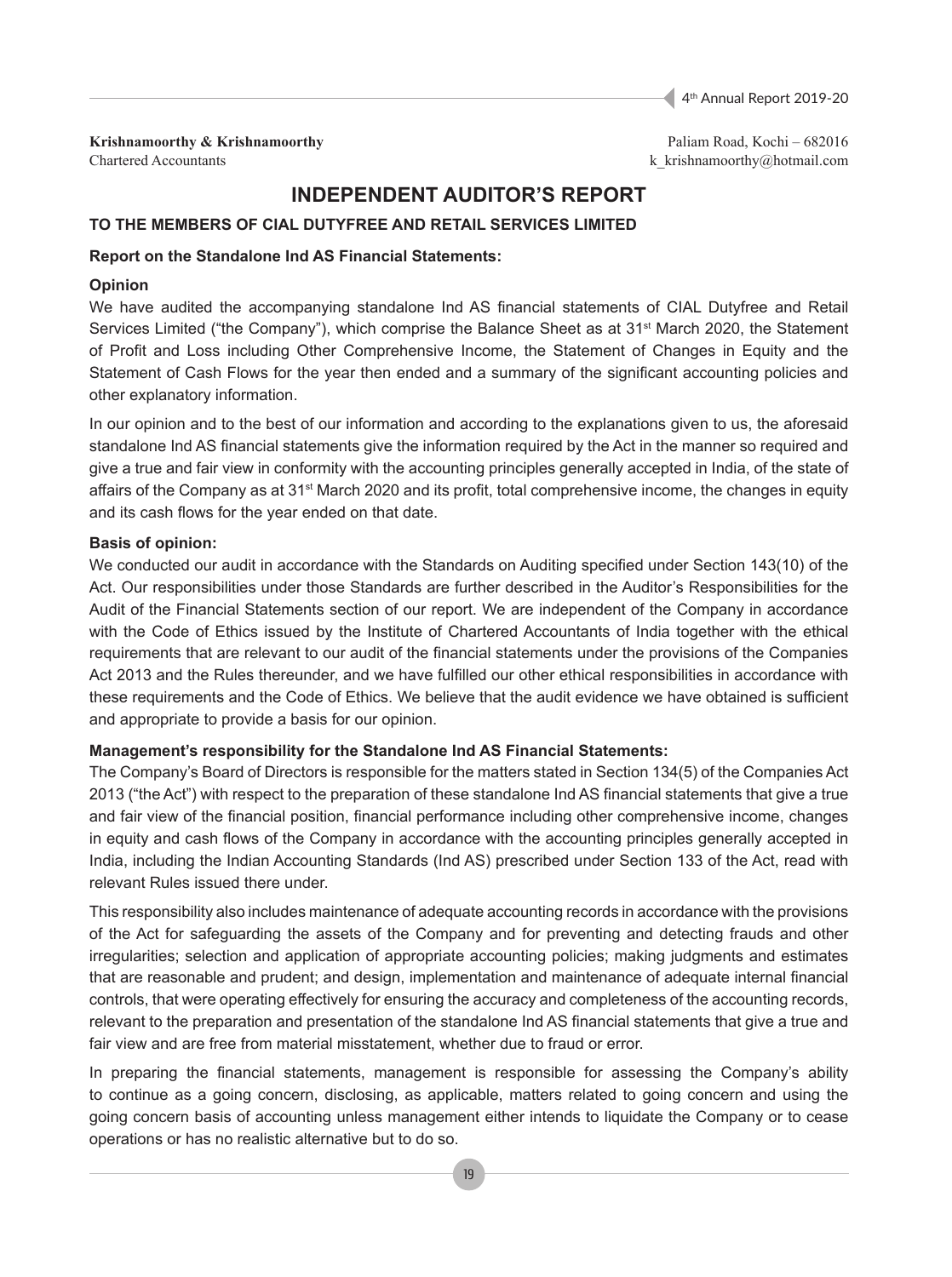Chartered Accountants

Paliam Road, Kochi – 682016 k krishnamoorthy@hotmail.com

### **INDEPENDENT AUDITOR'S REPORT**

### **TO THE MEMBERS OF CIAL DUTYFREE AND RETAIL SERVICES LIMITED**

### **Report on the Standalone Ind AS Financial Statements:**

### **Opinion**

We have audited the accompanying standalone Ind AS financial statements of CIAL Dutyfree and Retail Services Limited ("the Company"), which comprise the Balance Sheet as at 31<sup>st</sup> March 2020, the Statement of Profit and Loss including Other Comprehensive Income, the Statement of Changes in Equity and the Statement of Cash Flows for the year then ended and a summary of the significant accounting policies and other explanatory information.

In our opinion and to the best of our information and according to the explanations given to us, the aforesaid standalone Ind AS financial statements give the information required by the Act in the manner so required and give a true and fair view in conformity with the accounting principles generally accepted in India, of the state of affairs of the Company as at 31st March 2020 and its profit, total comprehensive income, the changes in equity and its cash flows for the year ended on that date.

### **Basis of opinion:**

We conducted our audit in accordance with the Standards on Auditing specified under Section 143(10) of the Act. Our responsibilities under those Standards are further described in the Auditor's Responsibilities for the Audit of the Financial Statements section of our report. We are independent of the Company in accordance with the Code of Ethics issued by the Institute of Chartered Accountants of India together with the ethical requirements that are relevant to our audit of the financial statements under the provisions of the Companies Act 2013 and the Rules thereunder, and we have fulfilled our other ethical responsibilities in accordance with these requirements and the Code of Ethics. We believe that the audit evidence we have obtained is sufficient and appropriate to provide a basis for our opinion.

### **Management's responsibility for the Standalone Ind AS Financial Statements:**

The Company's Board of Directors is responsible for the matters stated in Section 134(5) of the Companies Act 2013 ("the Act") with respect to the preparation of these standalone Ind AS financial statements that give a true and fair view of the financial position, financial performance including other comprehensive income, changes in equity and cash flows of the Company in accordance with the accounting principles generally accepted in India, including the Indian Accounting Standards (Ind AS) prescribed under Section 133 of the Act, read with relevant Rules issued there under.

This responsibility also includes maintenance of adequate accounting records in accordance with the provisions of the Act for safeguarding the assets of the Company and for preventing and detecting frauds and other irregularities; selection and application of appropriate accounting policies; making judgments and estimates that are reasonable and prudent; and design, implementation and maintenance of adequate internal financial controls, that were operating effectively for ensuring the accuracy and completeness of the accounting records, relevant to the preparation and presentation of the standalone Ind AS financial statements that give a true and fair view and are free from material misstatement, whether due to fraud or error.

In preparing the financial statements, management is responsible for assessing the Company's ability to continue as a going concern, disclosing, as applicable, matters related to going concern and using the going concern basis of accounting unless management either intends to liquidate the Company or to cease operations or has no realistic alternative but to do so.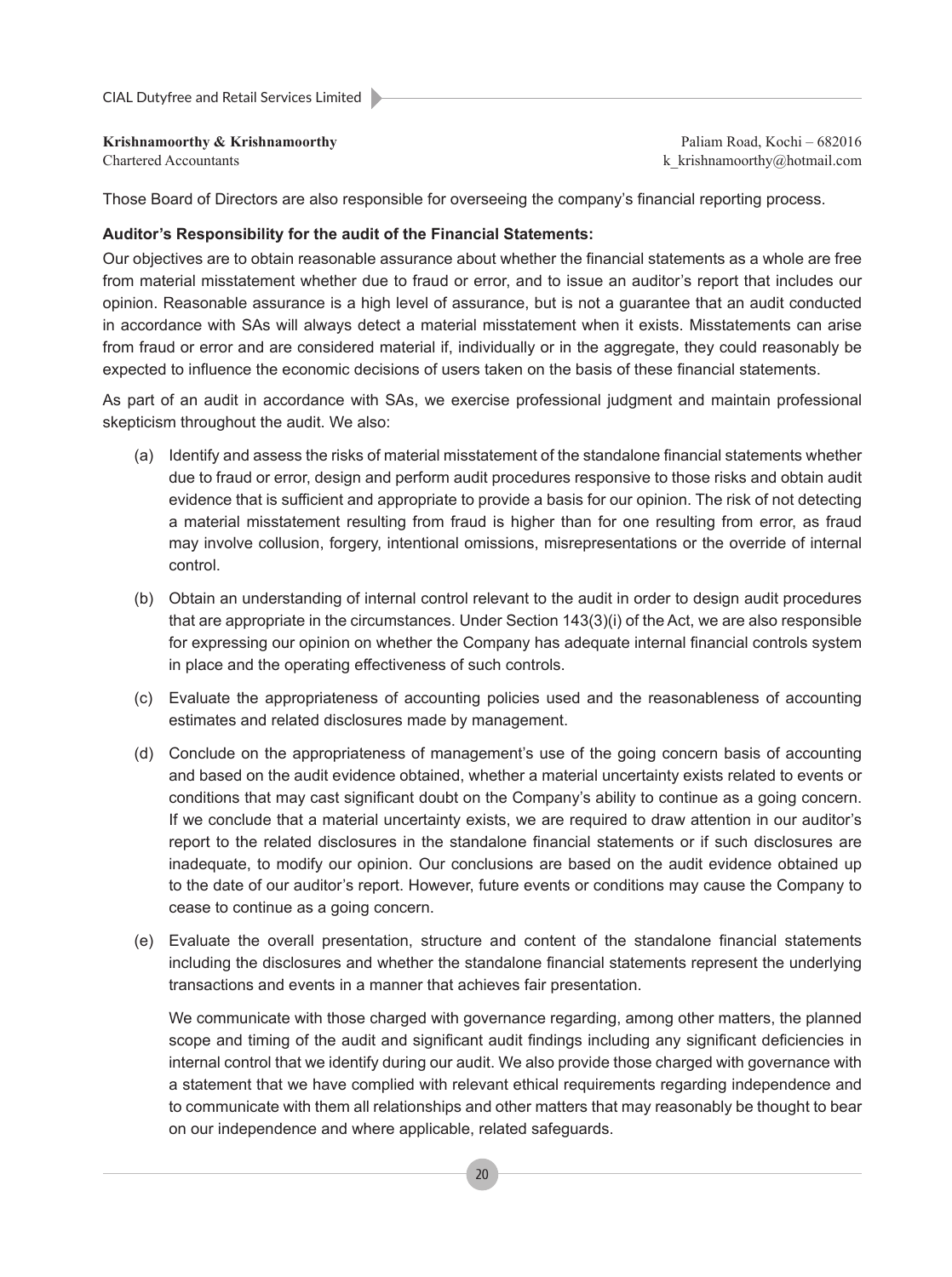CIAL Dutyfree and Retail Services Limited

#### **Krishnamoorthy & Krishnamoorthy**

Chartered Accountants

Paliam Road, Kochi – 682016 k\_krishnamoorthy@hotmail.com

Those Board of Directors are also responsible for overseeing the company's financial reporting process.

### **Auditor's Responsibility for the audit of the Financial Statements:**

Our objectives are to obtain reasonable assurance about whether the financial statements as a whole are free from material misstatement whether due to fraud or error, and to issue an auditor's report that includes our opinion. Reasonable assurance is a high level of assurance, but is not a guarantee that an audit conducted in accordance with SAs will always detect a material misstatement when it exists. Misstatements can arise from fraud or error and are considered material if, individually or in the aggregate, they could reasonably be expected to influence the economic decisions of users taken on the basis of these financial statements.

As part of an audit in accordance with SAs, we exercise professional judgment and maintain professional skepticism throughout the audit. We also:

- (a) Identify and assess the risks of material misstatement of the standalone financial statements whether due to fraud or error, design and perform audit procedures responsive to those risks and obtain audit evidence that is sufficient and appropriate to provide a basis for our opinion. The risk of not detecting a material misstatement resulting from fraud is higher than for one resulting from error, as fraud may involve collusion, forgery, intentional omissions, misrepresentations or the override of internal control.
- (b) Obtain an understanding of internal control relevant to the audit in order to design audit procedures that are appropriate in the circumstances. Under Section 143(3)(i) of the Act, we are also responsible for expressing our opinion on whether the Company has adequate internal financial controls system in place and the operating effectiveness of such controls.
- (c) Evaluate the appropriateness of accounting policies used and the reasonableness of accounting estimates and related disclosures made by management.
- (d) Conclude on the appropriateness of management's use of the going concern basis of accounting and based on the audit evidence obtained, whether a material uncertainty exists related to events or conditions that may cast significant doubt on the Company's ability to continue as a going concern. If we conclude that a material uncertainty exists, we are required to draw attention in our auditor's report to the related disclosures in the standalone financial statements or if such disclosures are inadequate, to modify our opinion. Our conclusions are based on the audit evidence obtained up to the date of our auditor's report. However, future events or conditions may cause the Company to cease to continue as a going concern.
- (e) Evaluate the overall presentation, structure and content of the standalone financial statements including the disclosures and whether the standalone financial statements represent the underlying transactions and events in a manner that achieves fair presentation.

We communicate with those charged with governance regarding, among other matters, the planned scope and timing of the audit and significant audit findings including any significant deficiencies in internal control that we identify during our audit. We also provide those charged with governance with a statement that we have complied with relevant ethical requirements regarding independence and to communicate with them all relationships and other matters that may reasonably be thought to bear on our independence and where applicable, related safeguards.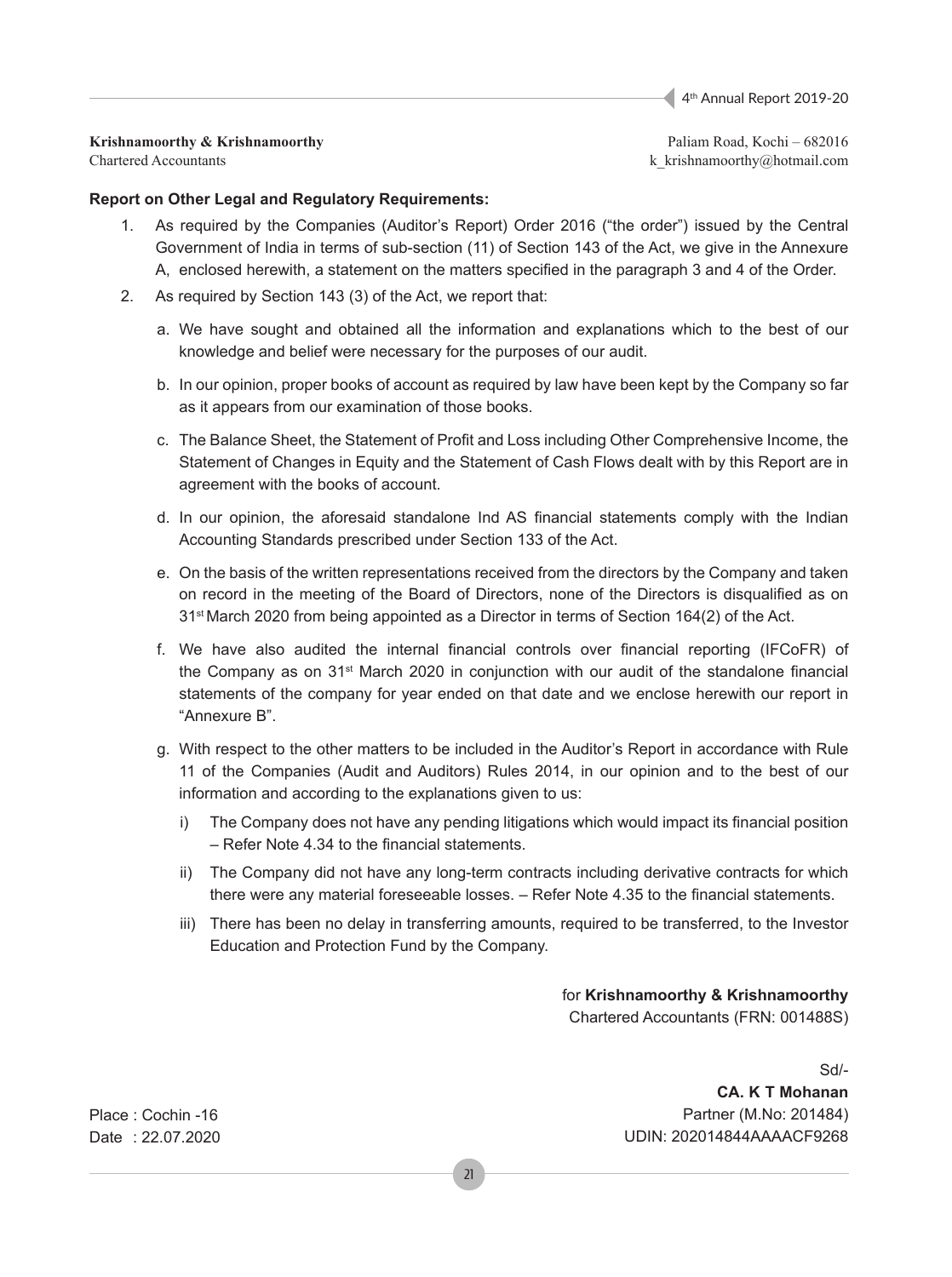Chartered Accountants

Paliam Road, Kochi – 682016 k\_krishnamoorthy@hotmail.com

### **Report on Other Legal and Regulatory Requirements:**

- 1. As required by the Companies (Auditor's Report) Order 2016 ("the order") issued by the Central Government of India in terms of sub-section (11) of Section 143 of the Act, we give in the Annexure A, enclosed herewith, a statement on the matters specified in the paragraph 3 and 4 of the Order.
- 2. As required by Section 143 (3) of the Act, we report that:
	- a. We have sought and obtained all the information and explanations which to the best of our knowledge and belief were necessary for the purposes of our audit.
	- b. In our opinion, proper books of account as required by law have been kept by the Company so far as it appears from our examination of those books.
	- c. The Balance Sheet, the Statement of Profit and Loss including Other Comprehensive Income, the Statement of Changes in Equity and the Statement of Cash Flows dealt with by this Report are in agreement with the books of account.
	- d. In our opinion, the aforesaid standalone Ind AS financial statements comply with the Indian Accounting Standards prescribed under Section 133 of the Act.
	- e. On the basis of the written representations received from the directors by the Company and taken on record in the meeting of the Board of Directors, none of the Directors is disqualified as on 31st March 2020 from being appointed as a Director in terms of Section 164(2) of the Act.
	- f. We have also audited the internal financial controls over financial reporting (IFCoFR) of the Company as on  $31<sup>st</sup>$  March 2020 in conjunction with our audit of the standalone financial statements of the company for year ended on that date and we enclose herewith our report in "Annexure B".
	- g. With respect to the other matters to be included in the Auditor's Report in accordance with Rule 11 of the Companies (Audit and Auditors) Rules 2014, in our opinion and to the best of our information and according to the explanations given to us:
		- i) The Company does not have any pending litigations which would impact its financial position – Refer Note 4.34 to the financial statements.
		- ii) The Company did not have any long-term contracts including derivative contracts for which there were any material foreseeable losses. – Refer Note 4.35 to the financial statements.
		- iii) There has been no delay in transferring amounts, required to be transferred, to the Investor Education and Protection Fund by the Company.

for **Krishnamoorthy & Krishnamoorthy** Chartered Accountants (FRN: 001488S)

> Sd/- **CA. K T Mohanan** Partner (M.No: 201484) UDIN: 202014844AAAACF9268

Place : Cochin -16 Date : 22.07.2020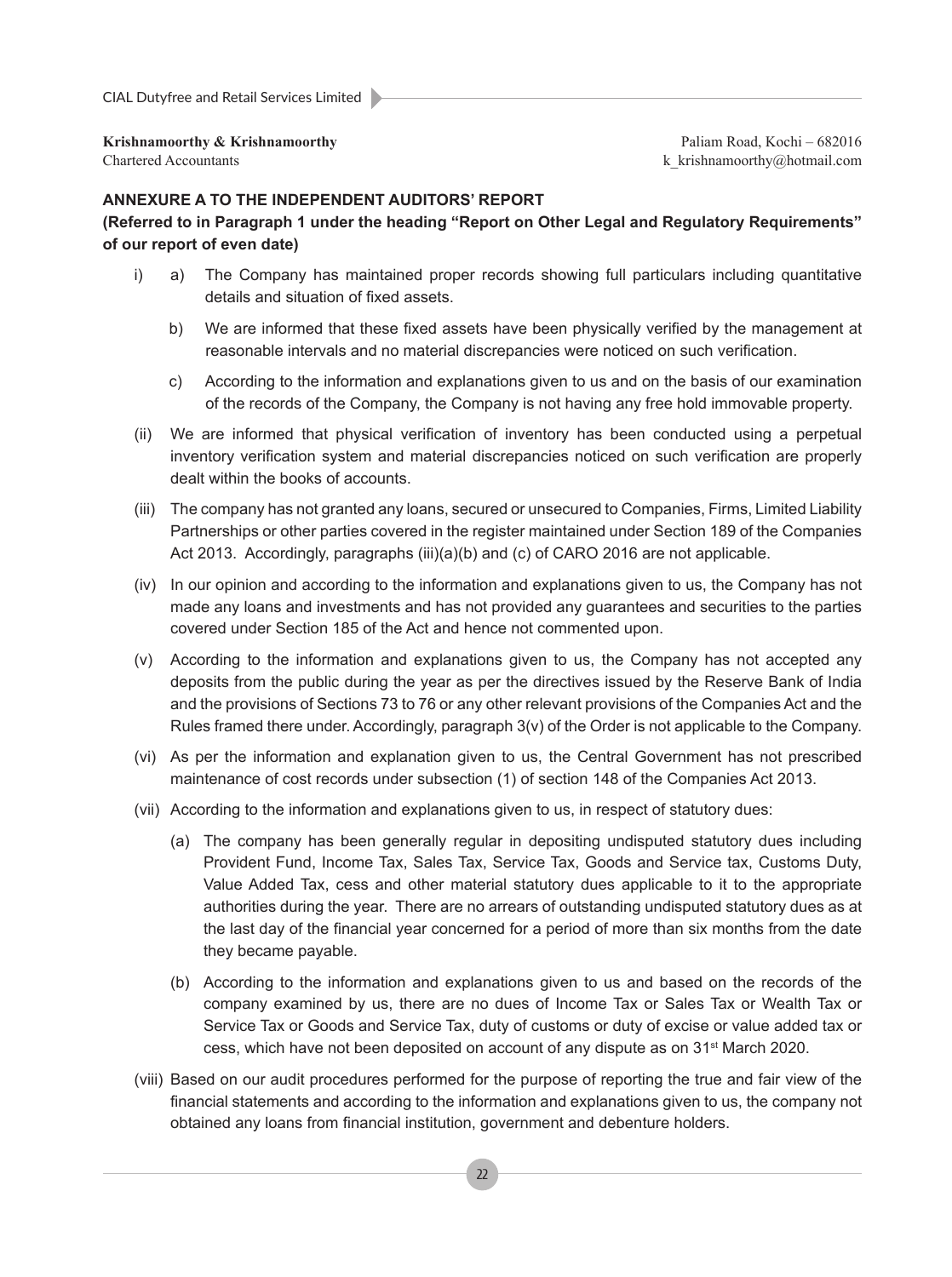Chartered Accountants

Paliam Road, Kochi – 682016 k\_krishnamoorthy@hotmail.com

### **ANNEXURE A TO THE INDEPENDENT AUDITORS' REPORT**

### **(Referred to in Paragraph 1 under the heading "Report on Other Legal and Regulatory Requirements" of our report of even date)**

- i) a) The Company has maintained proper records showing full particulars including quantitative details and situation of fixed assets.
	- b) We are informed that these fixed assets have been physically verified by the management at reasonable intervals and no material discrepancies were noticed on such verification.
	- c) According to the information and explanations given to us and on the basis of our examination of the records of the Company, the Company is not having any free hold immovable property.
- (ii) We are informed that physical verification of inventory has been conducted using a perpetual inventory verification system and material discrepancies noticed on such verification are properly dealt within the books of accounts.
- (iii) The company has not granted any loans, secured or unsecured to Companies, Firms, Limited Liability Partnerships or other parties covered in the register maintained under Section 189 of the Companies Act 2013. Accordingly, paragraphs (iii)(a)(b) and (c) of CARO 2016 are not applicable.
- (iv) In our opinion and according to the information and explanations given to us, the Company has not made any loans and investments and has not provided any guarantees and securities to the parties covered under Section 185 of the Act and hence not commented upon.
- (v) According to the information and explanations given to us, the Company has not accepted any deposits from the public during the year as per the directives issued by the Reserve Bank of India and the provisions of Sections 73 to 76 or any other relevant provisions of the Companies Act and the Rules framed there under. Accordingly, paragraph 3(v) of the Order is not applicable to the Company.
- (vi) As per the information and explanation given to us, the Central Government has not prescribed maintenance of cost records under subsection (1) of section 148 of the Companies Act 2013.
- (vii) According to the information and explanations given to us, in respect of statutory dues:
	- (a) The company has been generally regular in depositing undisputed statutory dues including Provident Fund, Income Tax, Sales Tax, Service Tax, Goods and Service tax, Customs Duty, Value Added Tax, cess and other material statutory dues applicable to it to the appropriate authorities during the year. There are no arrears of outstanding undisputed statutory dues as at the last day of the financial year concerned for a period of more than six months from the date they became payable.
	- (b) According to the information and explanations given to us and based on the records of the company examined by us, there are no dues of Income Tax or Sales Tax or Wealth Tax or Service Tax or Goods and Service Tax, duty of customs or duty of excise or value added tax or cess, which have not been deposited on account of any dispute as on 31st March 2020.
- (viii) Based on our audit procedures performed for the purpose of reporting the true and fair view of the financial statements and according to the information and explanations given to us, the company not obtained any loans from financial institution, government and debenture holders.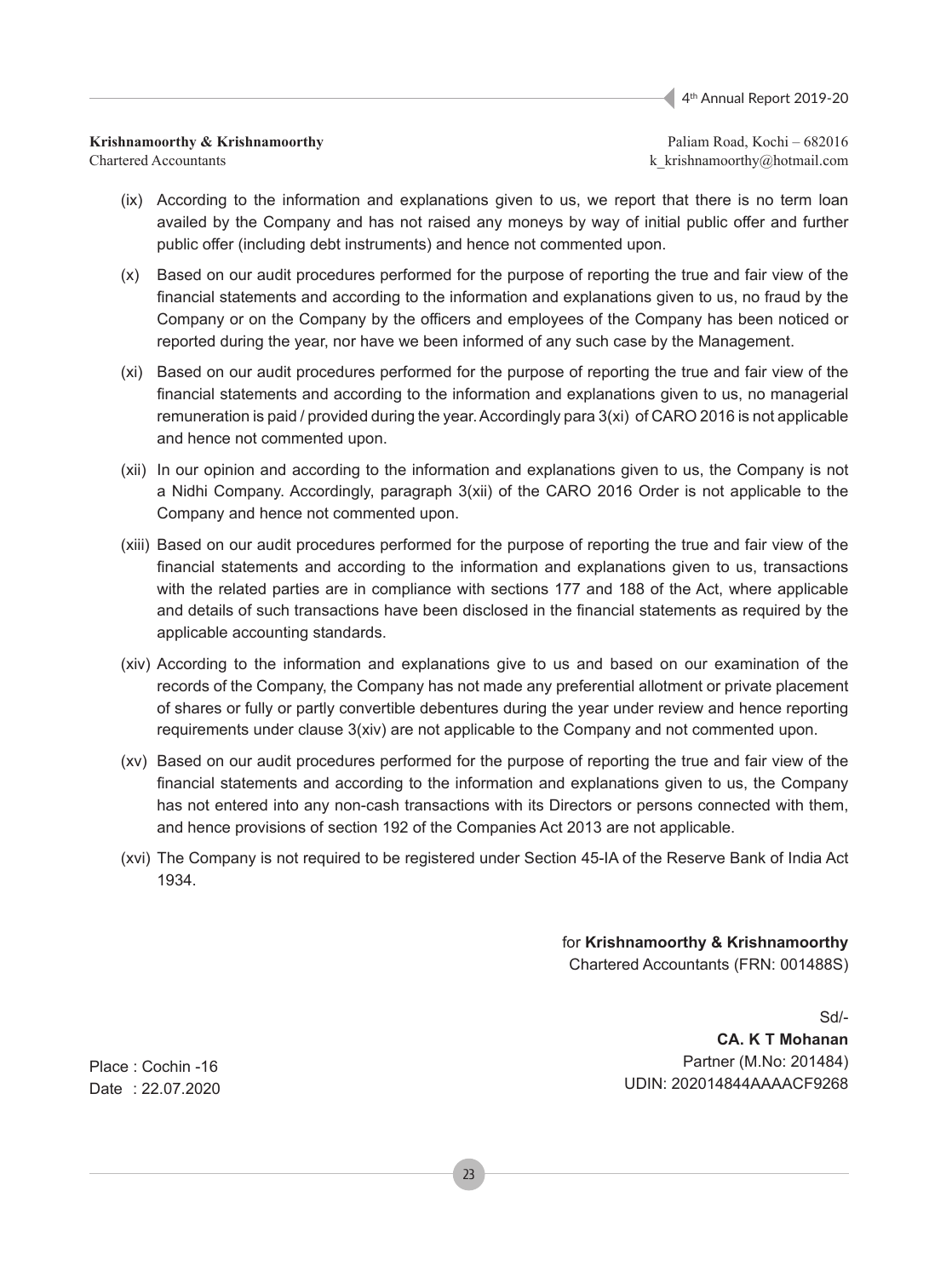Chartered Accountants

Paliam Road, Kochi – 682016 k\_krishnamoorthy@hotmail.com

- (ix) According to the information and explanations given to us, we report that there is no term loan availed by the Company and has not raised any moneys by way of initial public offer and further public offer (including debt instruments) and hence not commented upon.
- (x) Based on our audit procedures performed for the purpose of reporting the true and fair view of the financial statements and according to the information and explanations given to us, no fraud by the Company or on the Company by the officers and employees of the Company has been noticed or reported during the year, nor have we been informed of any such case by the Management.
- (xi) Based on our audit procedures performed for the purpose of reporting the true and fair view of the financial statements and according to the information and explanations given to us, no managerial remuneration is paid / provided during the year. Accordingly para 3(xi) of CARO 2016 is not applicable and hence not commented upon.
- (xii) In our opinion and according to the information and explanations given to us, the Company is not a Nidhi Company. Accordingly, paragraph 3(xii) of the CARO 2016 Order is not applicable to the Company and hence not commented upon.
- (xiii) Based on our audit procedures performed for the purpose of reporting the true and fair view of the financial statements and according to the information and explanations given to us, transactions with the related parties are in compliance with sections 177 and 188 of the Act, where applicable and details of such transactions have been disclosed in the financial statements as required by the applicable accounting standards.
- (xiv) According to the information and explanations give to us and based on our examination of the records of the Company, the Company has not made any preferential allotment or private placement of shares or fully or partly convertible debentures during the year under review and hence reporting requirements under clause 3(xiv) are not applicable to the Company and not commented upon.
- (xv) Based on our audit procedures performed for the purpose of reporting the true and fair view of the financial statements and according to the information and explanations given to us, the Company has not entered into any non-cash transactions with its Directors or persons connected with them, and hence provisions of section 192 of the Companies Act 2013 are not applicable.
- (xvi) The Company is not required to be registered under Section 45-IA of the Reserve Bank of India Act 1934.

for **Krishnamoorthy & Krishnamoorthy** Chartered Accountants (FRN: 001488S)

Place : Cochin -16 Date : 22.07.2020

Sd/- **CA. K T Mohanan** Partner (M.No: 201484) UDIN: 202014844AAAACF9268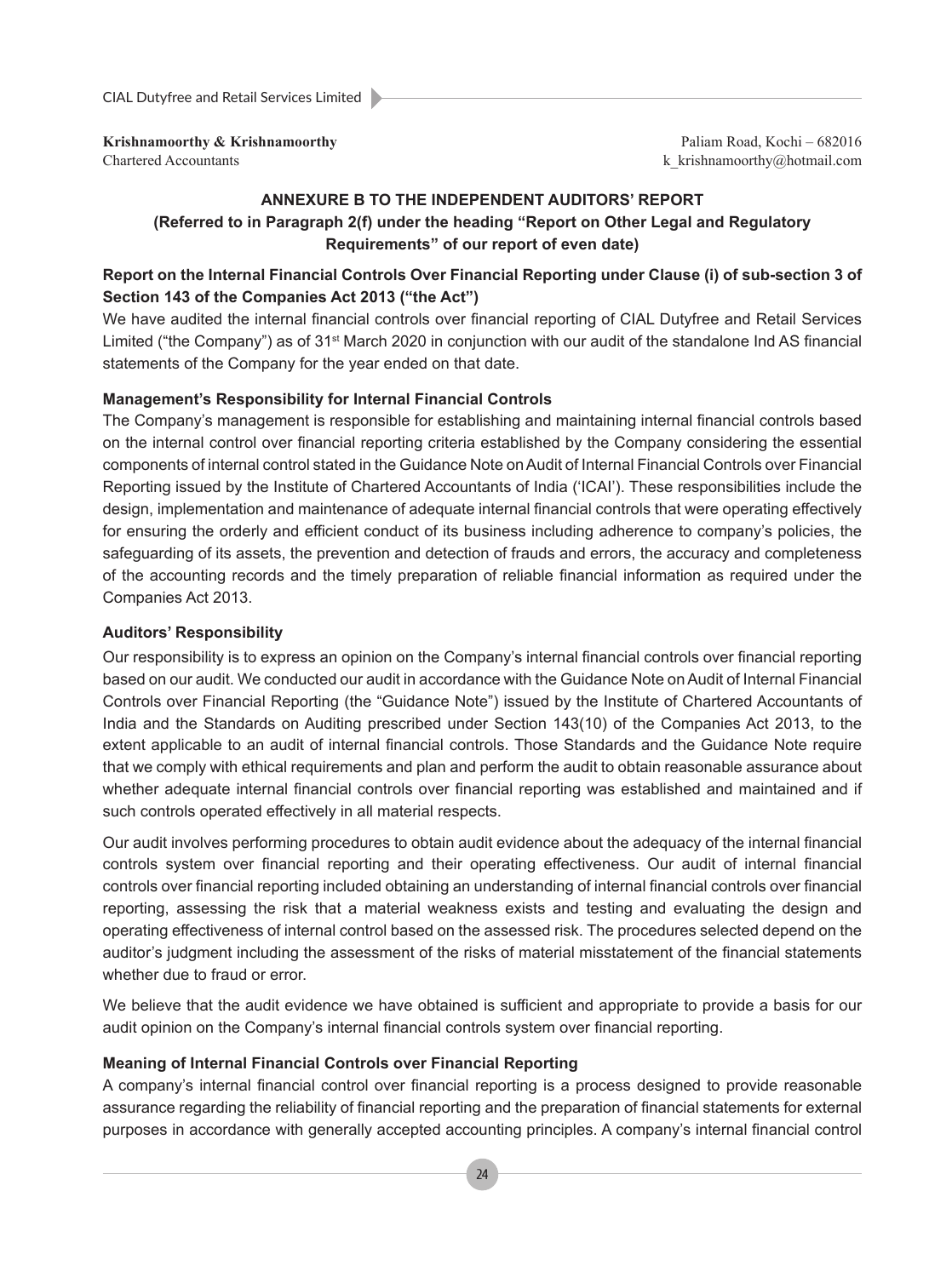CIAL Dutyfree and Retail Services Limited

**Krishnamoorthy & Krishnamoorthy**

Chartered Accountants

Paliam Road, Kochi – 682016 k\_krishnamoorthy@hotmail.com

### **ANNEXURE B TO THE INDEPENDENT AUDITORS' REPORT**

### **(Referred to in Paragraph 2(f) under the heading "Report on Other Legal and Regulatory Requirements" of our report of even date)**

### **Report on the Internal Financial Controls Over Financial Reporting under Clause (i) of sub-section 3 of Section 143 of the Companies Act 2013 ("the Act")**

We have audited the internal financial controls over financial reporting of CIAL Dutyfree and Retail Services Limited ("the Company") as of 31<sup>st</sup> March 2020 in conjunction with our audit of the standalone Ind AS financial statements of the Company for the year ended on that date.

### **Management's Responsibility for Internal Financial Controls**

The Company's management is responsible for establishing and maintaining internal financial controls based on the internal control over financial reporting criteria established by the Company considering the essential components of internal control stated in the Guidance Note on Audit of Internal Financial Controls over Financial Reporting issued by the Institute of Chartered Accountants of India ('ICAI'). These responsibilities include the design, implementation and maintenance of adequate internal financial controls that were operating effectively for ensuring the orderly and efficient conduct of its business including adherence to company's policies, the safeguarding of its assets, the prevention and detection of frauds and errors, the accuracy and completeness of the accounting records and the timely preparation of reliable financial information as required under the Companies Act 2013.

### **Auditors' Responsibility**

Our responsibility is to express an opinion on the Company's internal financial controls over financial reporting based on our audit. We conducted our audit in accordance with the Guidance Note on Audit of Internal Financial Controls over Financial Reporting (the "Guidance Note") issued by the Institute of Chartered Accountants of India and the Standards on Auditing prescribed under Section 143(10) of the Companies Act 2013, to the extent applicable to an audit of internal financial controls. Those Standards and the Guidance Note require that we comply with ethical requirements and plan and perform the audit to obtain reasonable assurance about whether adequate internal financial controls over financial reporting was established and maintained and if such controls operated effectively in all material respects.

Our audit involves performing procedures to obtain audit evidence about the adequacy of the internal financial controls system over financial reporting and their operating effectiveness. Our audit of internal financial controls over financial reporting included obtaining an understanding of internal financial controls over financial reporting, assessing the risk that a material weakness exists and testing and evaluating the design and operating effectiveness of internal control based on the assessed risk. The procedures selected depend on the auditor's judgment including the assessment of the risks of material misstatement of the financial statements whether due to fraud or error.

We believe that the audit evidence we have obtained is sufficient and appropriate to provide a basis for our audit opinion on the Company's internal financial controls system over financial reporting.

### **Meaning of Internal Financial Controls over Financial Reporting**

A company's internal financial control over financial reporting is a process designed to provide reasonable assurance regarding the reliability of financial reporting and the preparation of financial statements for external purposes in accordance with generally accepted accounting principles. A company's internal financial control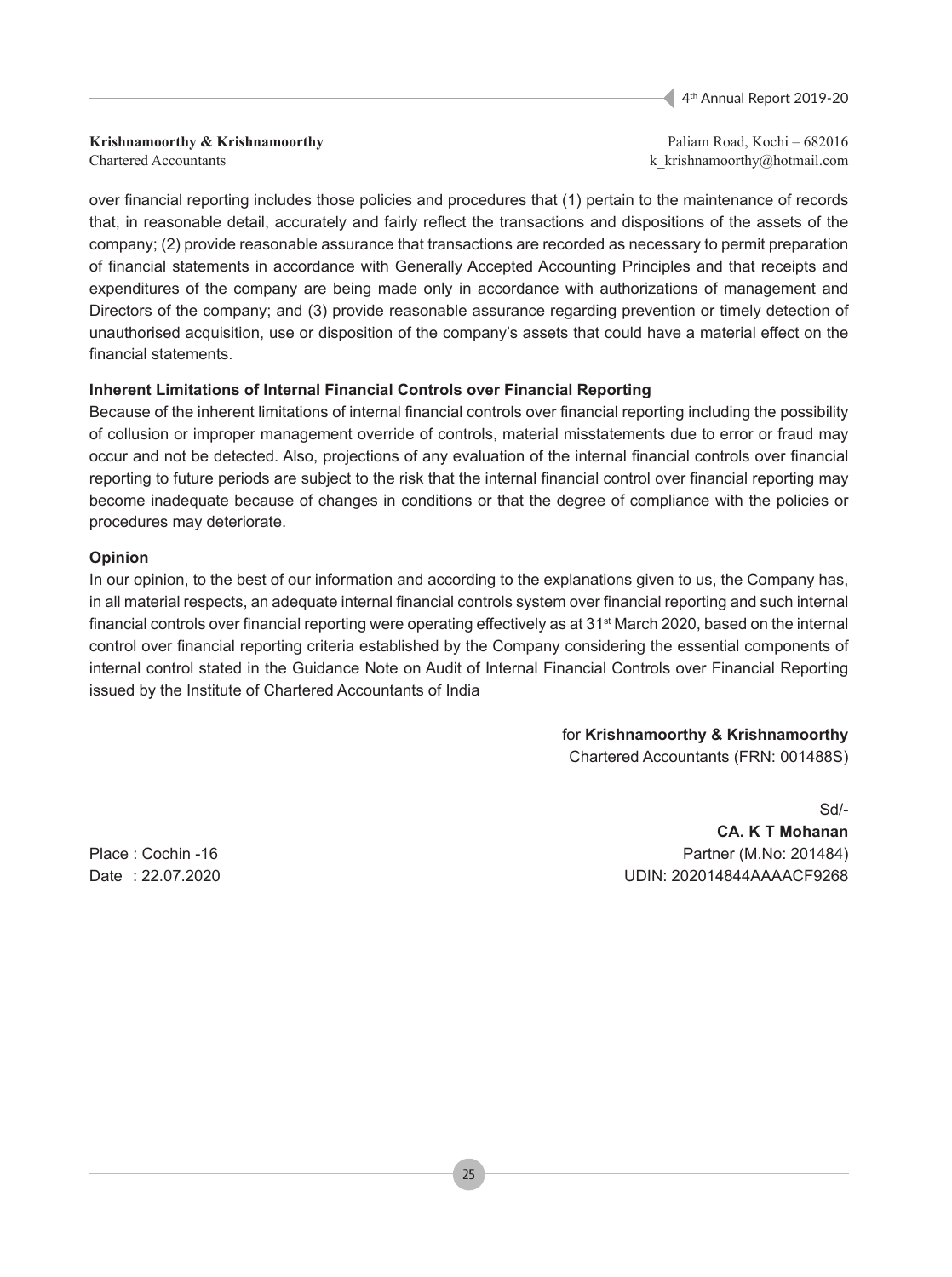Chartered Accountants

Paliam Road, Kochi – 682016 k\_krishnamoorthy@hotmail.com

over financial reporting includes those policies and procedures that (1) pertain to the maintenance of records that, in reasonable detail, accurately and fairly reflect the transactions and dispositions of the assets of the company; (2) provide reasonable assurance that transactions are recorded as necessary to permit preparation of financial statements in accordance with Generally Accepted Accounting Principles and that receipts and expenditures of the company are being made only in accordance with authorizations of management and Directors of the company; and (3) provide reasonable assurance regarding prevention or timely detection of unauthorised acquisition, use or disposition of the company's assets that could have a material effect on the financial statements.

### **Inherent Limitations of Internal Financial Controls over Financial Reporting**

Because of the inherent limitations of internal financial controls over financial reporting including the possibility of collusion or improper management override of controls, material misstatements due to error or fraud may occur and not be detected. Also, projections of any evaluation of the internal financial controls over financial reporting to future periods are subject to the risk that the internal financial control over financial reporting may become inadequate because of changes in conditions or that the degree of compliance with the policies or procedures may deteriorate.

### **Opinion**

In our opinion, to the best of our information and according to the explanations given to us, the Company has, in all material respects, an adequate internal financial controls system over financial reporting and such internal financial controls over financial reporting were operating effectively as at  $31^{st}$  March 2020, based on the internal control over financial reporting criteria established by the Company considering the essential components of internal control stated in the Guidance Note on Audit of Internal Financial Controls over Financial Reporting issued by the Institute of Chartered Accountants of India

> for **Krishnamoorthy & Krishnamoorthy** Chartered Accountants (FRN: 001488S)

Place : Cochin -16 Date : 22.07.2020

Sd/- **CA. K T Mohanan** Partner (M.No: 201484) UDIN: 202014844AAAACF9268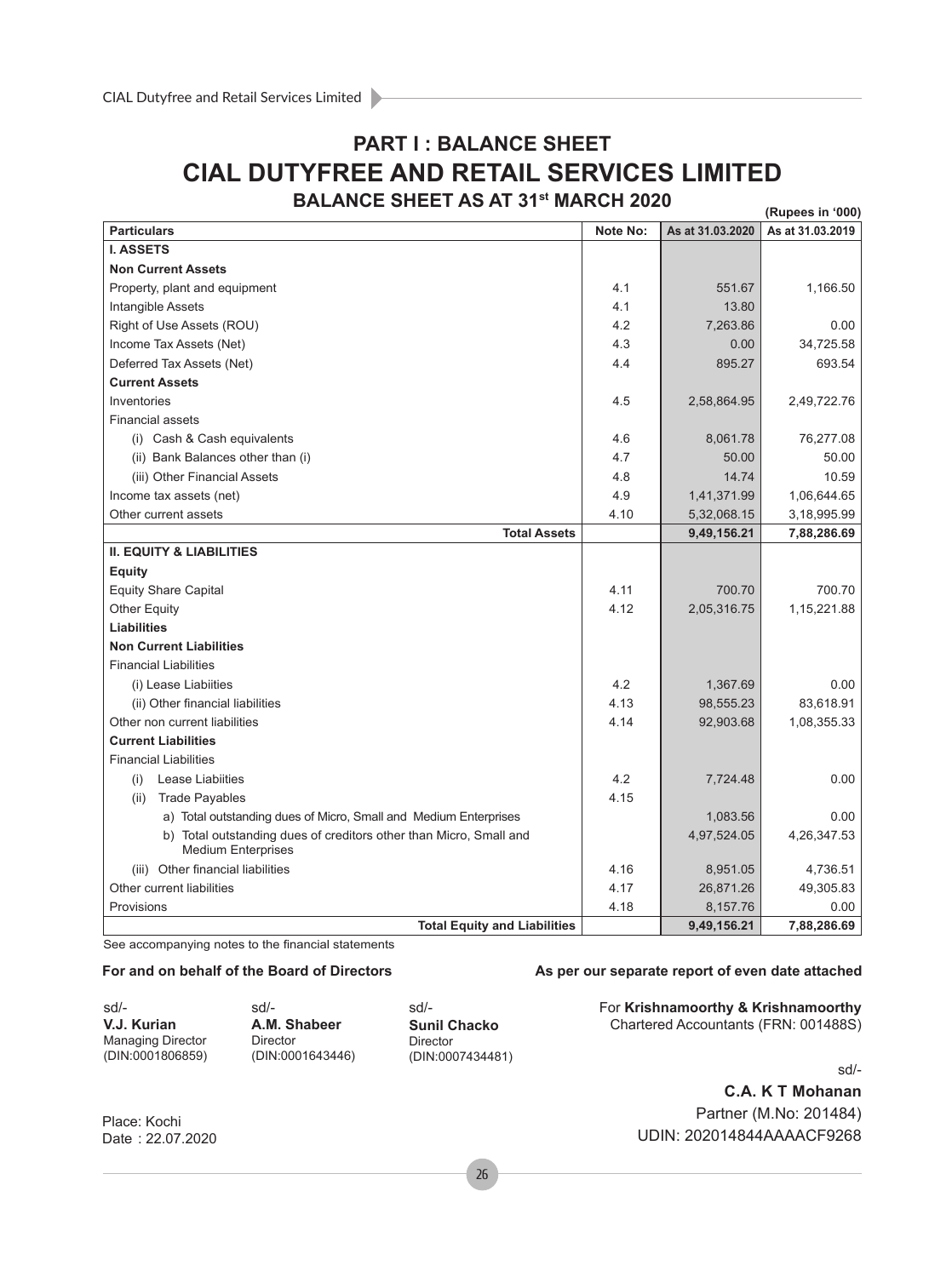### **PART I : BALANCE SHEET CIAL DUTYFREE AND RETAIL SERVICES LIMITED BALANCE SHEET AS AT 31st MARCH 2020**

| DALANGE ƏLEET AƏ ATƏT<br><b>IVIARUTI ZUZU</b><br>(Rupees in '000)                               |          |                  |                  |  |  |  |
|-------------------------------------------------------------------------------------------------|----------|------------------|------------------|--|--|--|
| <b>Particulars</b>                                                                              | Note No: | As at 31.03.2020 | As at 31.03.2019 |  |  |  |
| <b>I. ASSETS</b>                                                                                |          |                  |                  |  |  |  |
| <b>Non Current Assets</b>                                                                       |          |                  |                  |  |  |  |
| Property, plant and equipment                                                                   | 4.1      | 551.67           | 1,166.50         |  |  |  |
| Intangible Assets                                                                               | 4.1      | 13.80            |                  |  |  |  |
| Right of Use Assets (ROU)                                                                       | 4.2      | 7,263.86         | 0.00             |  |  |  |
| Income Tax Assets (Net)                                                                         | 4.3      | 0.00             | 34,725.58        |  |  |  |
| Deferred Tax Assets (Net)                                                                       | 4.4      | 895.27           | 693.54           |  |  |  |
| <b>Current Assets</b>                                                                           |          |                  |                  |  |  |  |
| Inventories                                                                                     | 4.5      | 2,58,864.95      | 2,49,722.76      |  |  |  |
| <b>Financial assets</b>                                                                         |          |                  |                  |  |  |  |
| (i) Cash & Cash equivalents                                                                     | 4.6      | 8,061.78         | 76,277.08        |  |  |  |
| (ii) Bank Balances other than (i)                                                               | 4.7      | 50.00            | 50.00            |  |  |  |
| (iii) Other Financial Assets                                                                    | 4.8      | 14.74            | 10.59            |  |  |  |
| Income tax assets (net)                                                                         | 4.9      | 1,41,371.99      | 1,06,644.65      |  |  |  |
| Other current assets                                                                            | 4.10     | 5,32,068.15      | 3,18,995.99      |  |  |  |
| <b>Total Assets</b>                                                                             |          | 9,49,156.21      | 7,88,286.69      |  |  |  |
| <b>II. EQUITY &amp; LIABILITIES</b>                                                             |          |                  |                  |  |  |  |
| <b>Equity</b>                                                                                   |          |                  |                  |  |  |  |
| <b>Equity Share Capital</b>                                                                     | 4.11     | 700.70           | 700.70           |  |  |  |
| <b>Other Equity</b>                                                                             | 4.12     | 2,05,316.75      | 1,15,221.88      |  |  |  |
| <b>Liabilities</b>                                                                              |          |                  |                  |  |  |  |
| <b>Non Current Liabilities</b>                                                                  |          |                  |                  |  |  |  |
| <b>Financial Liabilities</b>                                                                    |          |                  |                  |  |  |  |
| (i) Lease Liabiities                                                                            | 4.2      | 1,367.69         | 0.00             |  |  |  |
| (ii) Other financial liabilities                                                                | 4.13     | 98,555.23        | 83,618.91        |  |  |  |
| Other non current liabilities                                                                   | 4.14     | 92,903.68        | 1,08,355.33      |  |  |  |
| <b>Current Liabilities</b>                                                                      |          |                  |                  |  |  |  |
| <b>Financial Liabilities</b>                                                                    |          |                  |                  |  |  |  |
| Lease Liabiities<br>(i)                                                                         | 4.2      | 7,724.48         | 0.00             |  |  |  |
| <b>Trade Payables</b><br>(ii)                                                                   | 4.15     |                  |                  |  |  |  |
| a) Total outstanding dues of Micro, Small and Medium Enterprises                                |          | 1,083.56         | 0.00             |  |  |  |
| b) Total outstanding dues of creditors other than Micro, Small and<br><b>Medium Enterprises</b> |          | 4,97,524.05      | 4,26,347.53      |  |  |  |
| (iii) Other financial liabilities                                                               | 4.16     | 8,951.05         | 4,736.51         |  |  |  |
| Other current liabilities                                                                       | 4.17     | 26,871.26        | 49,305.83        |  |  |  |
| Provisions                                                                                      | 4.18     | 8,157.76         | 0.00             |  |  |  |
| <b>Total Equity and Liabilities</b>                                                             |          | 9,49,156.21      | 7,88,286.69      |  |  |  |

See accompanying notes to the financial statements

#### For and on behalf of the Board of Directors **As per our separate report of even date attached**

sd/- **V.J. Kurian** Managing Director (DIN:0001806859)

sd/- **A.M. Shabeer** Director (DIN:0001643446)

sd/- **Sunil Chacko** Director (DIN:0007434481) For **Krishnamoorthy & Krishnamoorthy** Chartered Accountants (FRN: 001488S)

sd/-

**C.A. K T Mohanan** Partner (M.No: 201484) UDIN: 202014844AAAACF9268

Place: Kochi Date : 22.07.2020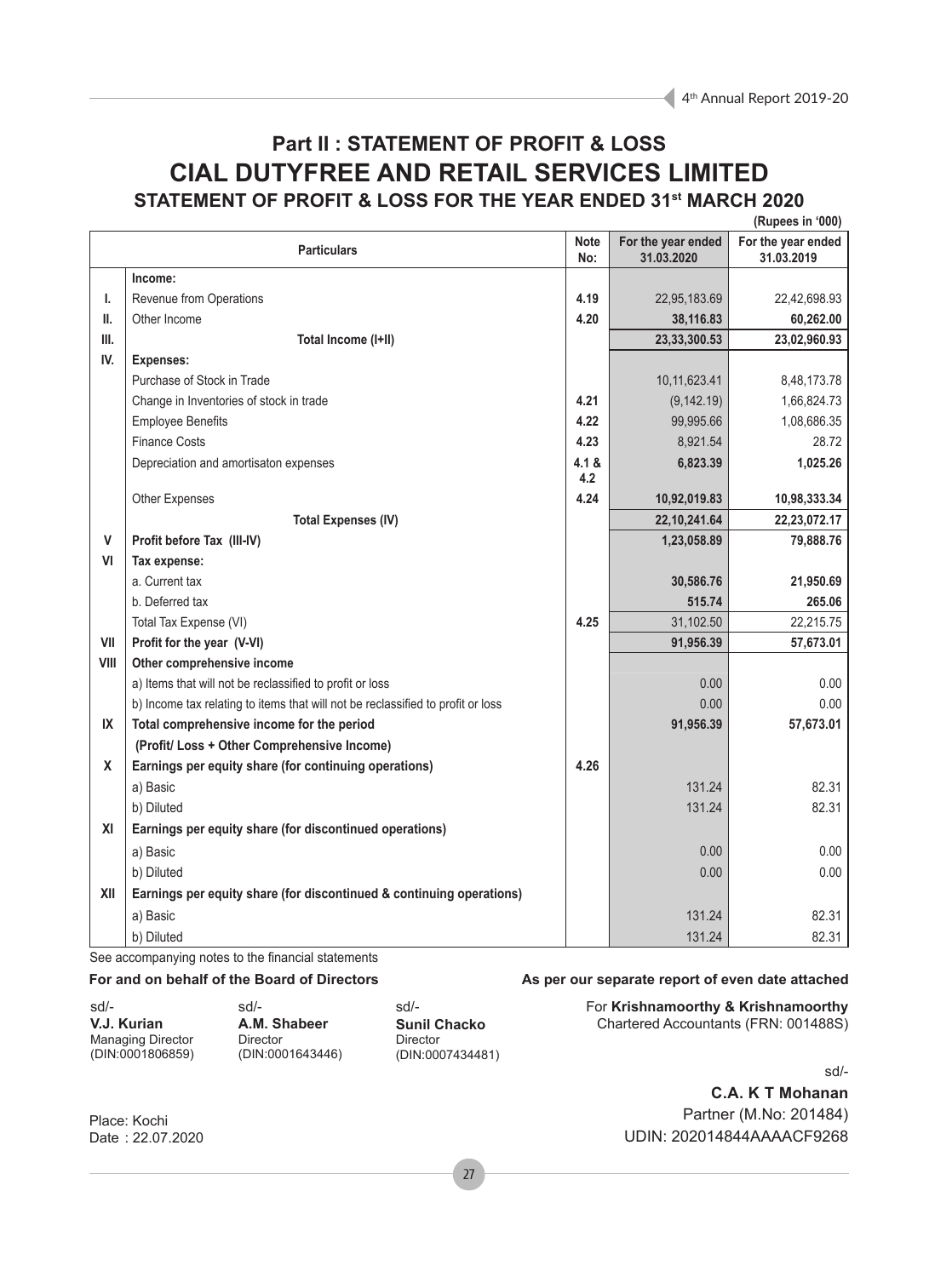## **Part II : STATEMENT OF PROFIT & LOSS CIAL DUTYFREE AND RETAIL SERVICES LIMITED STATEMENT OF PROFIT & LOSS FOR THE YEAR ENDED 31st MARCH 2020**

 **(Rupees in '000)** 

|              | <b>Particulars</b>                                                              | <b>Note</b><br>No: | For the year ended<br>31.03.2020 | lizabaan iii aaal<br>For the year ended<br>31.03.2019 |
|--------------|---------------------------------------------------------------------------------|--------------------|----------------------------------|-------------------------------------------------------|
|              | Income:                                                                         |                    |                                  |                                                       |
| I.           | Revenue from Operations                                                         | 4.19               | 22,95,183.69                     | 22,42,698.93                                          |
| II.          | Other Income                                                                    | 4.20               | 38,116.83                        | 60,262.00                                             |
| III.         | Total Income (I+II)                                                             |                    | 23,33,300.53                     | 23,02,960.93                                          |
| IV.          | <b>Expenses:</b>                                                                |                    |                                  |                                                       |
|              | Purchase of Stock in Trade                                                      |                    | 10,11,623.41                     | 8,48,173.78                                           |
|              | Change in Inventories of stock in trade                                         | 4.21               | (9, 142.19)                      | 1,66,824.73                                           |
|              | <b>Employee Benefits</b>                                                        | 4.22               | 99,995.66                        | 1,08,686.35                                           |
|              | <b>Finance Costs</b>                                                            | 4.23               | 8,921.54                         | 28.72                                                 |
|              | Depreciation and amortisaton expenses                                           | 4.1 &              | 6,823.39                         | 1,025.26                                              |
|              |                                                                                 | 4.2                |                                  |                                                       |
|              | Other Expenses                                                                  | 4.24               | 10,92,019.83                     | 10,98,333.34                                          |
|              | <b>Total Expenses (IV)</b>                                                      |                    | 22,10,241.64                     | 22,23,072.17                                          |
| $\mathsf{V}$ | Profit before Tax (III-IV)                                                      |                    | 1,23,058.89                      | 79,888.76                                             |
| VI           | Tax expense:                                                                    |                    |                                  |                                                       |
|              | a. Current tax                                                                  |                    | 30,586.76                        | 21,950.69                                             |
|              | b. Deferred tax                                                                 |                    | 515.74                           | 265.06                                                |
|              | Total Tax Expense (VI)                                                          | 4.25               | 31,102.50                        | 22,215.75                                             |
| VII          | Profit for the year (V-VI)                                                      |                    | 91,956.39                        | 57,673.01                                             |
| VIII         | Other comprehensive income                                                      |                    |                                  |                                                       |
|              | a) Items that will not be reclassified to profit or loss                        |                    | 0.00                             | 0.00                                                  |
|              | b) Income tax relating to items that will not be reclassified to profit or loss |                    | 0.00                             | 0.00                                                  |
| IX           | Total comprehensive income for the period                                       |                    | 91,956.39                        | 57,673.01                                             |
|              | (Profit/Loss + Other Comprehensive Income)                                      |                    |                                  |                                                       |
| X            | Earnings per equity share (for continuing operations)                           | 4.26               |                                  |                                                       |
|              | a) Basic                                                                        |                    | 131.24                           | 82.31                                                 |
|              | b) Diluted                                                                      |                    | 131.24                           | 82.31                                                 |
| XI           | Earnings per equity share (for discontinued operations)                         |                    |                                  |                                                       |
|              | a) Basic                                                                        |                    | 0.00                             | 0.00                                                  |
|              | b) Diluted                                                                      |                    | 0.00                             | 0.00                                                  |
| XII          | Earnings per equity share (for discontinued & continuing operations)            |                    |                                  |                                                       |
|              | a) Basic                                                                        |                    | 131.24                           | 82.31                                                 |
|              | b) Diluted                                                                      |                    | 131.24                           | 82.31                                                 |

## See accompanying notes to the financial statements

| $sd/$ -                  |
|--------------------------|
| V.J. Kurian              |
| <b>Managing Director</b> |
| (DIN:0001806859)         |

sd/- **A.M. Shabeer** Director (DIN:0001643446)

**Sunil Chacko Director** (DIN:0007434481)

sd/-

#### For and on behalf of the Board of Directors **As per our separate report of even date attached**

For **Krishnamoorthy & Krishnamoorthy** Chartered Accountants (FRN: 001488S)

sd/-

**C.A. K T Mohanan** Partner (M.No: 201484) UDIN: 202014844AAAACF9268

Place: Kochi Date : 22.07.2020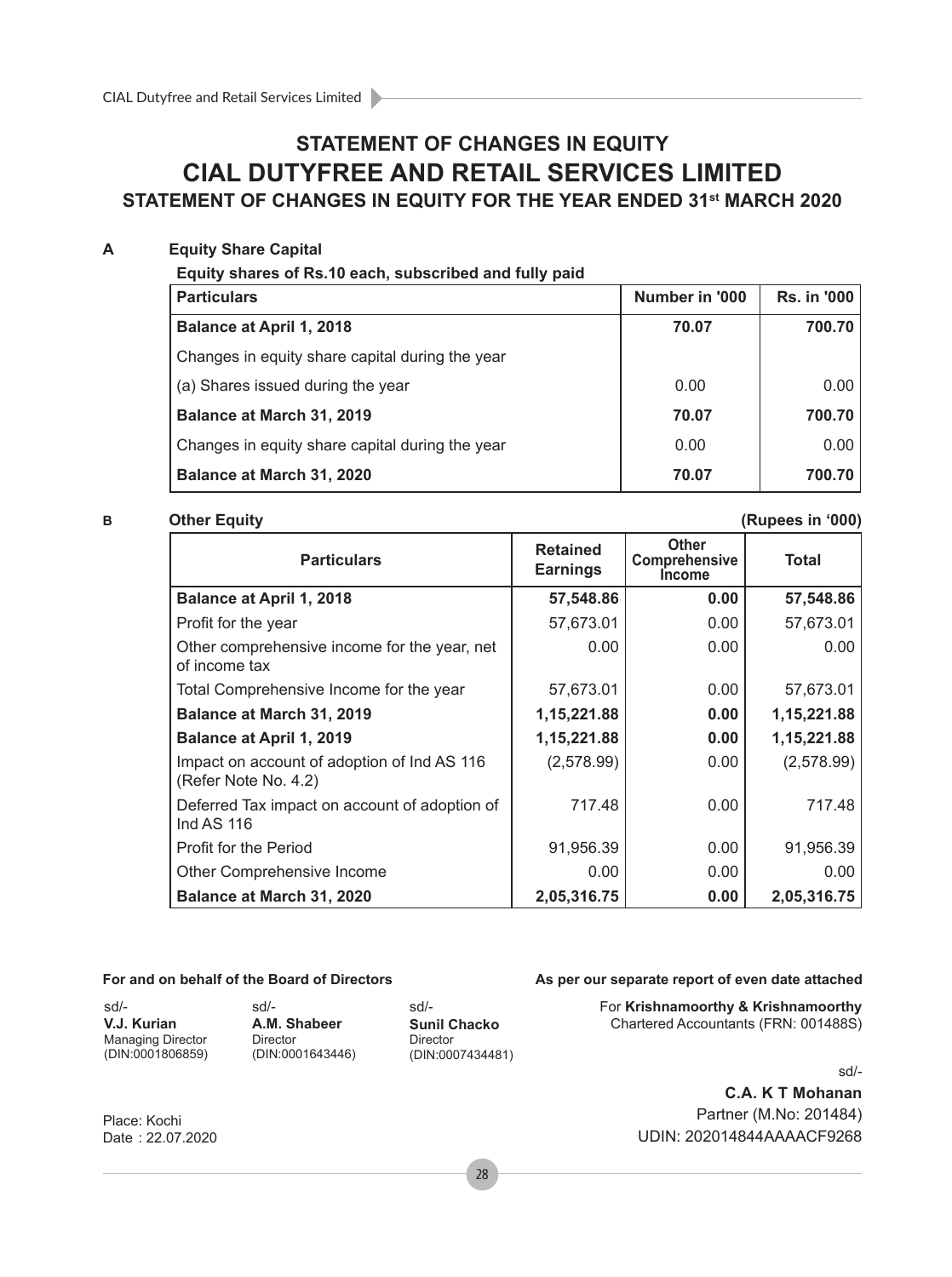## **STATEMENT OF CHANGES IN EQUITY CIAL DUTYFREE AND RETAIL SERVICES LIMITED STATEMENT OF CHANGES IN EQUITY FOR THE YEAR ENDED 31st MARCH 2020**

### **A Equity Share Capital**

**Equity shares of Rs.10 each, subscribed and fully paid**

| <b>Particulars</b>                              | Number in '000 | <b>Rs. in '000</b> |
|-------------------------------------------------|----------------|--------------------|
| <b>Balance at April 1, 2018</b>                 | 70.07          | 700.70             |
| Changes in equity share capital during the year |                |                    |
| (a) Shares issued during the year               | 0.00           | 0.00               |
| <b>Balance at March 31, 2019</b>                | 70.07          | 700.70             |
| Changes in equity share capital during the year | 0.00           | 0.00               |
| Balance at March 31, 2020                       | 70.07          | 700.70             |

### **B Other Equity (Rupees in '000)**

|                                                                     |                                    |                                                       | $1.44 \times 10^{-11}$ $1.1 \times 10^{-1}$ |
|---------------------------------------------------------------------|------------------------------------|-------------------------------------------------------|---------------------------------------------|
| <b>Particulars</b>                                                  | <b>Retained</b><br><b>Earnings</b> | <b>Other</b><br><b>Comprehensive</b><br><b>Income</b> | <b>Total</b>                                |
| <b>Balance at April 1, 2018</b>                                     | 57,548.86                          | 0.00                                                  | 57,548.86                                   |
| Profit for the year                                                 | 57,673.01                          | 0.00                                                  | 57,673.01                                   |
| Other comprehensive income for the year, net<br>of income tax       | 0.00                               | 0.00                                                  | 0.00                                        |
| Total Comprehensive Income for the year                             | 57,673.01                          | 0.00                                                  | 57,673.01                                   |
| Balance at March 31, 2019                                           | 1,15,221.88                        | 0.00                                                  | 1, 15, 221.88                               |
| <b>Balance at April 1, 2019</b>                                     | 1, 15, 221.88                      | 0.00                                                  | 1, 15, 221.88                               |
| Impact on account of adoption of Ind AS 116<br>(Refer Note No. 4.2) | (2,578.99)                         | 0.00                                                  | (2,578.99)                                  |
| Deferred Tax impact on account of adoption of<br>Ind AS 116         | 717.48                             | 0.00                                                  | 717.48                                      |
| Profit for the Period                                               | 91,956.39                          | 0.00                                                  | 91,956.39                                   |
| Other Comprehensive Income                                          | 0.00                               | 0.00                                                  | 0.00                                        |
| <b>Balance at March 31, 2020</b>                                    | 2,05,316.75                        | 0.00                                                  | 2,05,316.75                                 |

sd/- **V.J. Kurian** Managing Director (DIN:0001806859)

sd/- **A.M. Shabeer** Director (DIN:0001643446)

**Sunil Chacko** Director (DIN:0007434481)

sd/-

28

For and on behalf of the Board of Directors **As per our separate report of even date attached** 

For **Krishnamoorthy & Krishnamoorthy** Chartered Accountants (FRN: 001488S)

sd/-

Place: Kochi Date : 22.07.2020

**C.A. K T Mohanan** Partner (M.No: 201484) UDIN: 202014844AAAACF9268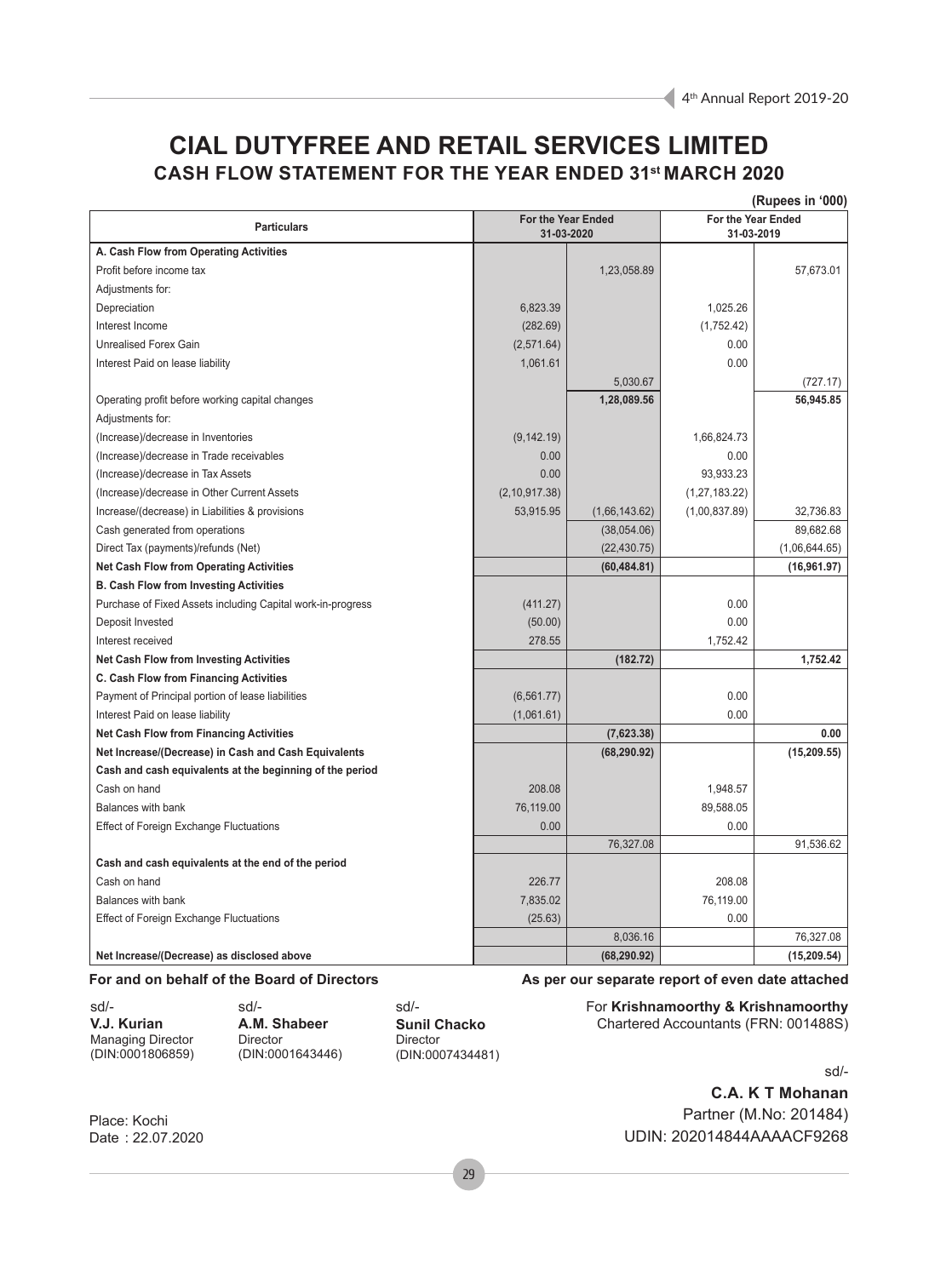## **CIAL DUTYFREE AND RETAIL SERVICES LIMITED CASH FLOW STATEMENT FOR THE YEAR ENDED 31st MARCH 2020**

| (Rupees in '000)                                            |                                  |               |                                  |               |  |
|-------------------------------------------------------------|----------------------------------|---------------|----------------------------------|---------------|--|
| <b>Particulars</b>                                          | For the Year Ended<br>31-03-2020 |               | For the Year Ended<br>31-03-2019 |               |  |
| A. Cash Flow from Operating Activities                      |                                  |               |                                  |               |  |
| Profit before income tax                                    |                                  | 1,23,058.89   |                                  | 57,673.01     |  |
| Adjustments for:                                            |                                  |               |                                  |               |  |
| Depreciation                                                | 6,823.39                         |               | 1,025.26                         |               |  |
| Interest Income                                             | (282.69)                         |               | (1,752.42)                       |               |  |
| <b>Unrealised Forex Gain</b>                                | (2,571.64)                       |               | 0.00                             |               |  |
| Interest Paid on lease liability                            | 1.061.61                         |               | 0.00                             |               |  |
|                                                             |                                  | 5,030.67      |                                  | (727.17)      |  |
| Operating profit before working capital changes             |                                  | 1,28,089.56   |                                  | 56,945.85     |  |
| Adjustments for:                                            |                                  |               |                                  |               |  |
| (Increase)/decrease in Inventories                          | (9, 142.19)                      |               | 1,66,824.73                      |               |  |
| (Increase)/decrease in Trade receivables                    | 0.00                             |               | 0.00                             |               |  |
| (Increase)/decrease in Tax Assets                           | 0.00                             |               | 93.933.23                        |               |  |
| (Increase)/decrease in Other Current Assets                 | (2, 10, 917.38)                  |               | (1, 27, 183.22)                  |               |  |
| Increase/(decrease) in Liabilities & provisions             | 53,915.95                        | (1,66,143.62) | (1,00,837.89)                    | 32.736.83     |  |
| Cash generated from operations                              |                                  | (38,054.06)   |                                  | 89,682.68     |  |
| Direct Tax (payments)/refunds (Net)                         |                                  | (22, 430.75)  |                                  | (1,06,644.65) |  |
| <b>Net Cash Flow from Operating Activities</b>              |                                  | (60, 484.81)  |                                  | (16,961.97)   |  |
| <b>B. Cash Flow from Investing Activities</b>               |                                  |               |                                  |               |  |
| Purchase of Fixed Assets including Capital work-in-progress | (411.27)                         |               | 0.00                             |               |  |
| Deposit Invested                                            | (50.00)                          |               | 0.00                             |               |  |
| Interest received                                           | 278.55                           |               | 1,752.42                         |               |  |
| <b>Net Cash Flow from Investing Activities</b>              |                                  | (182.72)      |                                  | 1,752.42      |  |
| C. Cash Flow from Financing Activities                      |                                  |               |                                  |               |  |
| Payment of Principal portion of lease liabilities           | (6, 561.77)                      |               | 0.00                             |               |  |
| Interest Paid on lease liability                            | (1,061.61)                       |               | 0.00                             |               |  |
| <b>Net Cash Flow from Financing Activities</b>              |                                  | (7,623.38)    |                                  | 0.00          |  |
| Net Increase/(Decrease) in Cash and Cash Equivalents        |                                  | (68, 290.92)  |                                  | (15, 209.55)  |  |
| Cash and cash equivalents at the beginning of the period    |                                  |               |                                  |               |  |
| Cash on hand                                                | 208.08                           |               | 1,948.57                         |               |  |
| <b>Balances with bank</b>                                   | 76,119.00                        |               | 89,588.05                        |               |  |
| <b>Effect of Foreign Exchange Fluctuations</b>              | 0.00                             |               | 0.00                             |               |  |
|                                                             |                                  | 76,327.08     |                                  | 91,536.62     |  |
| Cash and cash equivalents at the end of the period          |                                  |               |                                  |               |  |
| Cash on hand                                                | 226.77                           |               | 208.08                           |               |  |
| Balances with bank                                          | 7,835.02                         |               | 76,119.00                        |               |  |
| <b>Effect of Foreign Exchange Fluctuations</b>              | (25.63)                          |               | 0.00                             |               |  |
|                                                             |                                  | 8.036.16      |                                  | 76,327.08     |  |
| Net Increase/(Decrease) as disclosed above                  |                                  | (68, 290.92)  |                                  | (15, 209.54)  |  |

### For and on behalf of the Board of Directors **As per our separate report of even date attached**

sd/- **V.J. Kurian** Managing Director (DIN:0001806859) sd/- **A.M. Shabeer** Director (DIN:0001643446)

**Sunil Chacko Director** (DIN:0007434481)

sd/-

For **Krishnamoorthy & Krishnamoorthy** Chartered Accountants (FRN: 001488S)

sd/-

**C.A. K T Mohanan** Partner (M.No: 201484) UDIN: 202014844AAAACF9268

Place: Kochi Date : 22.07.2020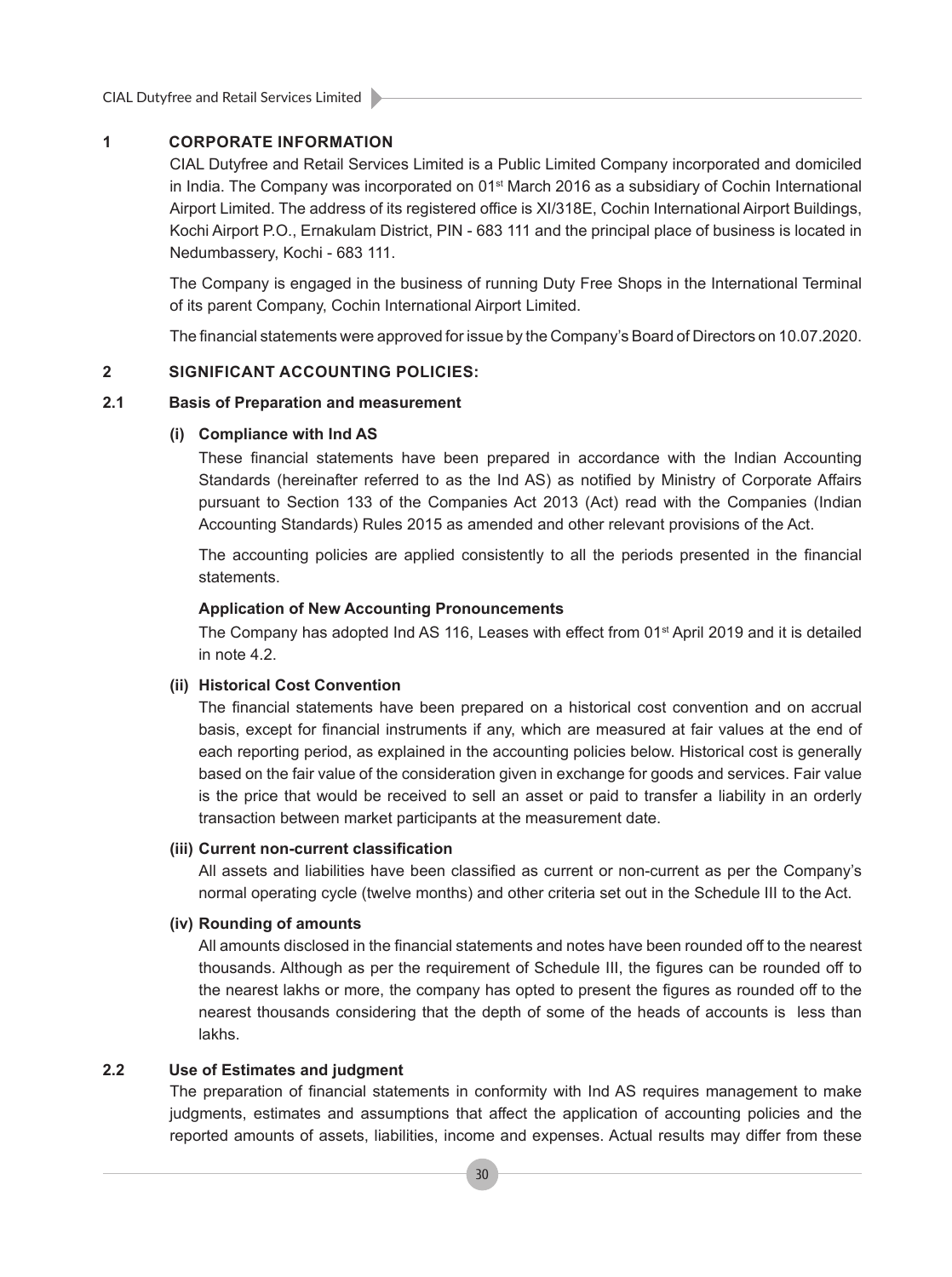CIAL Dutyfree and Retail Services Limited

### **1 CORPORATE INFORMATION**

CIAL Dutyfree and Retail Services Limited is a Public Limited Company incorporated and domiciled in India. The Company was incorporated on 01<sup>st</sup> March 2016 as a subsidiary of Cochin International Airport Limited. The address of its registered office is XI/318E, Cochin International Airport Buildings, Kochi Airport P.O., Ernakulam District, PIN - 683 111 and the principal place of business is located in Nedumbassery, Kochi - 683 111.

The Company is engaged in the business of running Duty Free Shops in the International Terminal of its parent Company, Cochin International Airport Limited.

The financial statements were approved for issue by the Company's Board of Directors on 10.07.2020.

### **2 SIGNIFICANT ACCOUNTING POLICIES:**

### **2.1 Basis of Preparation and measurement**

### **(i) Compliance with Ind AS**

These financial statements have been prepared in accordance with the Indian Accounting Standards (hereinafter referred to as the Ind AS) as notified by Ministry of Corporate Affairs pursuant to Section 133 of the Companies Act 2013 (Act) read with the Companies (Indian Accounting Standards) Rules 2015 as amended and other relevant provisions of the Act.

The accounting policies are applied consistently to all the periods presented in the financial statements.

### **Application of New Accounting Pronouncements**

The Company has adopted Ind AS 116, Leases with effect from 01<sup>st</sup> April 2019 and it is detailed in note 4.2.

### **(ii) Historical Cost Convention**

The financial statements have been prepared on a historical cost convention and on accrual basis, except for financial instruments if any, which are measured at fair values at the end of each reporting period, as explained in the accounting policies below. Historical cost is generally based on the fair value of the consideration given in exchange for goods and services. Fair value is the price that would be received to sell an asset or paid to transfer a liability in an orderly transaction between market participants at the measurement date.

### **(iii) Current non-current classification**

All assets and liabilities have been classified as current or non-current as per the Company's normal operating cycle (twelve months) and other criteria set out in the Schedule III to the Act.

### **(iv) Rounding of amounts**

All amounts disclosed in the financial statements and notes have been rounded off to the nearest thousands. Although as per the requirement of Schedule III, the figures can be rounded off to the nearest lakhs or more, the company has opted to present the figures as rounded off to the nearest thousands considering that the depth of some of the heads of accounts is less than lakhs.

### **2.2 Use of Estimates and judgment**

The preparation of financial statements in conformity with Ind AS requires management to make judgments, estimates and assumptions that affect the application of accounting policies and the reported amounts of assets, liabilities, income and expenses. Actual results may differ from these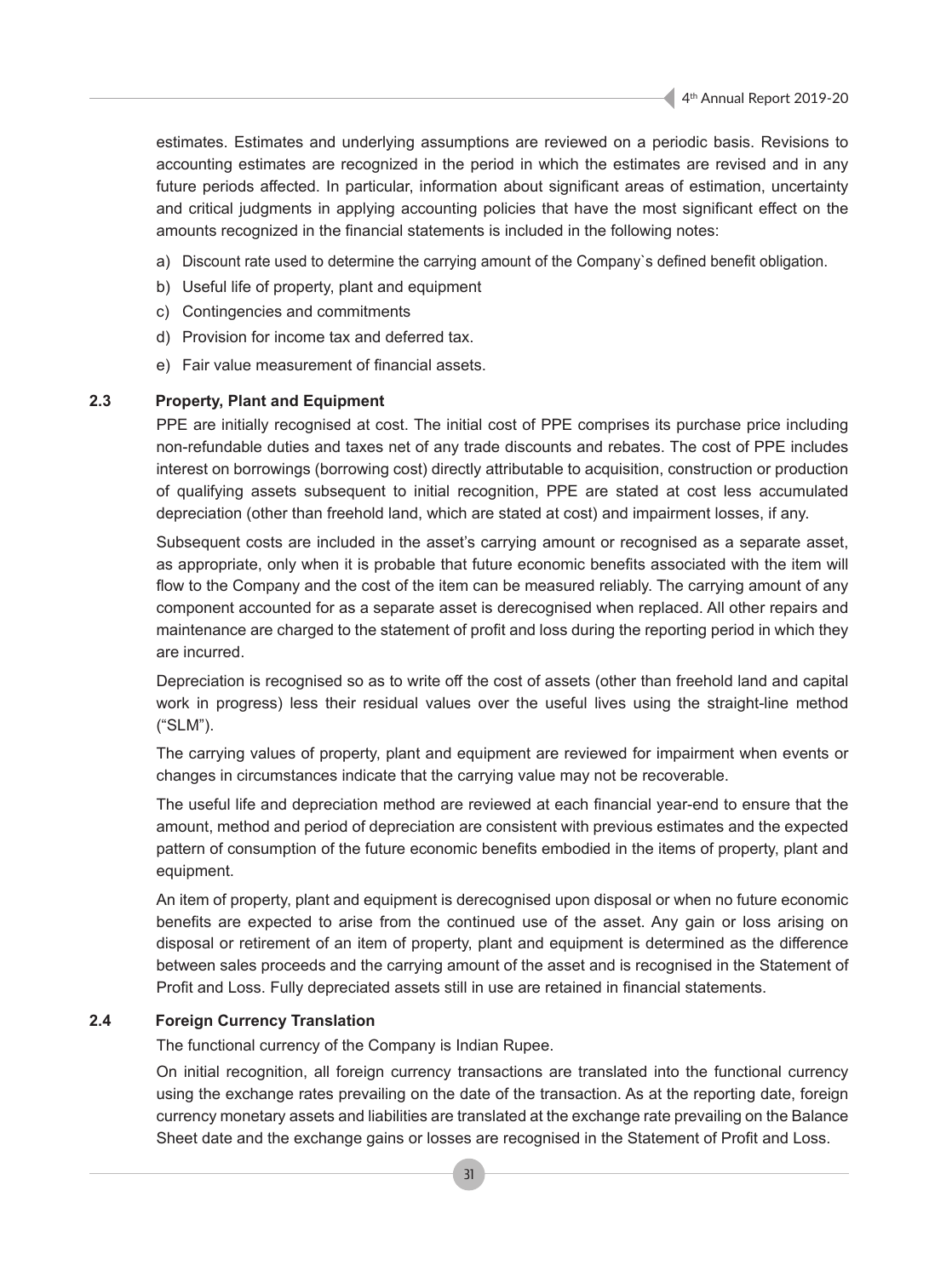estimates. Estimates and underlying assumptions are reviewed on a periodic basis. Revisions to accounting estimates are recognized in the period in which the estimates are revised and in any future periods affected. In particular, information about significant areas of estimation, uncertainty and critical judgments in applying accounting policies that have the most significant effect on the amounts recognized in the financial statements is included in the following notes:

- a) Discount rate used to determine the carrying amount of the Company`s defined benefit obligation.
- b) Useful life of property, plant and equipment
- c) Contingencies and commitments
- d) Provision for income tax and deferred tax.
- e) Fair value measurement of financial assets.

### **2.3 Property, Plant and Equipment**

PPE are initially recognised at cost. The initial cost of PPE comprises its purchase price including non-refundable duties and taxes net of any trade discounts and rebates. The cost of PPE includes interest on borrowings (borrowing cost) directly attributable to acquisition, construction or production of qualifying assets subsequent to initial recognition, PPE are stated at cost less accumulated depreciation (other than freehold land, which are stated at cost) and impairment losses, if any.

Subsequent costs are included in the asset's carrying amount or recognised as a separate asset, as appropriate, only when it is probable that future economic benefits associated with the item will flow to the Company and the cost of the item can be measured reliably. The carrying amount of any component accounted for as a separate asset is derecognised when replaced. All other repairs and maintenance are charged to the statement of profit and loss during the reporting period in which they are incurred.

Depreciation is recognised so as to write off the cost of assets (other than freehold land and capital work in progress) less their residual values over the useful lives using the straight-line method ("SLM").

The carrying values of property, plant and equipment are reviewed for impairment when events or changes in circumstances indicate that the carrying value may not be recoverable.

The useful life and depreciation method are reviewed at each financial year-end to ensure that the amount, method and period of depreciation are consistent with previous estimates and the expected pattern of consumption of the future economic benefits embodied in the items of property, plant and equipment.

An item of property, plant and equipment is derecognised upon disposal or when no future economic benefits are expected to arise from the continued use of the asset. Any gain or loss arising on disposal or retirement of an item of property, plant and equipment is determined as the difference between sales proceeds and the carrying amount of the asset and is recognised in the Statement of Profit and Loss. Fully depreciated assets still in use are retained in financial statements.

### **2.4 Foreign Currency Translation**

The functional currency of the Company is Indian Rupee.

On initial recognition, all foreign currency transactions are translated into the functional currency using the exchange rates prevailing on the date of the transaction. As at the reporting date, foreign currency monetary assets and liabilities are translated at the exchange rate prevailing on the Balance Sheet date and the exchange gains or losses are recognised in the Statement of Profit and Loss.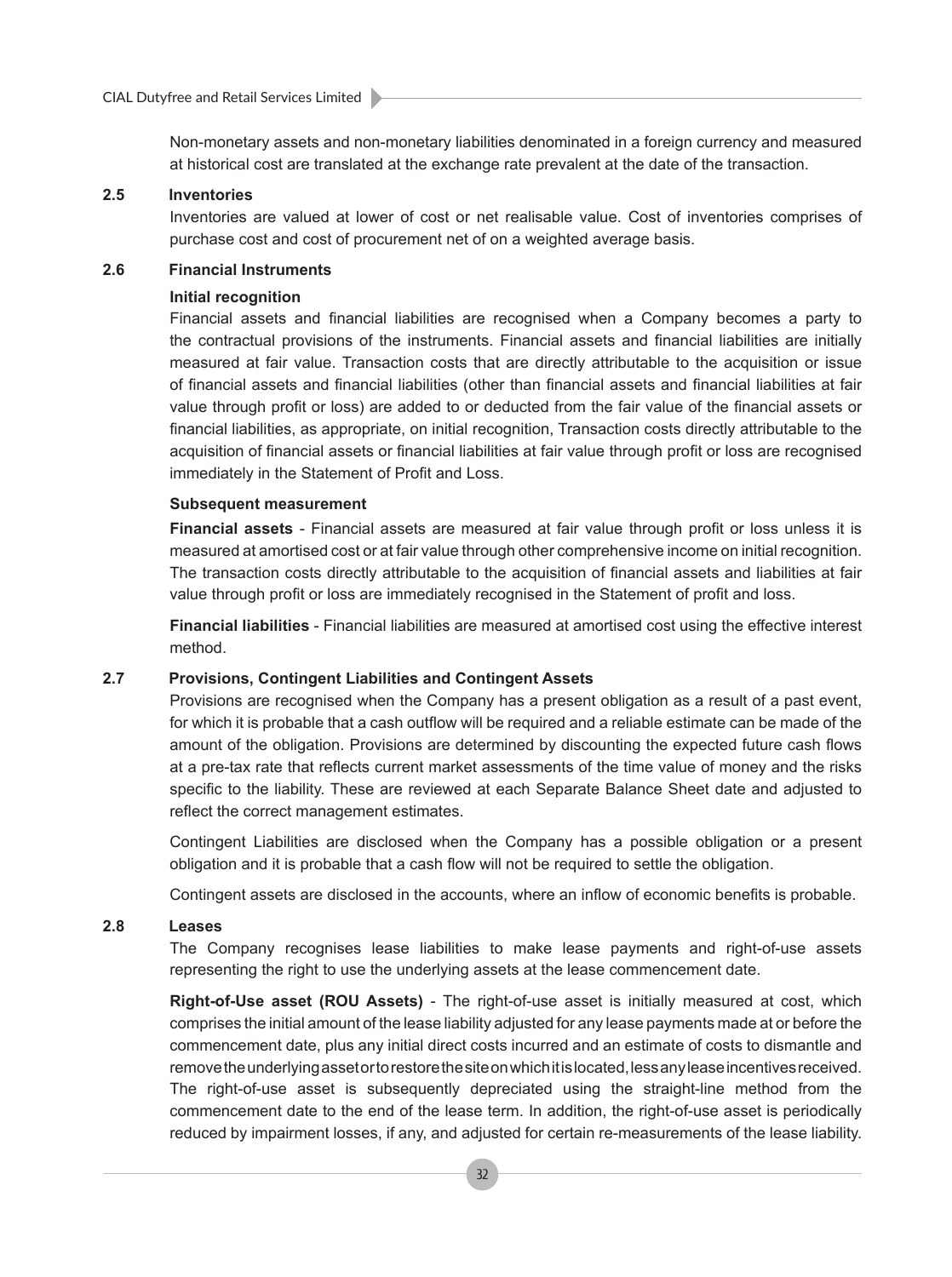Non-monetary assets and non-monetary liabilities denominated in a foreign currency and measured at historical cost are translated at the exchange rate prevalent at the date of the transaction.

### **2.5 Inventories**

Inventories are valued at lower of cost or net realisable value. Cost of inventories comprises of purchase cost and cost of procurement net of on a weighted average basis.

### **2.6 Financial Instruments**

### **Initial recognition**

Financial assets and financial liabilities are recognised when a Company becomes a party to the contractual provisions of the instruments. Financial assets and financial liabilities are initially measured at fair value. Transaction costs that are directly attributable to the acquisition or issue of financial assets and financial liabilities (other than financial assets and financial liabilities at fair value through profit or loss) are added to or deducted from the fair value of the financial assets or financial liabilities, as appropriate, on initial recognition, Transaction costs directly attributable to the acquisition of financial assets or financial liabilities at fair value through profit or loss are recognised immediately in the Statement of Profit and Loss.

### **Subsequent measurement**

**Financial assets** - Financial assets are measured at fair value through profit or loss unless it is measured at amortised cost or at fair value through other comprehensive income on initial recognition. The transaction costs directly attributable to the acquisition of financial assets and liabilities at fair value through profit or loss are immediately recognised in the Statement of profit and loss.

**Financial liabilities** - Financial liabilities are measured at amortised cost using the effective interest method.

### **2.7 Provisions, Contingent Liabilities and Contingent Assets**

Provisions are recognised when the Company has a present obligation as a result of a past event, for which it is probable that a cash outflow will be required and a reliable estimate can be made of the amount of the obligation. Provisions are determined by discounting the expected future cash flows at a pre-tax rate that reflects current market assessments of the time value of money and the risks specific to the liability. These are reviewed at each Separate Balance Sheet date and adjusted to reflect the correct management estimates.

Contingent Liabilities are disclosed when the Company has a possible obligation or a present obligation and it is probable that a cash flow will not be required to settle the obligation.

Contingent assets are disclosed in the accounts, where an inflow of economic benefits is probable.

### **2.8 Leases**

The Company recognises lease liabilities to make lease payments and right-of-use assets representing the right to use the underlying assets at the lease commencement date.

**Right-of-Use asset (ROU Assets)** - The right-of-use asset is initially measured at cost, which comprises the initial amount of the lease liability adjusted for any lease payments made at or before the commencement date, plus any initial direct costs incurred and an estimate of costs to dismantle and remove the underlying asset or to restore the site on which it is located, less any lease incentives received. The right-of-use asset is subsequently depreciated using the straight-line method from the commencement date to the end of the lease term. In addition, the right-of-use asset is periodically reduced by impairment losses, if any, and adjusted for certain re-measurements of the lease liability.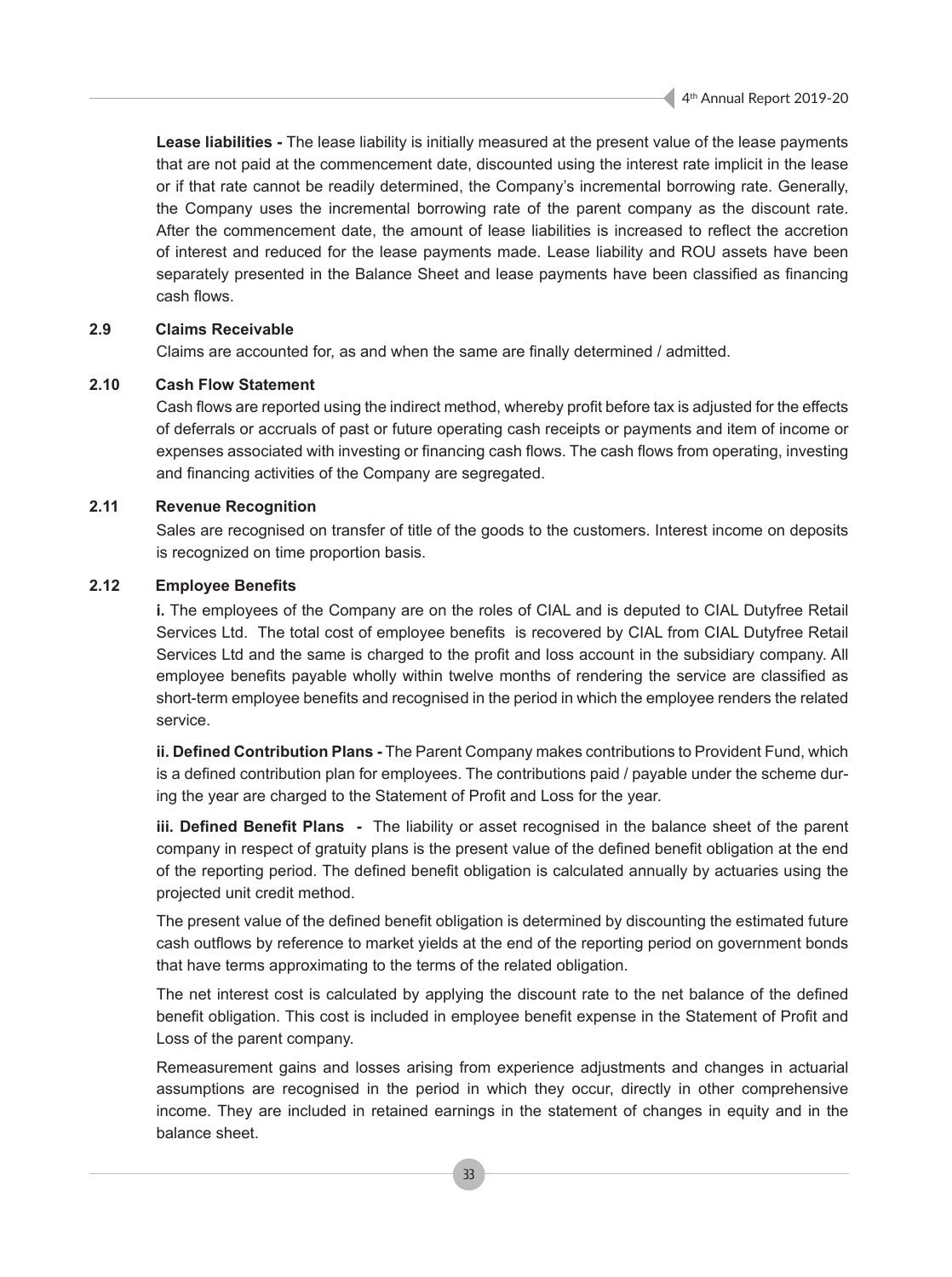**Lease liabilities -** The lease liability is initially measured at the present value of the lease payments that are not paid at the commencement date, discounted using the interest rate implicit in the lease or if that rate cannot be readily determined, the Company's incremental borrowing rate. Generally, the Company uses the incremental borrowing rate of the parent company as the discount rate. After the commencement date, the amount of lease liabilities is increased to reflect the accretion of interest and reduced for the lease payments made. Lease liability and ROU assets have been separately presented in the Balance Sheet and lease payments have been classified as financing cash flows.

### **2.9 Claims Receivable**

Claims are accounted for, as and when the same are finally determined / admitted.

### **2.10 Cash Flow Statement**

Cash flows are reported using the indirect method, whereby profit before tax is adjusted for the effects of deferrals or accruals of past or future operating cash receipts or payments and item of income or expenses associated with investing or financing cash flows. The cash flows from operating, investing and financing activities of the Company are segregated.

### **2.11 Revenue Recognition**

Sales are recognised on transfer of title of the goods to the customers. Interest income on deposits is recognized on time proportion basis.

### **2.12 Employee Benefits**

**i.** The employees of the Company are on the roles of CIAL and is deputed to CIAL Dutyfree Retail Services Ltd. The total cost of employee benefits is recovered by CIAL from CIAL Dutyfree Retail Services Ltd and the same is charged to the profit and loss account in the subsidiary company. All employee benefits payable wholly within twelve months of rendering the service are classified as short-term employee benefits and recognised in the period in which the employee renders the related service.

**ii. Defined Contribution Plans -** The Parent Company makes contributions to Provident Fund, which is a defined contribution plan for employees. The contributions paid / payable under the scheme during the year are charged to the Statement of Profit and Loss for the year.

**iii. Defined Benefit Plans -** The liability or asset recognised in the balance sheet of the parent company in respect of gratuity plans is the present value of the defined benefit obligation at the end of the reporting period. The defined benefit obligation is calculated annually by actuaries using the projected unit credit method.

The present value of the defined benefit obligation is determined by discounting the estimated future cash outflows by reference to market yields at the end of the reporting period on government bonds that have terms approximating to the terms of the related obligation.

The net interest cost is calculated by applying the discount rate to the net balance of the defined benefit obligation. This cost is included in employee benefit expense in the Statement of Profit and Loss of the parent company.

Remeasurement gains and losses arising from experience adjustments and changes in actuarial assumptions are recognised in the period in which they occur, directly in other comprehensive income. They are included in retained earnings in the statement of changes in equity and in the balance sheet.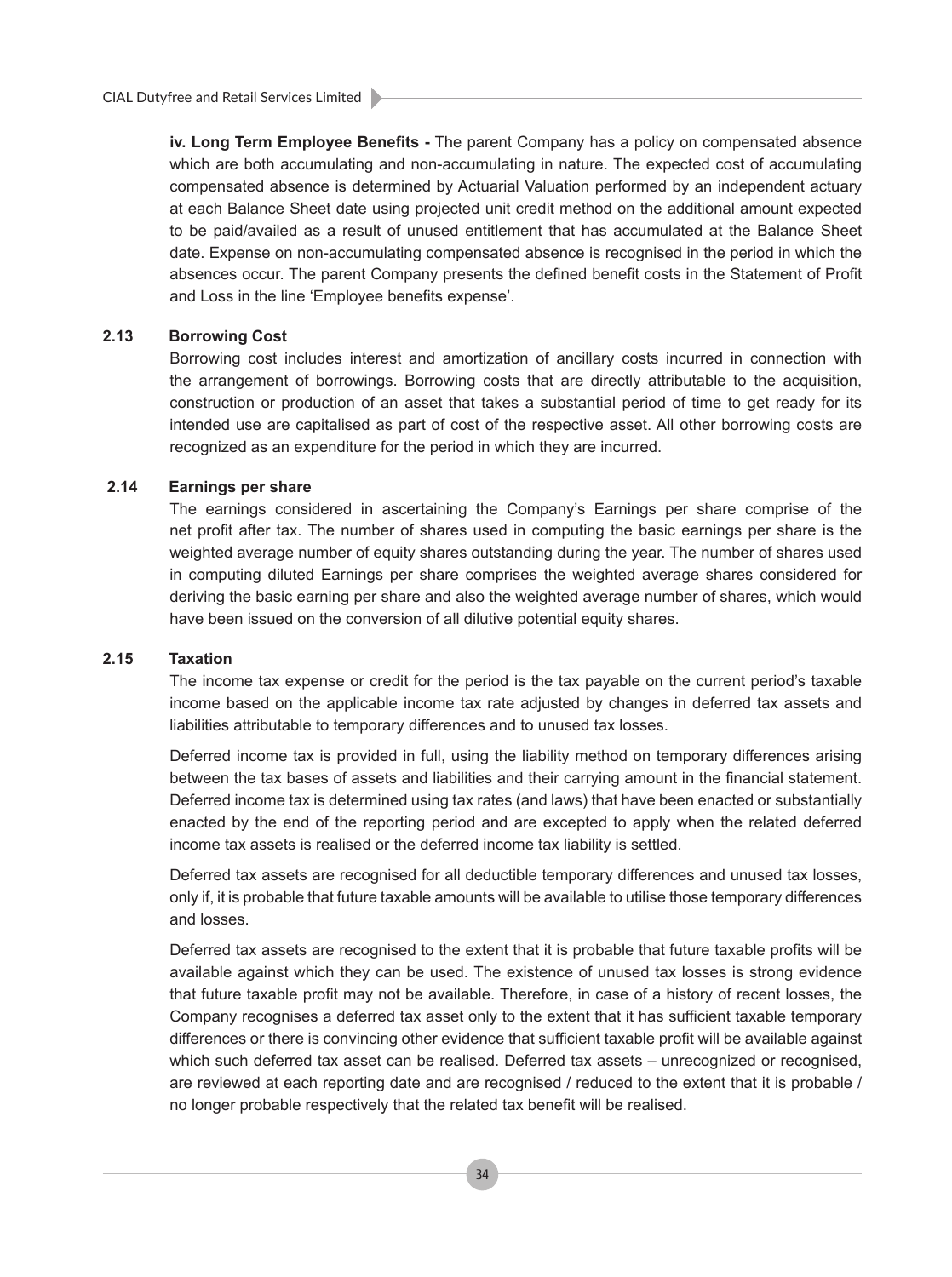**iv. Long Term Employee Benefits -** The parent Company has a policy on compensated absence which are both accumulating and non-accumulating in nature. The expected cost of accumulating compensated absence is determined by Actuarial Valuation performed by an independent actuary at each Balance Sheet date using projected unit credit method on the additional amount expected to be paid/availed as a result of unused entitlement that has accumulated at the Balance Sheet date. Expense on non-accumulating compensated absence is recognised in the period in which the absences occur. The parent Company presents the defined benefit costs in the Statement of Profit and Loss in the line 'Employee benefits expense'.

### **2.13 Borrowing Cost**

Borrowing cost includes interest and amortization of ancillary costs incurred in connection with the arrangement of borrowings. Borrowing costs that are directly attributable to the acquisition, construction or production of an asset that takes a substantial period of time to get ready for its intended use are capitalised as part of cost of the respective asset. All other borrowing costs are recognized as an expenditure for the period in which they are incurred.

### **2.14 Earnings per share**

The earnings considered in ascertaining the Company's Earnings per share comprise of the net profit after tax. The number of shares used in computing the basic earnings per share is the weighted average number of equity shares outstanding during the year. The number of shares used in computing diluted Earnings per share comprises the weighted average shares considered for deriving the basic earning per share and also the weighted average number of shares, which would have been issued on the conversion of all dilutive potential equity shares.

### **2.15 Taxation**

The income tax expense or credit for the period is the tax payable on the current period's taxable income based on the applicable income tax rate adjusted by changes in deferred tax assets and liabilities attributable to temporary differences and to unused tax losses.

Deferred income tax is provided in full, using the liability method on temporary differences arising between the tax bases of assets and liabilities and their carrying amount in the financial statement. Deferred income tax is determined using tax rates (and laws) that have been enacted or substantially enacted by the end of the reporting period and are excepted to apply when the related deferred income tax assets is realised or the deferred income tax liability is settled.

Deferred tax assets are recognised for all deductible temporary differences and unused tax losses, only if, it is probable that future taxable amounts will be available to utilise those temporary differences and losses.

Deferred tax assets are recognised to the extent that it is probable that future taxable profits will be available against which they can be used. The existence of unused tax losses is strong evidence that future taxable profit may not be available. Therefore, in case of a history of recent losses, the Company recognises a deferred tax asset only to the extent that it has sufficient taxable temporary differences or there is convincing other evidence that sufficient taxable profit will be available against which such deferred tax asset can be realised. Deferred tax assets – unrecognized or recognised. are reviewed at each reporting date and are recognised / reduced to the extent that it is probable / no longer probable respectively that the related tax benefit will be realised.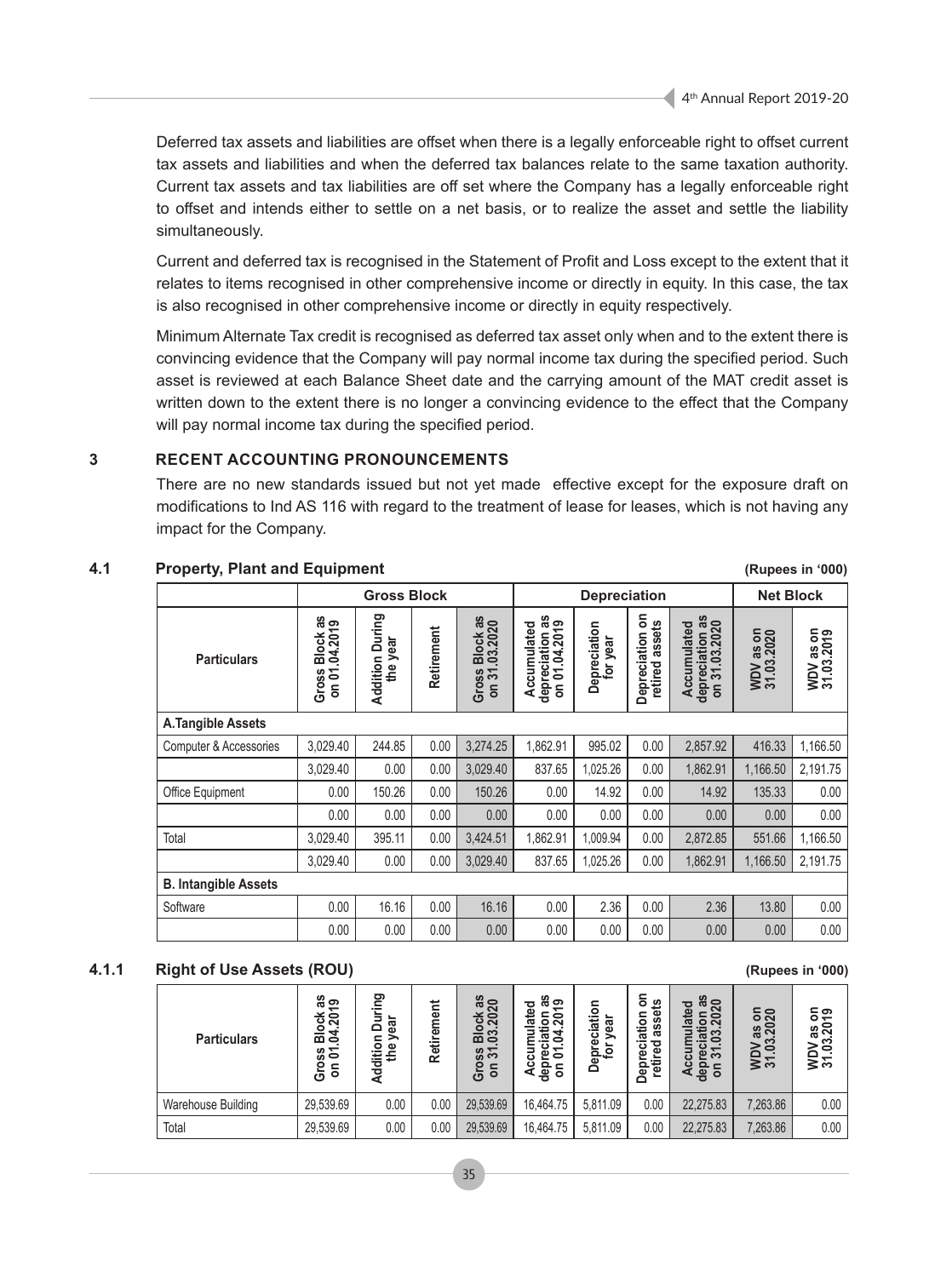Deferred tax assets and liabilities are offset when there is a legally enforceable right to offset current tax assets and liabilities and when the deferred tax balances relate to the same taxation authority. Current tax assets and tax liabilities are off set where the Company has a legally enforceable right to offset and intends either to settle on a net basis, or to realize the asset and settle the liability simultaneously.

Current and deferred tax is recognised in the Statement of Profit and Loss except to the extent that it relates to items recognised in other comprehensive income or directly in equity. In this case, the tax is also recognised in other comprehensive income or directly in equity respectively.

Minimum Alternate Tax credit is recognised as deferred tax asset only when and to the extent there is convincing evidence that the Company will pay normal income tax during the specified period. Such asset is reviewed at each Balance Sheet date and the carrying amount of the MAT credit asset is written down to the extent there is no longer a convincing evidence to the effect that the Company will pay normal income tax during the specified period.

### **3 RECENT ACCOUNTING PRONOUNCEMENTS**

There are no new standards issued but not yet made effective except for the exposure draft on modifications to Ind AS 116 with regard to the treatment of lease for leases, which is not having any impact for the Company.

|                             |                                                   | <b>Gross Block</b>                    |            |                                                |                                                 | <b>Depreciation</b>      |                                        |                                                 | <b>Net Block</b>        |                         |
|-----------------------------|---------------------------------------------------|---------------------------------------|------------|------------------------------------------------|-------------------------------------------------|--------------------------|----------------------------------------|-------------------------------------------------|-------------------------|-------------------------|
| <b>Particulars</b>          | 8g<br>04.2019<br><b>Block</b><br>Gross<br>Σ<br>δñ | <b>Addition During</b><br>year<br>the | Retirement | <b>Block as<br/>.03.2020</b><br>Gross<br>on 31 | depreciation as<br>on 01.04.2019<br>Accumulated | Depreciation<br>for year | ā<br>assets<br>Depreciation<br>retired | depreciation as<br>on 31.03.2020<br>Accumulated | WDV as on<br>31.03.2020 | WDV as on<br>31.03.2019 |
| <b>A.Tangible Assets</b>    |                                                   |                                       |            |                                                |                                                 |                          |                                        |                                                 |                         |                         |
| Computer & Accessories      | 3,029.40                                          | 244.85                                | 0.00       | 3,274.25                                       | 1,862.91                                        | 995.02                   | 0.00                                   | 2,857.92                                        | 416.33                  | 1,166.50                |
|                             | 3,029.40                                          | 0.00                                  | 0.00       | 3,029.40                                       | 837.65                                          | 1,025.26                 | 0.00                                   | 1,862.91                                        | 1,166.50                | 2,191.75                |
| Office Equipment            | 0.00                                              | 150.26                                | 0.00       | 150.26                                         | 0.00                                            | 14.92                    | 0.00                                   | 14.92                                           | 135.33                  | 0.00                    |
|                             | 0.00                                              | 0.00                                  | 0.00       | 0.00                                           | 0.00                                            | 0.00                     | 0.00                                   | 0.00                                            | 0.00                    | 0.00                    |
| Total                       | 3,029.40                                          | 395.11                                | 0.00       | 3,424.51                                       | 1,862.91                                        | 1,009.94                 | 0.00                                   | 2,872.85                                        | 551.66                  | 1,166.50                |
|                             | 3.029.40                                          | 0.00                                  | 0.00       | 3,029.40                                       | 837.65                                          | 1,025.26                 | 0.00                                   | 1.862.91                                        | 1.166.50                | 2.191.75                |
| <b>B. Intangible Assets</b> |                                                   |                                       |            |                                                |                                                 |                          |                                        |                                                 |                         |                         |
| Software                    | 0.00                                              | 16.16                                 | 0.00       | 16.16                                          | 0.00                                            | 2.36                     | 0.00                                   | 2.36                                            | 13.80                   | 0.00                    |
|                             | 0.00                                              | 0.00                                  | 0.00       | 0.00                                           | 0.00                                            | 0.00                     | 0.00                                   | 0.00                                            | 0.00                    | 0.00                    |

### **4.1 Property, Plant and Equipment (Rupees in '000)**

### **4.1.1 Right of Use Assets (ROU) (Rupees in '000)**

| <b>Particulars</b> | $\frac{6}{3}$<br>శ<br>Ò<br>$\overline{\mathbf{C}}$<br>$\frac{1}{10}$<br>ď<br>ន្លួ<br>ဖာ<br>ق<br>ق<br>δñ | ဥ<br>ទី<br>≏<br>⋋<br>≃<br>0<br>the<br>Ë<br>Ž | Retirement | <b>рсказ</b><br>O<br>$\overline{3}$<br>蔥<br>$\frac{2}{3}$<br>ros<br>$\overline{5}$<br>ල | $rac{6}{3}$<br>ᅙ<br>ate<br>ទ<br>Ò<br>$\mathbf{\Omega}$<br>4<br>ᠭᠣ<br>Ŏ<br>ပ<br>ਠ<br>ၜႍ<br>ပ<br>ပ<br>dep<br>้ธิ<br>⋖ | ទ<br>$c$ iati<br>year<br>pre<br>for | g<br>2<br>asse<br>ation<br>recia<br>retired<br>Dep | on as<br>2020<br>ated<br>3<br>ത<br>ပ<br>⋾<br><u>ছ ভ</u><br>ပ<br>ပ<br>dep<br>$\epsilon$<br>$\overline{\bullet}$<br>GT. | WDV as on<br>31.03.2020 | ⊆ ໑<br>$\circ$ $\div$<br><b>Se</b><br><b>WDV</b><br>31.03. |
|--------------------|---------------------------------------------------------------------------------------------------------|----------------------------------------------|------------|-----------------------------------------------------------------------------------------|---------------------------------------------------------------------------------------------------------------------|-------------------------------------|----------------------------------------------------|-----------------------------------------------------------------------------------------------------------------------|-------------------------|------------------------------------------------------------|
| Warehouse Building | 29,539.69                                                                                               | 0.00                                         | 0.00       | 29.539.69                                                                               | 16,464.75                                                                                                           | 5.811.09                            | 0.00                                               | 22,275.83                                                                                                             | 7,263.86                | 0.00                                                       |
| Total              | 29,539.69                                                                                               | 0.00                                         | 0.00       | 29,539.69                                                                               | 16,464.75                                                                                                           | 5.811.09                            | 0.00                                               | 22,275.83                                                                                                             | 7,263.86                | 0.00                                                       |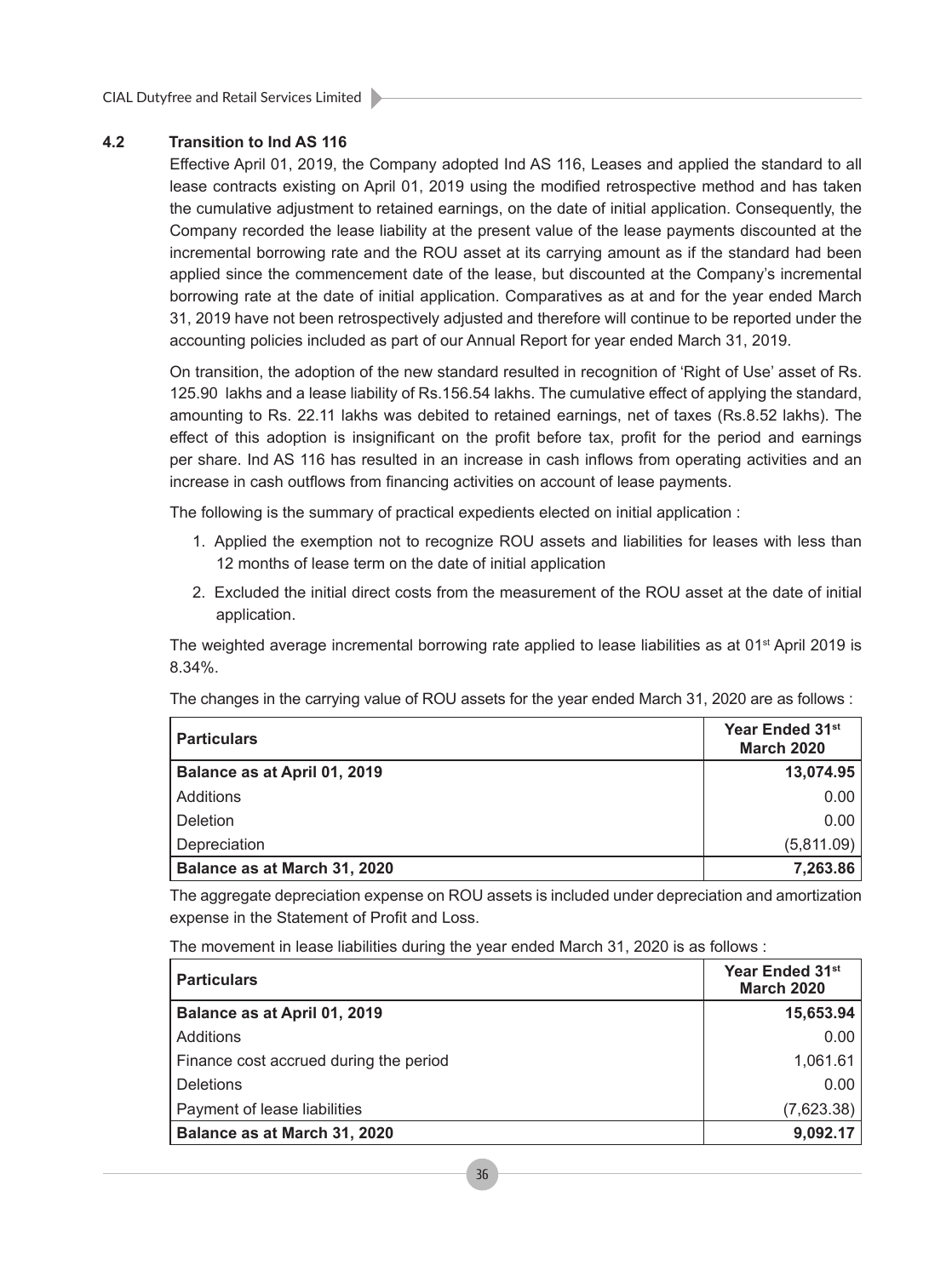CIAL Dutyfree and Retail Services Limited

### **4.2 Transition to Ind AS 116**

Effective April 01, 2019, the Company adopted Ind AS 116, Leases and applied the standard to all lease contracts existing on April 01, 2019 using the modified retrospective method and has taken the cumulative adjustment to retained earnings, on the date of initial application. Consequently, the Company recorded the lease liability at the present value of the lease payments discounted at the incremental borrowing rate and the ROU asset at its carrying amount as if the standard had been applied since the commencement date of the lease, but discounted at the Company's incremental borrowing rate at the date of initial application. Comparatives as at and for the year ended March 31, 2019 have not been retrospectively adjusted and therefore will continue to be reported under the accounting policies included as part of our Annual Report for year ended March 31, 2019.

On transition, the adoption of the new standard resulted in recognition of 'Right of Use' asset of Rs. 125.90 lakhs and a lease liability of Rs.156.54 lakhs. The cumulative effect of applying the standard, amounting to Rs. 22.11 lakhs was debited to retained earnings, net of taxes (Rs.8.52 lakhs). The effect of this adoption is insignificant on the profit before tax, profit for the period and earnings per share. Ind AS 116 has resulted in an increase in cash inflows from operating activities and an increase in cash outflows from financing activities on account of lease payments.

The following is the summary of practical expedients elected on initial application :

- 1. Applied the exemption not to recognize ROU assets and liabilities for leases with less than 12 months of lease term on the date of initial application
- 2. Excluded the initial direct costs from the measurement of the ROU asset at the date of initial application.

The weighted average incremental borrowing rate applied to lease liabilities as at 01<sup>st</sup> April 2019 is 8.34%.

The changes in the carrying value of ROU assets for the year ended March 31, 2020 are as follows :

| <b>Particulars</b>           | Year Ended 31 <sup>st</sup><br><b>March 2020</b> |
|------------------------------|--------------------------------------------------|
| Balance as at April 01, 2019 | 13,074.95                                        |
| Additions                    | 0.00                                             |
| Deletion                     | 0.00                                             |
| Depreciation                 | (5,811.09)                                       |
| Balance as at March 31, 2020 | 7,263.86                                         |

The aggregate depreciation expense on ROU assets is included under depreciation and amortization expense in the Statement of Profit and Loss.

The movement in lease liabilities during the year ended March 31, 2020 is as follows :

| <b>Particulars</b>                     | Year Ended 31st<br><b>March 2020</b> |
|----------------------------------------|--------------------------------------|
| Balance as at April 01, 2019           | 15,653.94                            |
| Additions                              | 0.00                                 |
| Finance cost accrued during the period | 1,061.61                             |
| <b>Deletions</b>                       | 0.00                                 |
| Payment of lease liabilities           | (7,623.38)                           |
| Balance as at March 31, 2020           | 9,092.17                             |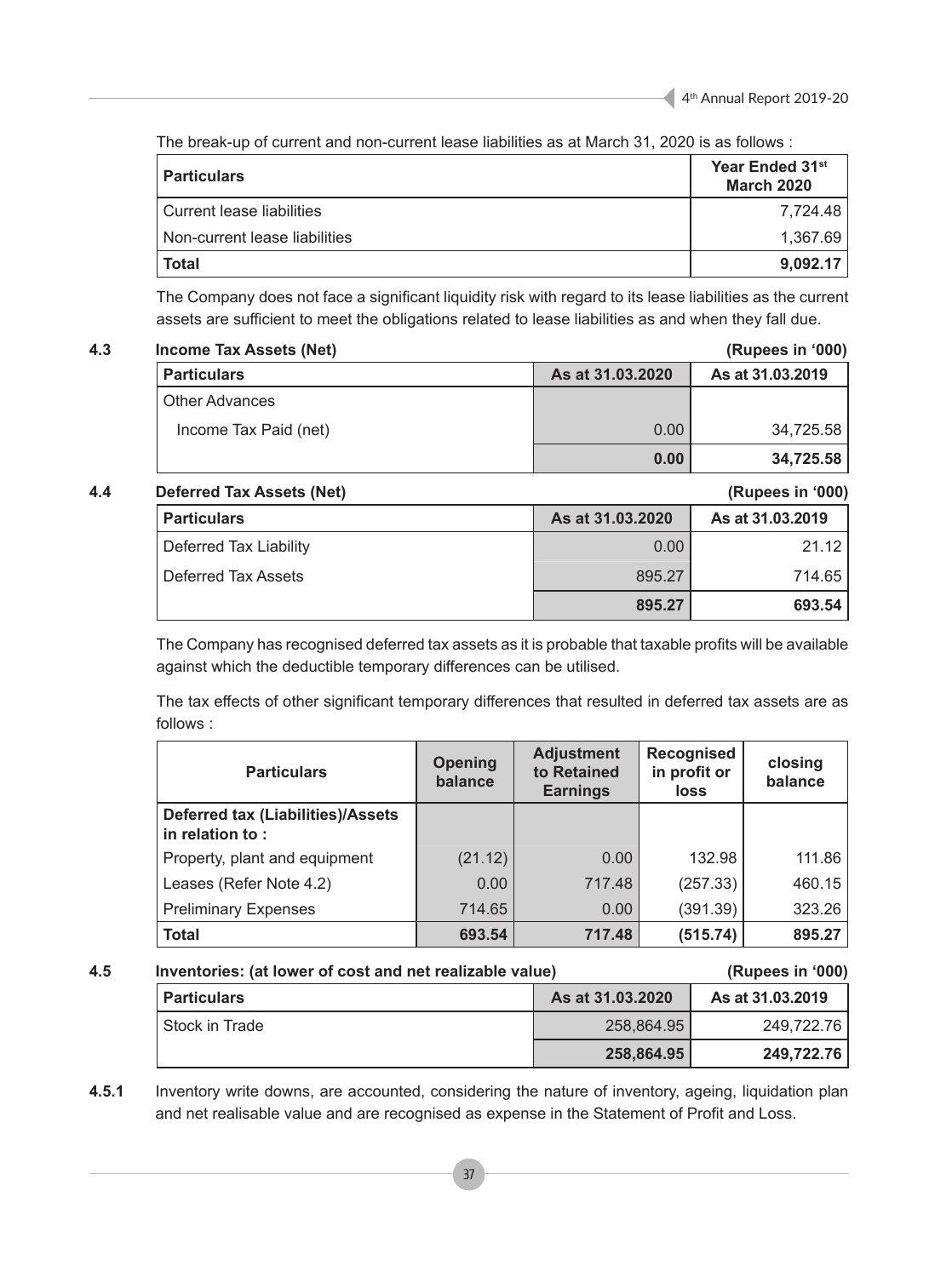The break-up of current and non-current lease liabilities as at March 31, 2020 is as follows :

| <b>Particulars</b>              | Year Ended 31st<br><b>March 2020</b> |
|---------------------------------|--------------------------------------|
| l Current lease liabilities     | 7.724.48                             |
| l Non-current lease liabilities | 1.367.69                             |
| <b>Total</b>                    | 9,092.17                             |

The Company does not face a significant liquidity risk with regard to its lease liabilities as the current assets are sufficient to meet the obligations related to lease liabilities as and when they fall due.

| Income Tax Assets (Net)<br><b>Particulars</b> | As at 31.03.2020 | (Rupees in '000)<br>As at 31,03,2019 |
|-----------------------------------------------|------------------|--------------------------------------|
| <b>Other Advances</b>                         |                  |                                      |
| Income Tax Paid (net)                         | 0.00             | 34,725.58                            |
|                                               | 0.00             | 34,725.58                            |

### **4.4 Deferred Tax Assets (Net) (Rupees in '000)**

| <b>Particulars</b>     | As at 31.03.2020 | As at 31.03.2019 |
|------------------------|------------------|------------------|
| Deferred Tax Liability | 0.00             | 21.12            |
| Deferred Tax Assets    | 895.27           | 714.65           |
|                        | 895.27           | 693.54           |

The Company has recognised deferred tax assets as it is probable that taxable profits will be available against which the deductible temporary differences can be utilised.

The tax effects of other significant temporary differences that resulted in deferred tax assets are as follows :

| <b>Particulars</b>                                          | <b>Opening</b><br>balance | <b>Adjustment</b><br>to Retained<br><b>Earnings</b> | Recognised<br>in profit or<br><b>loss</b> | closing<br>balance |
|-------------------------------------------------------------|---------------------------|-----------------------------------------------------|-------------------------------------------|--------------------|
| <b>Deferred tax (Liabilities)/Assets</b><br>in relation to: |                           |                                                     |                                           |                    |
| Property, plant and equipment                               | (21.12)                   | 0.00                                                | 132.98                                    | 111.86             |
| Leases (Refer Note 4.2)                                     | 0.00                      | 717.48                                              | (257.33)                                  | 460.15             |
| <b>Preliminary Expenses</b>                                 | 714.65                    | 0.00                                                | (391.39)                                  | 323.26             |
| <b>Total</b>                                                | 693.54                    | 717.48                                              | (515.74)                                  | 895.27             |

**4.5 Inventories: (at lower of cost and net realizable value) (Rupees in '000)**

| $\overline{11}$ at lower of cost and net realizable value) | <b>INUNCES III AND</b> |                  |
|------------------------------------------------------------|------------------------|------------------|
| <b>Particulars</b>                                         | As at 31.03.2020       | As at 31.03.2019 |
| Stock in Trade                                             | 258,864.95             | 249.722.76       |
|                                                            | 258,864.95             | 249.722.76       |

**4.5.1** Inventory write downs, are accounted, considering the nature of inventory, ageing, liquidation plan and net realisable value and are recognised as expense in the Statement of Profit and Loss.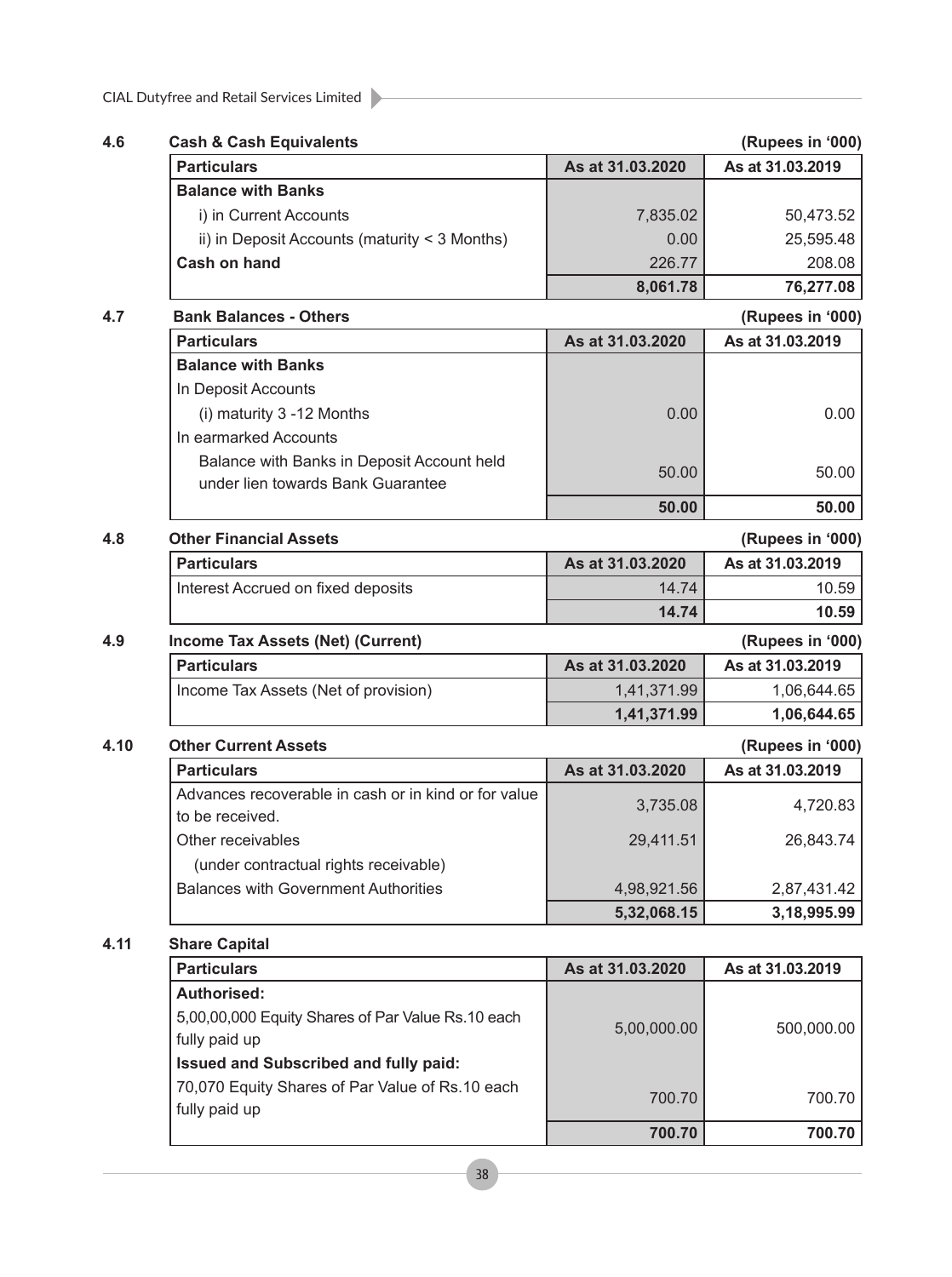| CIAL Dutyfree and Retail Services Limited |  |
|-------------------------------------------|--|
|-------------------------------------------|--|

### **4.6 Cash & Cash Equivalents (Rupees in '000)**

| <b>Particulars</b>                                | As at 31.03.2020 | As at 31.03.2019 |
|---------------------------------------------------|------------------|------------------|
| <b>Balance with Banks</b>                         |                  |                  |
| i) in Current Accounts                            | 7,835.02         | 50,473.52        |
| ii) in Deposit Accounts (maturity $\lt$ 3 Months) | 0.00             | 25,595.48        |
| Cash on hand                                      | 226.77           | 208.08           |
|                                                   | 8,061.78         | 76,277.08        |

#### **4.7 Bank Balances - Others (Rupees in '000)**

| Dann Daidhcea - Othcha                                                          |                  | (KUPGOJ III. VVV) |
|---------------------------------------------------------------------------------|------------------|-------------------|
| <b>Particulars</b>                                                              | As at 31.03.2020 | As at 31.03.2019  |
| <b>Balance with Banks</b>                                                       |                  |                   |
| In Deposit Accounts                                                             |                  |                   |
| (i) maturity 3 -12 Months                                                       | 0.00             | 0.00              |
| In earmarked Accounts                                                           |                  |                   |
| Balance with Banks in Deposit Account held<br>under lien towards Bank Guarantee | 50.00            | 50.00             |
|                                                                                 | 50.00            | 50.00             |

### **4.8 Other Financial Assets (Rupees in '000)**

| <b>Particulars</b>                 | As at 31.03.2020 | As at 31.03.2019 |
|------------------------------------|------------------|------------------|
| Interest Accrued on fixed deposits | 14.74            | 10.59            |
|                                    | 14.74            | 10.59            |

### **4.9 Income Tax Assets (Net) (Current) (Rupees in '000)**

| ∣ Particulars                        | As at 31.03.2020 | As at 31.03.2019 |
|--------------------------------------|------------------|------------------|
| Income Tax Assets (Net of provision) | 1.41.371.99      | 1.06.644.65      |
|                                      | 1,41,371.99      | 1,06,644.65      |

### **4.10 Other Current Assets (Rupees in '000)**

| <b>Particulars</b>                                   | As at 31.03.2020 | As at 31.03.2019 |
|------------------------------------------------------|------------------|------------------|
| Advances recoverable in cash or in kind or for value | 3,735.08         | 4,720.83         |
| to be received.                                      |                  |                  |
| Other receivables                                    | 29,411.51        | 26,843.74        |
| (under contractual rights receivable)                |                  |                  |
| <b>Balances with Government Authorities</b>          | 4,98,921.56      | 2,87,431.42      |
|                                                      | 5,32,068.15      | 3, 18, 995. 99   |

### **4.11 Share Capital**

| <b>Particulars</b>                                                                | As at 31.03.2020 | As at 31.03.2019 |
|-----------------------------------------------------------------------------------|------------------|------------------|
| Authorised:<br>5,00,00,000 Equity Shares of Par Value Rs.10 each<br>fully paid up | 5,00,000.00      | 500,000.00       |
| Issued and Subscribed and fully paid:                                             |                  |                  |
| 70,070 Equity Shares of Par Value of Rs.10 each<br>fully paid up                  | 700.70           | 700.70           |
|                                                                                   | 700.70           | 700.70           |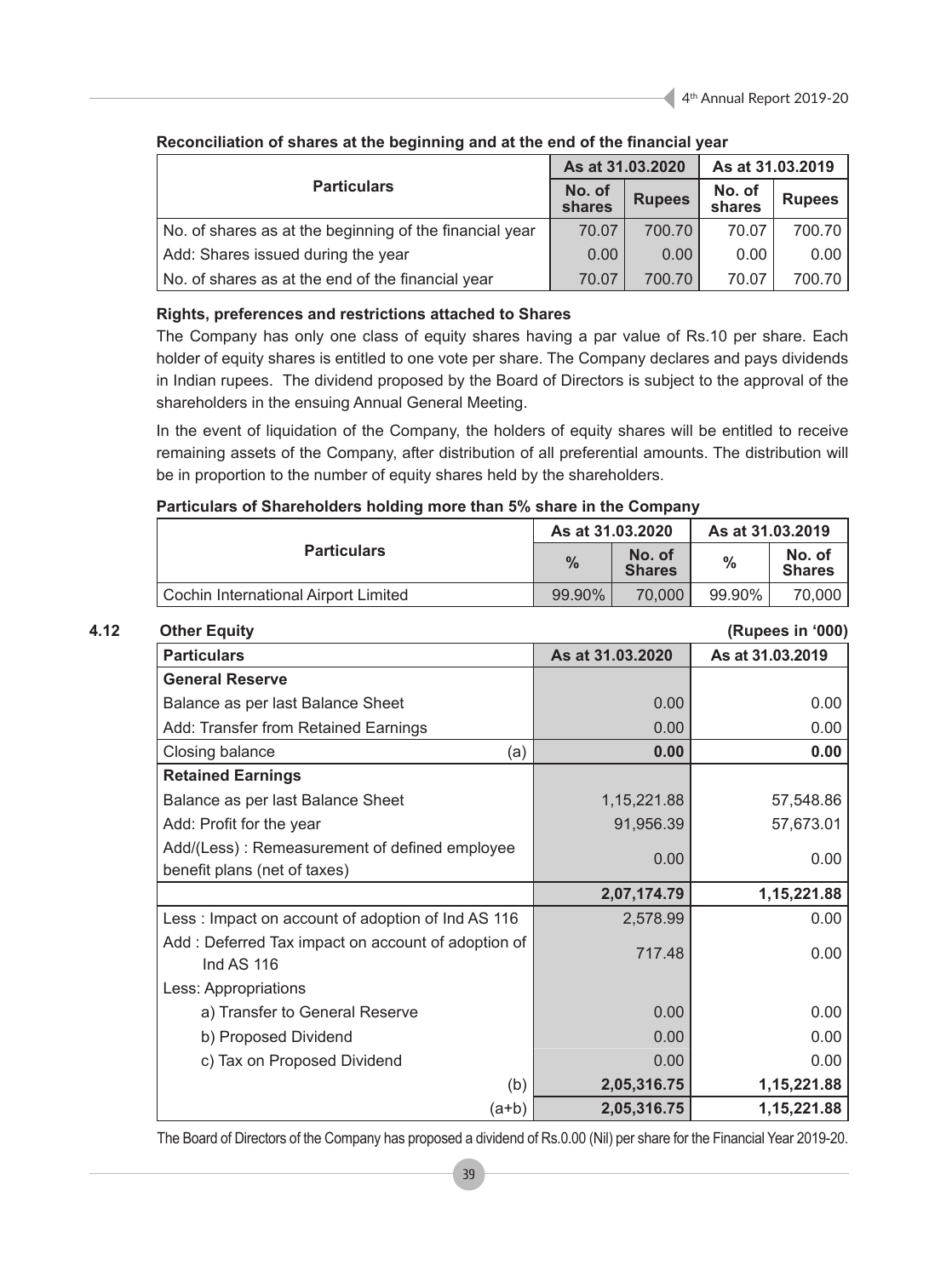|                                                         |                  | As at 31.03.2020 | As at 31.03.2019 |               |
|---------------------------------------------------------|------------------|------------------|------------------|---------------|
| <b>Particulars</b>                                      | No. of<br>shares | <b>Rupees</b>    | No. of<br>shares | <b>Rupees</b> |
| No. of shares as at the beginning of the financial year | 70.07            | 700.70           | 70.07            | 700.70        |
| Add: Shares issued during the year                      | 0.00             | 0.00             | 0.00             | 0.00          |
| No. of shares as at the end of the financial year       | 70.07            | 700.70           | 70.07            | 700.70        |

### **Reconciliation of shares at the beginning and at the end of the financial year**

### **Rights, preferences and restrictions attached to Shares**

The Company has only one class of equity shares having a par value of Rs.10 per share. Each holder of equity shares is entitled to one vote per share. The Company declares and pays dividends in Indian rupees. The dividend proposed by the Board of Directors is subject to the approval of the shareholders in the ensuing Annual General Meeting.

In the event of liquidation of the Company, the holders of equity shares will be entitled to receive remaining assets of the Company, after distribution of all preferential amounts. The distribution will be in proportion to the number of equity shares held by the shareholders.

| <b>Particulars</b>                      |               | As at 31.03.2020        | As at 31.03.2019 |                         |
|-----------------------------------------|---------------|-------------------------|------------------|-------------------------|
|                                         | $\frac{9}{6}$ | No. of<br><b>Shares</b> | %                | No. of<br><b>Shares</b> |
| l Cochin International Airport Limited. | 99.90%        | 70.000                  | 99.90%           | 70,000                  |

### **Particulars of Shareholders holding more than 5% share in the Company**

| <b>Other Equity</b>                                |         |                  | (Rupees in '000) |
|----------------------------------------------------|---------|------------------|------------------|
| <b>Particulars</b>                                 |         | As at 31.03.2020 | As at 31.03.2019 |
| <b>General Reserve</b>                             |         |                  |                  |
| Balance as per last Balance Sheet                  |         | 0.00             | 0.00             |
| Add: Transfer from Retained Earnings               |         | 0.00             | 0.00             |
| Closing balance                                    | (a)     | 0.00             | 0.00             |
| <b>Retained Earnings</b>                           |         |                  |                  |
| Balance as per last Balance Sheet                  |         | 1, 15, 221.88    | 57,548.86        |
| Add: Profit for the year                           |         | 91,956.39        | 57,673.01        |
| Add/(Less): Remeasurement of defined employee      |         | 0.00             | 0.00             |
| benefit plans (net of taxes)                       |         |                  |                  |
|                                                    |         | 2,07,174.79      | 1, 15, 221.88    |
| Less: Impact on account of adoption of Ind AS 116  |         | 2,578.99         | 0.00             |
| Add: Deferred Tax impact on account of adoption of |         | 717.48           | 0.00             |
| Ind AS 116                                         |         |                  |                  |
| Less: Appropriations                               |         |                  |                  |
| a) Transfer to General Reserve                     |         | 0.00             | 0.00             |
| b) Proposed Dividend                               |         | 0.00             | 0.00             |
| c) Tax on Proposed Dividend                        |         | 0.00             | 0.00             |
|                                                    | (b)     | 2,05,316.75      | 1, 15, 221.88    |
|                                                    | $(a+b)$ | 2,05,316.75      | 1, 15, 221.88    |

The Board of Directors of the Company has proposed a dividend of Rs.0.00 (Nil) per share for the Financial Year 2019-20.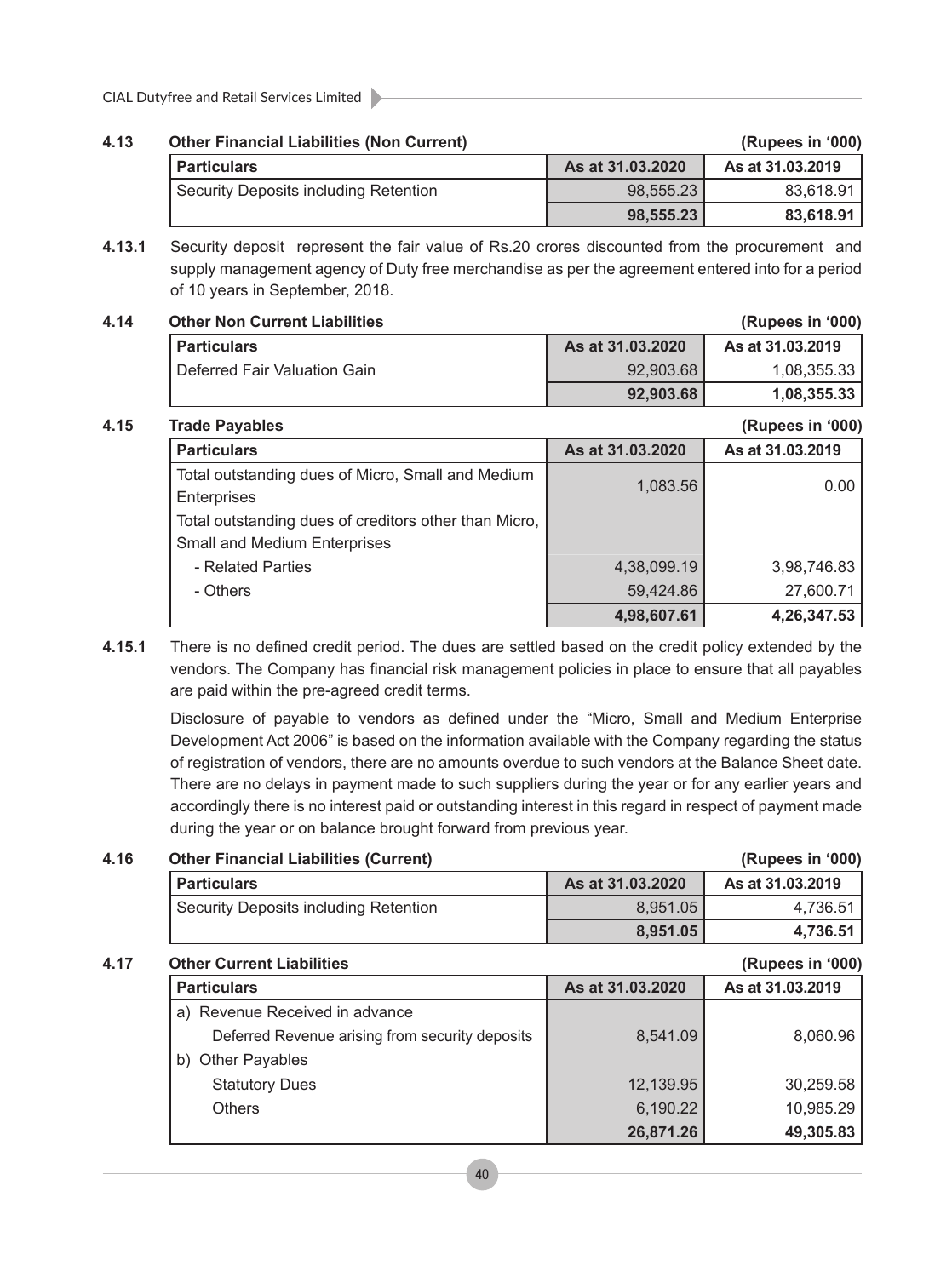### **4.13 Other Financial Liabilities (Non Current) (Rupees in '000)**

| Particulars                           | As at 31,03,2020 | As at 31.03.2019 |
|---------------------------------------|------------------|------------------|
| Security Deposits including Retention | 98.555.23        | 83.618.91        |
|                                       | 98,555,23        | 83.618.91        |

**4.13.1** Security deposit represent the fair value of Rs.20 crores discounted from the procurement and supply management agency of Duty free merchandise as per the agreement entered into for a period of 10 years in September, 2018.

### **4.14 Other Non Current Liabilities (Rupees in '000)**

| $\sim$ uivi Ivoli vuliviit Liudilitivo |                  | 1110000011100001 |
|----------------------------------------|------------------|------------------|
| <b>Particulars</b>                     | As at 31.03.2020 | As at 31.03.2019 |
| Deferred Fair Valuation Gain           | 92.903.68        | 1.08.355.33      |
|                                        | 92,903,68        | 1.08.355.33      |

| <b>Trade Payables</b><br><b>Particulars</b>           | As at 31.03.2020 | (Rupees in '000)<br>As at 31.03.2019 |
|-------------------------------------------------------|------------------|--------------------------------------|
|                                                       |                  |                                      |
| Total outstanding dues of Micro, Small and Medium     |                  |                                      |
| Enterprises                                           | 1,083.56         | 0.00 <sub>1</sub>                    |
| Total outstanding dues of creditors other than Micro, |                  |                                      |
| <b>Small and Medium Enterprises</b>                   |                  |                                      |
| - Related Parties                                     | 4,38,099.19      | 3,98,746.83                          |
| - Others                                              | 59,424.86        | 27,600.71                            |
|                                                       | 4,98,607.61      | 4,26,347.53                          |

**4.15.1** There is no defined credit period. The dues are settled based on the credit policy extended by the vendors. The Company has financial risk management policies in place to ensure that all payables are paid within the pre-agreed credit terms.

Disclosure of payable to vendors as defined under the "Micro, Small and Medium Enterprise Development Act 2006" is based on the information available with the Company regarding the status of registration of vendors, there are no amounts overdue to such vendors at the Balance Sheet date. There are no delays in payment made to such suppliers during the year or for any earlier years and accordingly there is no interest paid or outstanding interest in this regard in respect of payment made during the year or on balance brought forward from previous year.

### **4.16 Other Financial Liabilities (Current) (Rupees in '000)**

| ' Particulars                         | As at 31.03.2020 | As at 31.03.2019 |
|---------------------------------------|------------------|------------------|
| Security Deposits including Retention | 8.951.05         | 4.736.51         |
|                                       | 8.951.05         | 4.736.51         |

### **4.17 Other Current Liabilities (Rupees in '000)**

| <b>Particulars</b>                              | As at 31.03.2020 | As at 31.03.2019 |
|-------------------------------------------------|------------------|------------------|
| a) Revenue Received in advance                  |                  |                  |
| Deferred Revenue arising from security deposits | 8,541.09         | 8,060.96         |
| b) Other Payables                               |                  |                  |
| <b>Statutory Dues</b>                           | 12,139.95        | 30,259.58        |
| <b>Others</b>                                   | 6,190.22         | 10,985.29        |
|                                                 | 26,871.26        | 49,305.83        |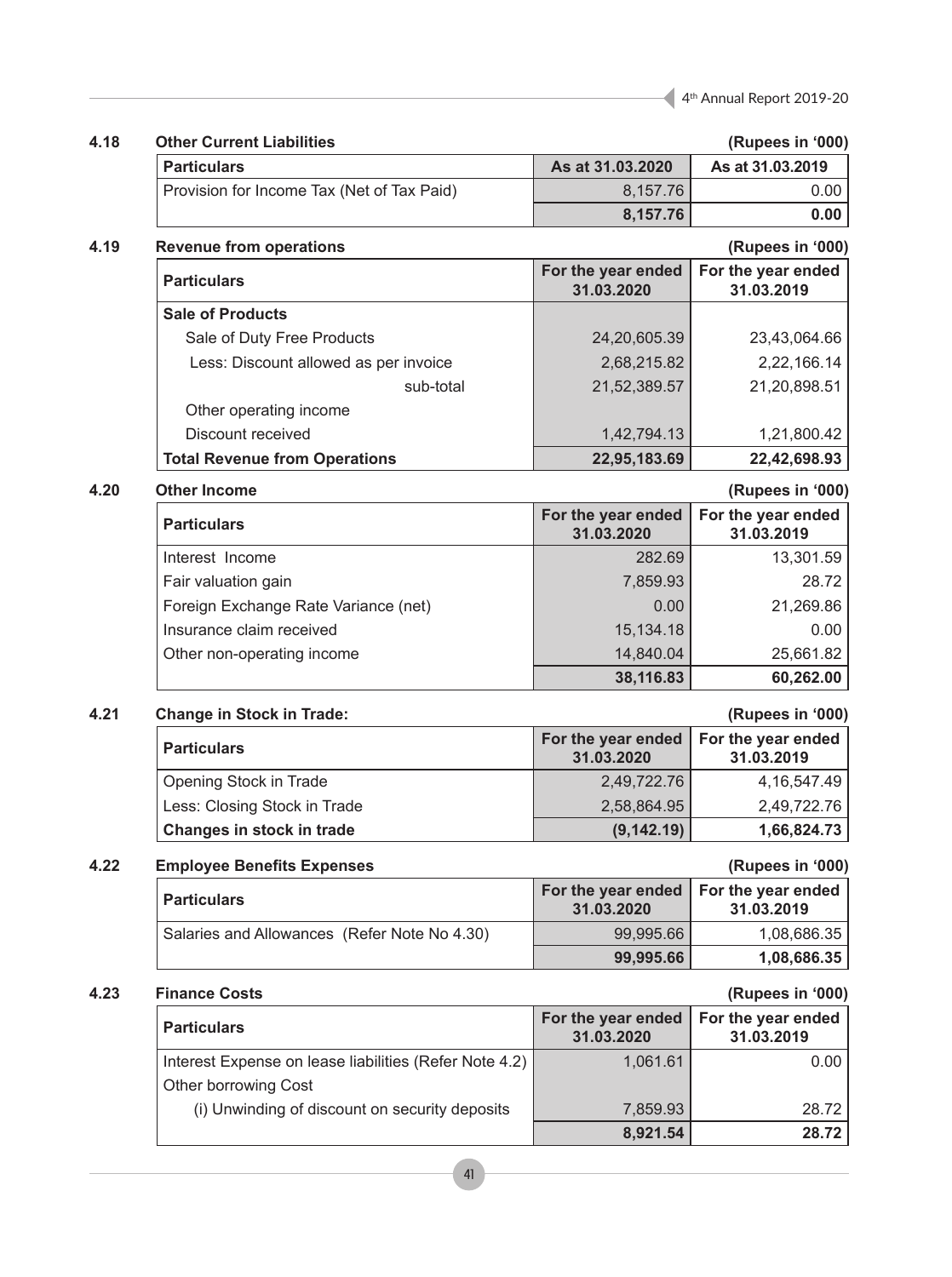### **4.18 Other Current Liabilities (Rupees in '000)**

| ________________________                   |                  |                  |
|--------------------------------------------|------------------|------------------|
| Particulars                                | As at 31,03,2020 | As at 31.03.2019 |
| Provision for Income Tax (Net of Tax Paid) | 8.157.76         | 0.00 I           |
|                                            | 8.157.76         | $0.00 \mid$      |

### **4.19 Revenue from operations (Rupees in '000)**

| <b>Particulars</b>                    | For the year ended<br>31.03.2020 | For the year ended<br>31.03.2019 |
|---------------------------------------|----------------------------------|----------------------------------|
| <b>Sale of Products</b>               |                                  |                                  |
| Sale of Duty Free Products            | 24,20,605.39                     | 23,43,064.66                     |
| Less: Discount allowed as per invoice | 2,68,215.82                      | 2,22,166.14                      |
| sub-total                             | 21,52,389.57                     | 21,20,898.51                     |
| Other operating income                |                                  |                                  |
| Discount received                     | 1,42,794.13                      | 1,21,800.42                      |
| <b>Total Revenue from Operations</b>  | 22,95,183.69                     | 22,42,698.93                     |

### **4.20 Other Income (Rupees in '000)**

| <b>Particulars</b>                   | For the year ended<br>31.03.2020 | For the year ended<br>31.03.2019 |
|--------------------------------------|----------------------------------|----------------------------------|
| Interest Income                      | 282.69                           | 13,301.59                        |
| Fair valuation gain                  | 7,859.93                         | 28.72                            |
| Foreign Exchange Rate Variance (net) | 0.00                             | 21,269.86                        |
| Insurance claim received             | 15,134.18                        | 0.00                             |
| Other non-operating income           | 14,840.04                        | 25,661.82                        |
|                                      | 38,116.83                        | 60,262.00                        |

### **4.21 Change in Stock in Trade: (Rupees in '000)**

| <b>Particulars</b>           | For the year ended   For the year ended<br>31.03.2020 | 31.03.2019     |
|------------------------------|-------------------------------------------------------|----------------|
| Opening Stock in Trade       | 2,49,722.76                                           | 4, 16, 547. 49 |
| Less: Closing Stock in Trade | 2,58,864.95                                           | 2,49,722.76    |
| Changes in stock in trade    | (9, 142.19)                                           | 1,66,824.73    |

### **4.22 Employee Benefits Expenses (Rupees in '000)**

| <b>Particulars</b>                           | For the year ended   For the year ended<br>31.03.2020 | 31.03.2019  |
|----------------------------------------------|-------------------------------------------------------|-------------|
| Salaries and Allowances (Refer Note No 4.30) | 99,995.66                                             | 1,08,686.35 |
|                                              | 99,995.66                                             | 1,08,686.35 |

### **4.23 Finance Costs (Rupees in '000)**

| <b>Particulars</b>                                     | For the year ended<br>31.03.2020 | For the year ended<br>31.03.2019 |
|--------------------------------------------------------|----------------------------------|----------------------------------|
| Interest Expense on lease liabilities (Refer Note 4.2) | 1,061.61                         | 0.00                             |
| Other borrowing Cost                                   |                                  |                                  |
| (i) Unwinding of discount on security deposits         | 7,859.93                         | 28.72                            |
|                                                        | 8,921.54                         | 28.72                            |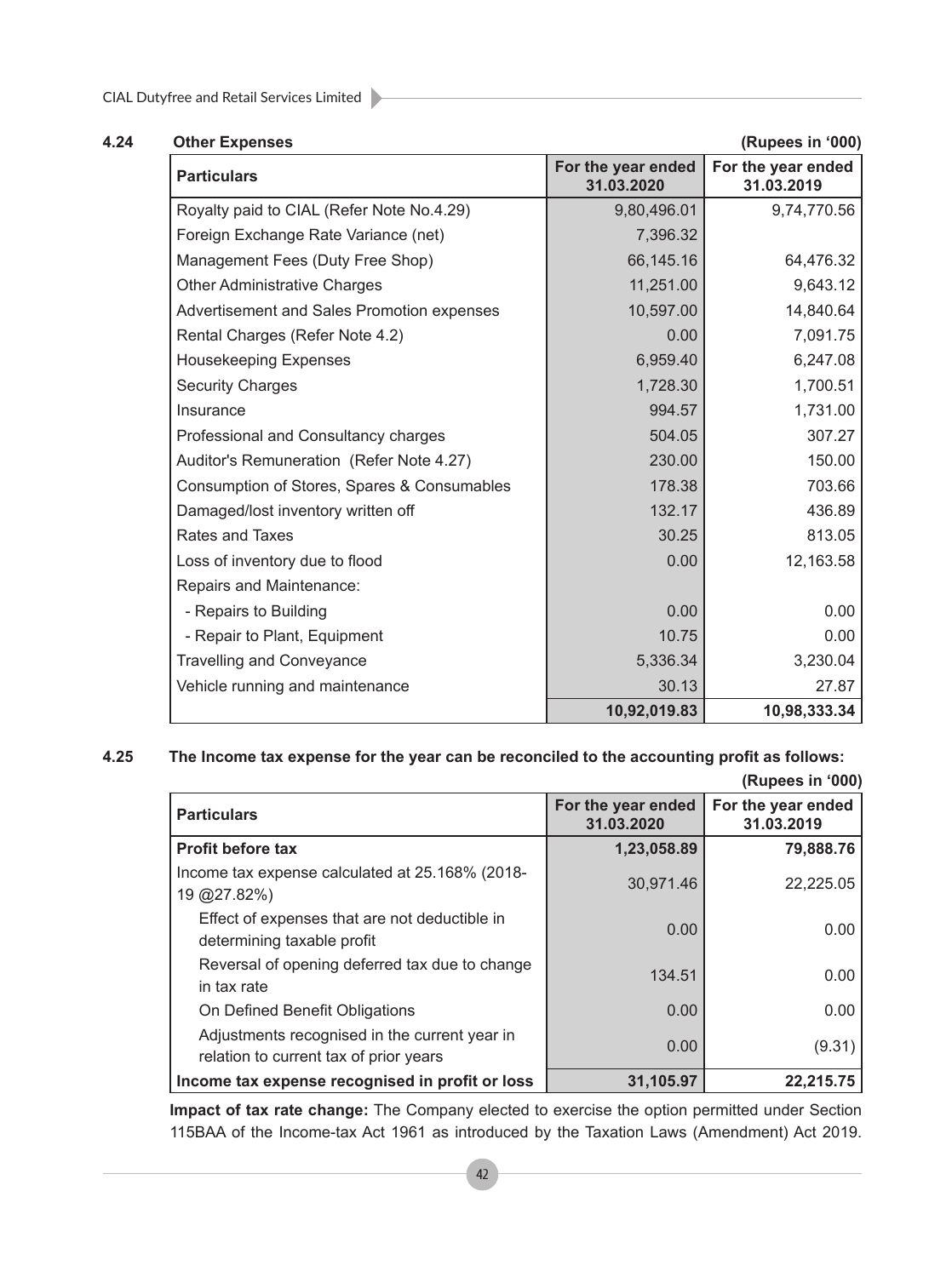### **4.24 Other Expenses (Rupees in '000)**

| <b>Particulars</b>                          | For the year ended<br>31.03.2020 | For the year ended<br>31.03.2019 |
|---------------------------------------------|----------------------------------|----------------------------------|
| Royalty paid to CIAL (Refer Note No.4.29)   | 9,80,496.01                      | 9,74,770.56                      |
| Foreign Exchange Rate Variance (net)        | 7,396.32                         |                                  |
| Management Fees (Duty Free Shop)            | 66,145.16                        | 64,476.32                        |
| <b>Other Administrative Charges</b>         | 11,251.00                        | 9,643.12                         |
| Advertisement and Sales Promotion expenses  | 10,597.00                        | 14,840.64                        |
| Rental Charges (Refer Note 4.2)             | 0.00                             | 7,091.75                         |
| <b>Housekeeping Expenses</b>                | 6,959.40                         | 6,247.08                         |
| <b>Security Charges</b>                     | 1,728.30                         | 1,700.51                         |
| Insurance                                   | 994.57                           | 1,731.00                         |
| Professional and Consultancy charges        | 504.05                           | 307.27                           |
| Auditor's Remuneration (Refer Note 4.27)    | 230.00                           | 150.00                           |
| Consumption of Stores, Spares & Consumables | 178.38                           | 703.66                           |
| Damaged/lost inventory written off          | 132.17                           | 436.89                           |
| Rates and Taxes                             | 30.25                            | 813.05                           |
| Loss of inventory due to flood              | 0.00                             | 12,163.58                        |
| Repairs and Maintenance:                    |                                  |                                  |
| - Repairs to Building                       | 0.00                             | 0.00                             |
| - Repair to Plant, Equipment                | 10.75                            | 0.00                             |
| <b>Travelling and Conveyance</b>            | 5,336.34                         | 3,230.04                         |
| Vehicle running and maintenance             | 30.13                            | 27.87                            |
|                                             | 10,92,019.83                     | 10,98,333.34                     |

### **4.25 The Income tax expense for the year can be reconciled to the accounting profit as follows:**

|                                                                                         |                                  | (Rupees in '000)                 |
|-----------------------------------------------------------------------------------------|----------------------------------|----------------------------------|
| <b>Particulars</b>                                                                      | For the year ended<br>31.03.2020 | For the year ended<br>31.03.2019 |
| <b>Profit before tax</b>                                                                | 1,23,058.89                      | 79,888.76                        |
| Income tax expense calculated at 25.168% (2018-<br>19 @27.82%)                          | 30,971.46                        | 22,225.05                        |
| Effect of expenses that are not deductible in<br>determining taxable profit             | 0.00                             | 0.00                             |
| Reversal of opening deferred tax due to change<br>in tax rate                           | 134.51                           | 0.00                             |
| On Defined Benefit Obligations                                                          | 0.00                             | 0.00                             |
| Adjustments recognised in the current year in<br>relation to current tax of prior years | 0.00                             | (9.31)                           |
| Income tax expense recognised in profit or loss                                         | 31,105.97                        | 22,215.75                        |

**Impact of tax rate change:** The Company elected to exercise the option permitted under Section 115BAA of the Income-tax Act 1961 as introduced by the Taxation Laws (Amendment) Act 2019.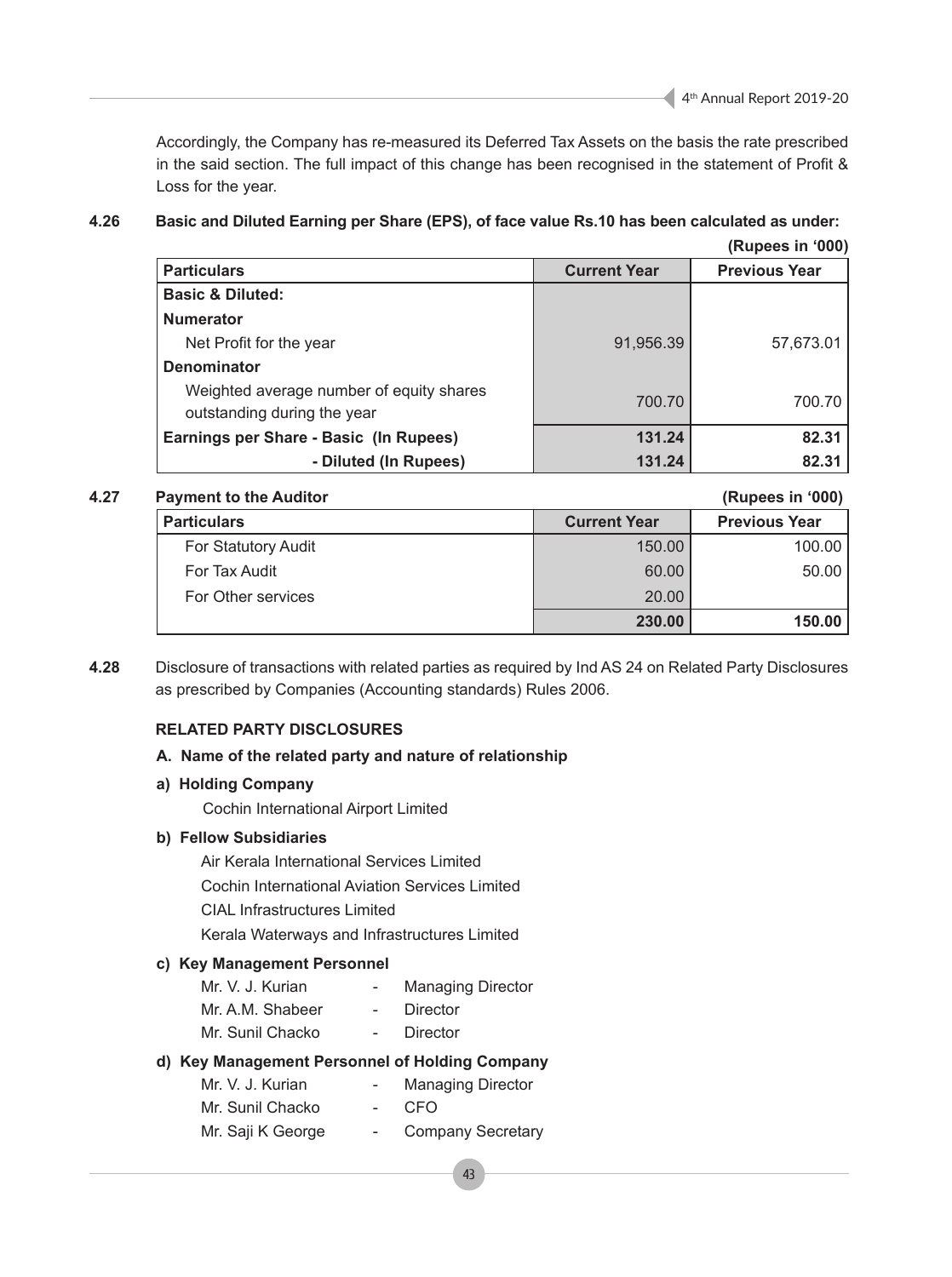Accordingly, the Company has re-measured its Deferred Tax Assets on the basis the rate prescribed in the said section. The full impact of this change has been recognised in the statement of Profit & Loss for the year.

### **4.26 Basic and Diluted Earning per Share (EPS), of face value Rs.10 has been calculated as under:**

|                                                                         |                     | (Rupees in '000)     |
|-------------------------------------------------------------------------|---------------------|----------------------|
| <b>Particulars</b>                                                      | <b>Current Year</b> | <b>Previous Year</b> |
| <b>Basic &amp; Diluted:</b>                                             |                     |                      |
| <b>Numerator</b>                                                        |                     |                      |
| Net Profit for the year                                                 | 91,956.39           | 57,673.01            |
| <b>Denominator</b>                                                      |                     |                      |
| Weighted average number of equity shares<br>outstanding during the year | 700.70              | 700.70               |
| Earnings per Share - Basic (In Rupees)                                  | 131.24              | 82.31                |
| - Diluted (In Rupees)                                                   | 131.24              | 82.31                |

### **4.27 Payment to the Auditor (Rupees in '000)**

| <b>Particulars</b>  | <b>Current Year</b> | <b>Previous Year</b> |
|---------------------|---------------------|----------------------|
| For Statutory Audit | 150.00              | 100.00               |
| For Tax Audit       | 60.00               | 50.00                |
| For Other services  | 20.00               |                      |
|                     | 230.00              | 150.00               |

**4.28** Disclosure of transactions with related parties as required by Ind AS 24 on Related Party Disclosures as prescribed by Companies (Accounting standards) Rules 2006.

### **RELATED PARTY DISCLOSURES**

### **A. Name of the related party and nature of relationship**

### **a) Holding Company**

Cochin International Airport Limited

### **b) Fellow Subsidiaries**

Air Kerala International Services Limited

Cochin International Aviation Services Limited

CIAL Infrastructures Limited

Kerala Waterways and Infrastructures Limited

### **c) Key Management Personnel**

| Mr. V. J. Kurian |        | <b>Managing Director</b> |
|------------------|--------|--------------------------|
| Mr. A.M. Shabeer | $\sim$ | Director                 |
| Mr. Sunil Chacko | $\sim$ | Director                 |

### **d) Key Management Personnel of Holding Company**

- Mr. V. J. Kurian Managing Director
- Mr. Sunil Chacko CFO
- Mr. Saji K George Company Secretary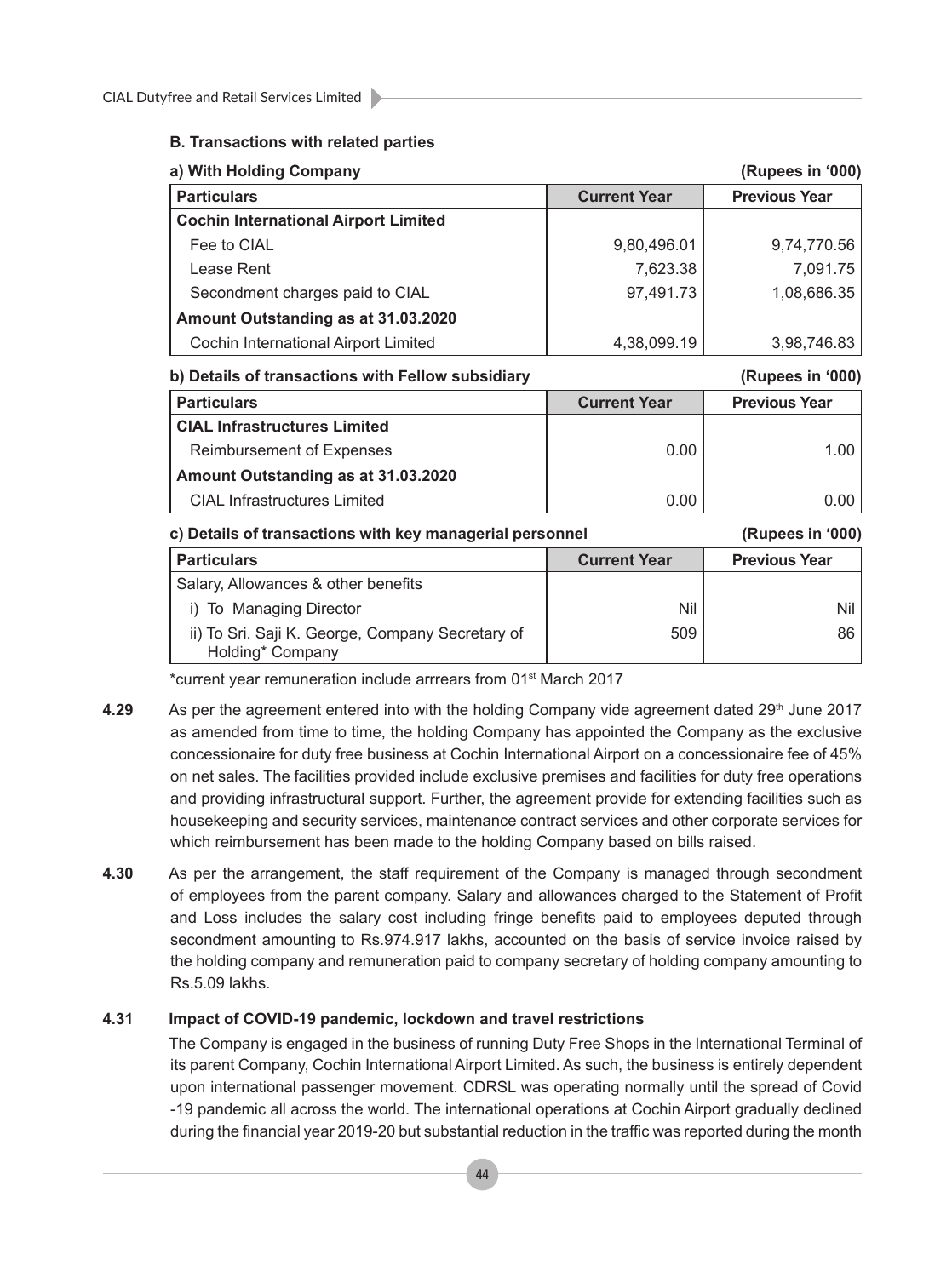### **B. Transactions with related parties**

| a) With Holding Company                     |                     | (Rupees in '000)     |
|---------------------------------------------|---------------------|----------------------|
| <b>Particulars</b>                          | <b>Current Year</b> | <b>Previous Year</b> |
| <b>Cochin International Airport Limited</b> |                     |                      |
| Fee to CIAL                                 | 9,80,496.01         | 9,74,770.56          |
| Lease Rent                                  | 7,623.38            | 7,091.75             |
| Secondment charges paid to CIAL             | 97,491.73           | 1,08,686.35          |
| Amount Outstanding as at 31.03.2020         |                     |                      |
| Cochin International Airport Limited        | 4,38,099.19         | 3,98,746.83          |

| <b>stiouloro</b> |  |
|------------------|--|

| b) Details of transactions with Fellow subsidiary | (Rupees in '000) |  |
|---------------------------------------------------|------------------|--|

| <b>Particulars</b>                  | <b>Current Year</b> | <b>Previous Year</b> |
|-------------------------------------|---------------------|----------------------|
| <b>CIAL Infrastructures Limited</b> |                     |                      |
| Reimbursement of Expenses           | 0.00                | 1.00                 |
| Amount Outstanding as at 31.03.2020 |                     |                      |
| CIAL Infrastructures Limited        | 0.00                | 0.00                 |

| c) Details of transactions with key managerial personnel             |                     | (Rupees in '000)     |
|----------------------------------------------------------------------|---------------------|----------------------|
| <b>Particulars</b>                                                   | <b>Current Year</b> | <b>Previous Year</b> |
| Salary, Allowances & other benefits                                  |                     |                      |
| i) To Managing Director                                              | Nil                 | Nil                  |
| ii) To Sri. Saji K. George, Company Secretary of<br>Holding* Company | 509                 | 86                   |

\*current year remuneration include arrrears from 01st March 2017

- **4.29** As per the agreement entered into with the holding Company vide agreement dated 29<sup>th</sup> June 2017 as amended from time to time, the holding Company has appointed the Company as the exclusive concessionaire for duty free business at Cochin International Airport on a concessionaire fee of 45% on net sales. The facilities provided include exclusive premises and facilities for duty free operations and providing infrastructural support. Further, the agreement provide for extending facilities such as housekeeping and security services, maintenance contract services and other corporate services for which reimbursement has been made to the holding Company based on bills raised.
- **4.30** As per the arrangement, the staff requirement of the Company is managed through secondment of employees from the parent company. Salary and allowances charged to the Statement of Profit and Loss includes the salary cost including fringe benefits paid to employees deputed through secondment amounting to Rs.974.917 lakhs, accounted on the basis of service invoice raised by the holding company and remuneration paid to company secretary of holding company amounting to Rs.5.09 lakhs.

### **4.31 Impact of COVID-19 pandemic, lockdown and travel restrictions**

The Company is engaged in the business of running Duty Free Shops in the International Terminal of its parent Company, Cochin International Airport Limited. As such, the business is entirely dependent upon international passenger movement. CDRSL was operating normally until the spread of Covid -19 pandemic all across the world. The international operations at Cochin Airport gradually declined during the financial year 2019-20 but substantial reduction in the traffic was reported during the month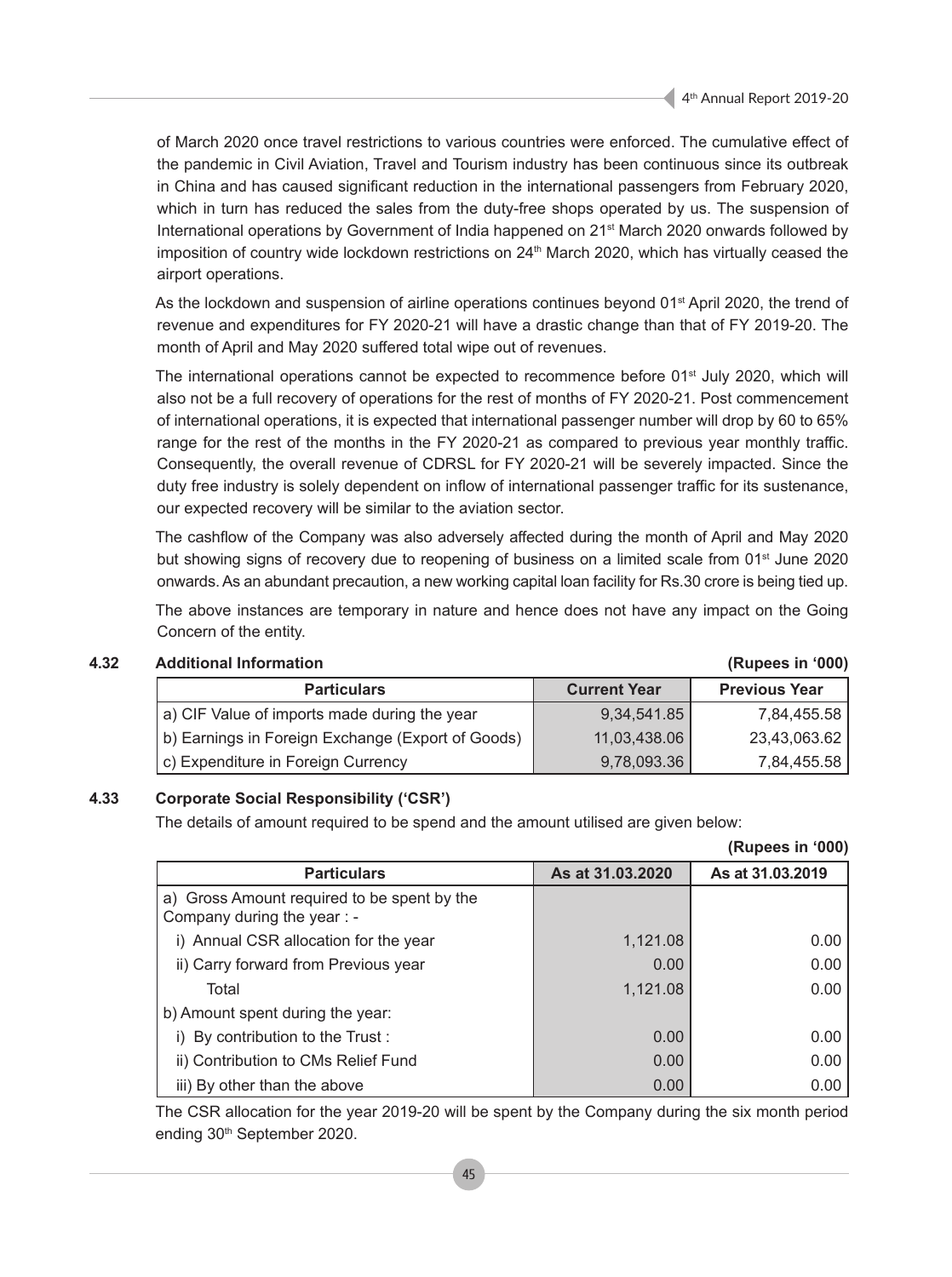**(Rupees in '000)**

of March 2020 once travel restrictions to various countries were enforced. The cumulative effect of the pandemic in Civil Aviation, Travel and Tourism industry has been continuous since its outbreak in China and has caused significant reduction in the international passengers from February 2020, which in turn has reduced the sales from the duty-free shops operated by us. The suspension of International operations by Government of India happened on 21st March 2020 onwards followed by imposition of country wide lockdown restrictions on 24<sup>th</sup> March 2020, which has virtually ceased the airport operations.

As the lockdown and suspension of airline operations continues beyond 01<sup>st</sup> April 2020, the trend of revenue and expenditures for FY 2020-21 will have a drastic change than that of FY 2019-20. The month of April and May 2020 suffered total wipe out of revenues.

The international operations cannot be expected to recommence before 01<sup>st</sup> July 2020, which will also not be a full recovery of operations for the rest of months of FY 2020-21. Post commencement of international operations, it is expected that international passenger number will drop by 60 to 65% range for the rest of the months in the FY 2020-21 as compared to previous year monthly traffic. Consequently, the overall revenue of CDRSL for FY 2020-21 will be severely impacted. Since the duty free industry is solely dependent on inflow of international passenger traffic for its sustenance, our expected recovery will be similar to the aviation sector.

The cashflow of the Company was also adversely affected during the month of April and May 2020 but showing signs of recovery due to reopening of business on a limited scale from 01<sup>st</sup> June 2020 onwards. As an abundant precaution, a new working capital loan facility for Rs.30 crore is being tied up.

The above instances are temporary in nature and hence does not have any impact on the Going Concern of the entity.

| <b>Particulars</b>                                | <b>Current Year</b> | <b>Previous Year</b> |
|---------------------------------------------------|---------------------|----------------------|
| a) CIF Value of imports made during the year      | 9,34,541.85         | 7,84,455.58          |
| b) Earnings in Foreign Exchange (Export of Goods) | 11,03,438.06        | 23,43,063.62         |
| c) Expenditure in Foreign Currency                | 9,78,093.36         | 7,84,455.58          |

### **4.32 Additional Information (Rupees in '000)**

### **4.33 Corporate Social Responsibility ('CSR')**

The details of amount required to be spend and the amount utilised are given below:

|                                                                            |                  | $(1.44)$ $-0.06$ $-1.1$ $-0.06$ $-1.1$ |
|----------------------------------------------------------------------------|------------------|----------------------------------------|
| <b>Particulars</b>                                                         | As at 31.03.2020 | As at 31.03.2019                       |
| a) Gross Amount required to be spent by the<br>Company during the year : - |                  |                                        |
| i) Annual CSR allocation for the year                                      | 1,121.08         | 0.00                                   |
| ii) Carry forward from Previous year                                       | 0.00             | 0.00                                   |
| Total                                                                      | 1,121.08         | 0.00                                   |
| b) Amount spent during the year:                                           |                  |                                        |
| i) By contribution to the Trust:                                           | 0.00             | 0.00                                   |
| ii) Contribution to CMs Relief Fund                                        | 0.00             | 0.00                                   |
| iii) By other than the above                                               | 0.00             | 0.00                                   |

The CSR allocation for the year 2019-20 will be spent by the Company during the six month period ending 30<sup>th</sup> September 2020.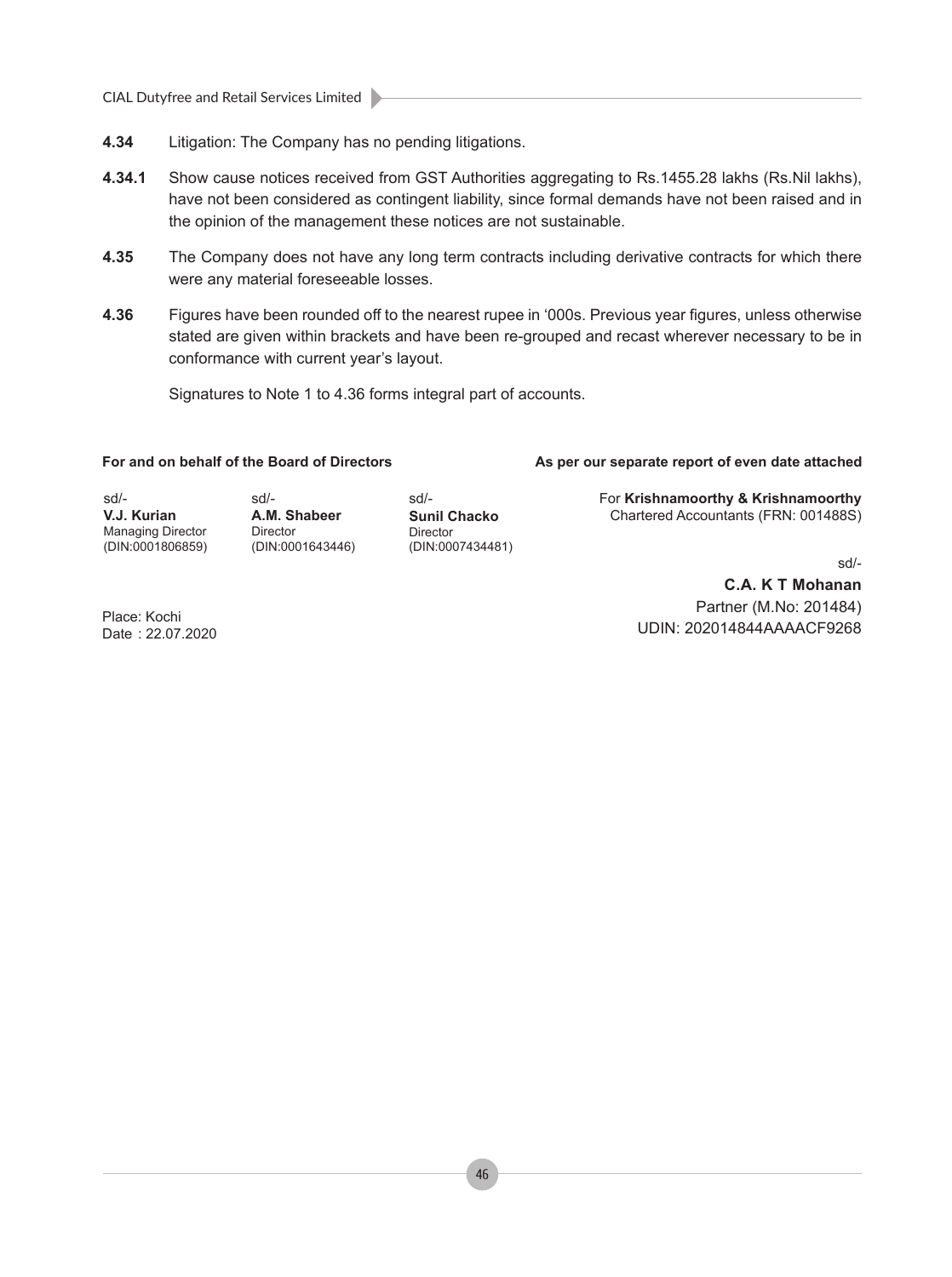CIAL Dutyfree and Retail Services Limited

- **4.34** Litigation: The Company has no pending litigations.
- **4.34.1** Show cause notices received from GST Authorities aggregating to Rs.1455.28 lakhs (Rs.Nil lakhs), have not been considered as contingent liability, since formal demands have not been raised and in the opinion of the management these notices are not sustainable.
- **4.35** The Company does not have any long term contracts including derivative contracts for which there were any material foreseeable losses.
- **4.36** Figures have been rounded off to the nearest rupee in '000s. Previous year figures, unless otherwise stated are given within brackets and have been re-grouped and recast wherever necessary to be in conformance with current year's layout.

Signatures to Note 1 to 4.36 forms integral part of accounts.

### For and on behalf of the Board of Directors **As per our separate report of even date attached**

sd/- **V.J. Kurian** Managing Director (DIN:0001806859)

sd/- **A.M. Shabeer** Director (DIN:0001643446) sd/- **Sunil Chacko** Director (DIN:0007434481) For **Krishnamoorthy & Krishnamoorthy** Chartered Accountants (FRN: 001488S)

> **C.A. K T Mohanan** Partner (M.No: 201484) UDIN: 202014844AAAACF9268

sd/-

Place: Kochi Date : 22.07.2020

46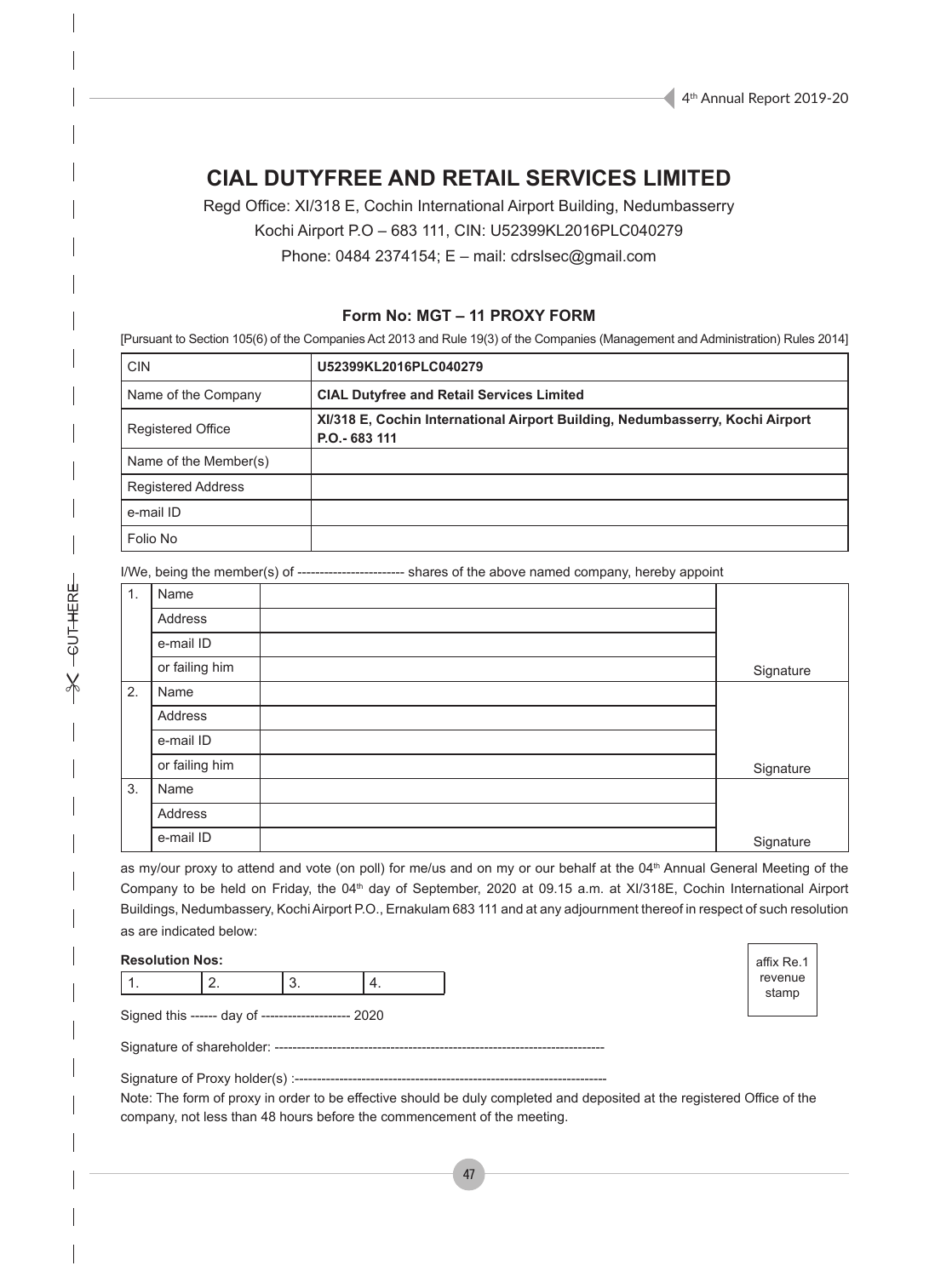## **CIAL DUTYFREE AND RETAIL SERVICES LIMITED**

Regd Office: XI/318 E, Cochin International Airport Building, Nedumbasserry

Kochi Airport P.O – 683 111, CIN: U52399KL2016PLC040279

Phone: 0484 2374154; E – mail: cdrslsec@gmail.com

### **Form No: MGT – 11 PROXY FORM**

[Pursuant to Section 105(6) of the Companies Act 2013 and Rule 19(3) of the Companies (Management and Administration) Rules 2014]

| <b>CIN</b>                | U52399KL2016PLC040279                                                                         |
|---------------------------|-----------------------------------------------------------------------------------------------|
| Name of the Company       | <b>CIAL Dutyfree and Retail Services Limited</b>                                              |
| <b>Registered Office</b>  | XI/318 E, Cochin International Airport Building, Nedumbasserry, Kochi Airport<br>P.O.-683 111 |
| Name of the Member(s)     |                                                                                               |
| <b>Registered Address</b> |                                                                                               |
| e-mail ID                 |                                                                                               |
| Folio No                  |                                                                                               |

I/We, being the member(s) of ------------------------ shares of the above named company, hereby appoint

| $^{\circ}$ 1. | Name           |           |
|---------------|----------------|-----------|
|               | Address        |           |
|               | e-mail ID      |           |
|               | or failing him | Signature |
| 2.            | Name           |           |
|               | Address        |           |
|               | e-mail ID      |           |
|               | or failing him | Signature |
| 3.            | Name           |           |
|               | Address        |           |
|               | e-mail ID      | Signature |

as my/our proxy to attend and vote (on poll) for me/us and on my or our behalf at the 04<sup>th</sup> Annual General Meeting of the Company to be held on Friday, the 04<sup>th</sup> day of September, 2020 at 09.15 a.m. at XI/318E, Cochin International Airport Buildings, Nedumbassery, Kochi Airport P.O., Ernakulam 683 111 and at any adjournment thereof in respect of such resolution as are indicated below:

**Resolution Nos:**

**CUTHERE K-SULHERE-**

affix Re.1 revenue stamp

Signed this ------ day of -------------------- 2020

Signature of shareholder: --------------------------------------------------------------------------

Signature of Proxy holder(s) :----------------------------------------------------------------------

Note: The form of proxy in order to be effective should be duly completed and deposited at the registered Office of the company, not less than 48 hours before the commencement of the meeting.

47